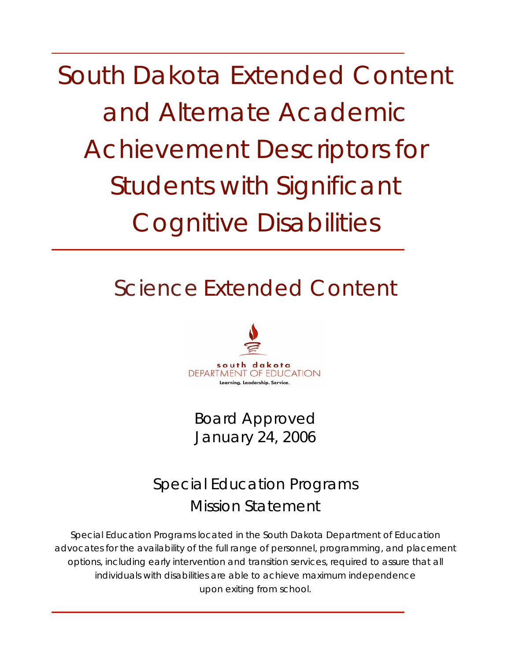South Dakota Extended Content and Alternate Academic Achievement Descriptors for Students with Significant Cognitive Disabilities

# Science Extended Content



Board Approved January 24, 2006

Special Education Programs Mission Statement

Special Education Programs located in the South Dakota Department of Education advocates for the availability of the full range of personnel, programming, and placement options, including early intervention and transition services, required to assure that all individuals with disabilities are able to achieve maximum independence upon exiting from school.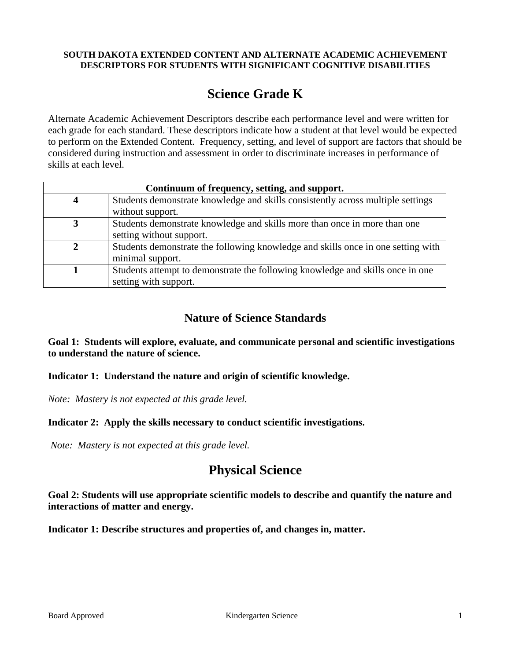#### **SOUTH DAKOTA EXTENDED CONTENT AND ALTERNATE ACADEMIC ACHIEVEMENT DESCRIPTORS FOR STUDENTS WITH SIGNIFICANT COGNITIVE DISABILITIES**

# **Science Grade K**

Alternate Academic Achievement Descriptors describe each performance level and were written for each grade for each standard. These descriptors indicate how a student at that level would be expected to perform on the Extended Content. Frequency, setting, and level of support are factors that should be considered during instruction and assessment in order to discriminate increases in performance of skills at each level.

| Continuum of frequency, setting, and support. |                                                                                  |  |  |  |
|-----------------------------------------------|----------------------------------------------------------------------------------|--|--|--|
|                                               | Students demonstrate knowledge and skills consistently across multiple settings  |  |  |  |
|                                               | without support.                                                                 |  |  |  |
|                                               | Students demonstrate knowledge and skills more than once in more than one        |  |  |  |
|                                               | setting without support.                                                         |  |  |  |
|                                               | Students demonstrate the following knowledge and skills once in one setting with |  |  |  |
|                                               | minimal support.                                                                 |  |  |  |
|                                               | Students attempt to demonstrate the following knowledge and skills once in one   |  |  |  |
|                                               | setting with support.                                                            |  |  |  |

# **Nature of Science Standards**

**Goal 1: Students will explore, evaluate, and communicate personal and scientific investigations to understand the nature of science.** 

**Indicator 1: Understand the nature and origin of scientific knowledge.** 

*Note: Mastery is not expected at this grade level.* 

**Indicator 2: Apply the skills necessary to conduct scientific investigations.** 

*Note: Mastery is not expected at this grade level.* 

# **Physical Science**

**Goal 2: Students will use appropriate scientific models to describe and quantify the nature and interactions of matter and energy.** 

**Indicator 1: Describe structures and properties of, and changes in, matter.**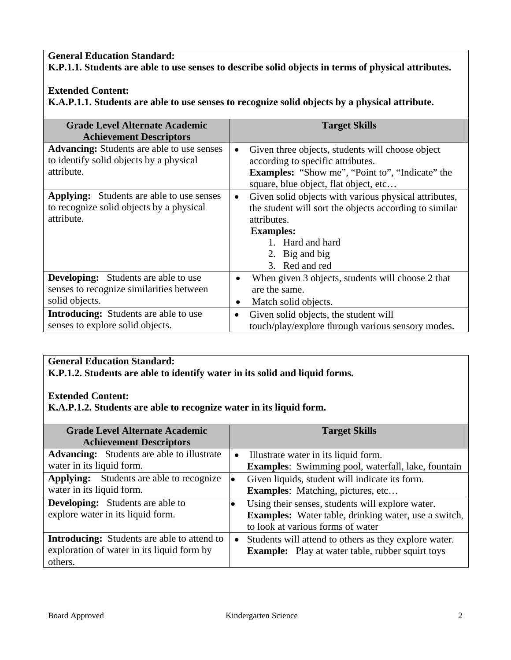#### **General Education Standard:**

**K.P.1.1. Students are able to use senses to describe solid objects in terms of physical attributes.** 

#### **Extended Content:**

**K.A.P.1.1. Students are able to use senses to recognize solid objects by a physical attribute.** 

| <b>Grade Level Alternate Academic</b><br><b>Achievement Descriptors</b>                                    | <b>Target Skills</b>                                                                                                                                                                                                    |
|------------------------------------------------------------------------------------------------------------|-------------------------------------------------------------------------------------------------------------------------------------------------------------------------------------------------------------------------|
| <b>Advancing:</b> Students are able to use senses<br>to identify solid objects by a physical<br>attribute. | Given three objects, students will choose object<br>$\bullet$<br>according to specific attributes.<br><b>Examples:</b> "Show me", "Point to", "Indicate" the<br>square, blue object, flat object, etc                   |
| <b>Applying:</b> Students are able to use senses<br>to recognize solid objects by a physical<br>attribute. | Given solid objects with various physical attributes,<br>$\bullet$<br>the student will sort the objects according to similar<br>attributes.<br><b>Examples:</b><br>1. Hard and hard<br>2. Big and big<br>3. Red and red |
| <b>Developing:</b> Students are able to use<br>senses to recognize similarities between<br>solid objects.  | When given 3 objects, students will choose 2 that<br>$\bullet$<br>are the same.<br>Match solid objects.<br>٠                                                                                                            |
| <b>Introducing:</b> Students are able to use<br>senses to explore solid objects.                           | Given solid objects, the student will<br>$\bullet$<br>touch/play/explore through various sensory modes.                                                                                                                 |

# **General Education Standard:**

**K.P.1.2. Students are able to identify water in its solid and liquid forms.** 

#### **Extended Content:**

**K.A.P.1.2. Students are able to recognize water in its liquid form.** 

| <b>Grade Level Alternate Academic</b><br><b>Achievement Descriptors</b>                                     |  | <b>Target Skills</b>                                                                                                                                 |
|-------------------------------------------------------------------------------------------------------------|--|------------------------------------------------------------------------------------------------------------------------------------------------------|
| <b>Advancing:</b> Students are able to illustrate<br>water in its liquid form.                              |  | Illustrate water in its liquid form.<br><b>Examples:</b> Swimming pool, waterfall, lake, fountain                                                    |
| <b>Applying:</b> Students are able to recognize<br>water in its liquid form.                                |  | Given liquids, student will indicate its form.<br><b>Examples:</b> Matching, pictures, etc                                                           |
| <b>Developing:</b> Students are able to<br>explore water in its liquid form.                                |  | Using their senses, students will explore water.<br><b>Examples:</b> Water table, drinking water, use a switch,<br>to look at various forms of water |
| <b>Introducing:</b> Students are able to attend to<br>exploration of water in its liquid form by<br>others. |  | Students will attend to others as they explore water.<br><b>Example:</b> Play at water table, rubber squirt toys                                     |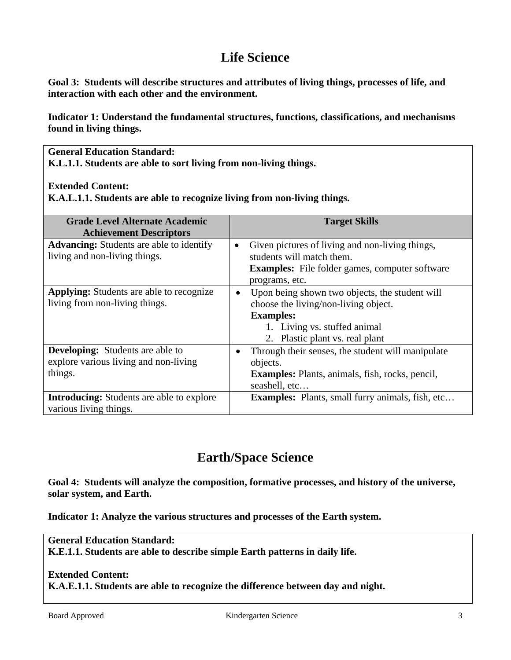# **Life Science**

**Goal 3: Students will describe structures and attributes of living things, processes of life, and interaction with each other and the environment.** 

**Indicator 1: Understand the fundamental structures, functions, classifications, and mechanisms found in living things.** 

**General Education Standard: K.L.1.1. Students are able to sort living from non-living things.** 

#### **Extended Content:**

**K.A.L.1.1. Students are able to recognize living from non-living things.** 

| <b>Grade Level Alternate Academic</b><br><b>Achievement Descriptors</b>                     | <b>Target Skills</b>                                                                                                                                                          |  |  |
|---------------------------------------------------------------------------------------------|-------------------------------------------------------------------------------------------------------------------------------------------------------------------------------|--|--|
| <b>Advancing:</b> Students are able to identify<br>living and non-living things.            | Given pictures of living and non-living things,<br>$\bullet$<br>students will match them.<br><b>Examples:</b> File folder games, computer software<br>programs, etc.          |  |  |
| <b>Applying:</b> Students are able to recognize<br>living from non-living things.           | Upon being shown two objects, the student will<br>choose the living/non-living object.<br><b>Examples:</b><br>1. Living vs. stuffed animal<br>2. Plastic plant vs. real plant |  |  |
| <b>Developing:</b> Students are able to<br>explore various living and non-living<br>things. | Through their senses, the student will manipulate<br>objects.<br><b>Examples:</b> Plants, animals, fish, rocks, pencil,<br>seashell, etc                                      |  |  |
| <b>Introducing:</b> Students are able to explore<br>various living things.                  | <b>Examples:</b> Plants, small furry animals, fish, etc                                                                                                                       |  |  |

# **Earth/Space Science**

**Goal 4: Students will analyze the composition, formative processes, and history of the universe, solar system, and Earth.** 

**Indicator 1: Analyze the various structures and processes of the Earth system.** 

### **General Education Standard: K.E.1.1. Students are able to describe simple Earth patterns in daily life.**

#### **Extended Content:**

**K.A.E.1.1. Students are able to recognize the difference between day and night.**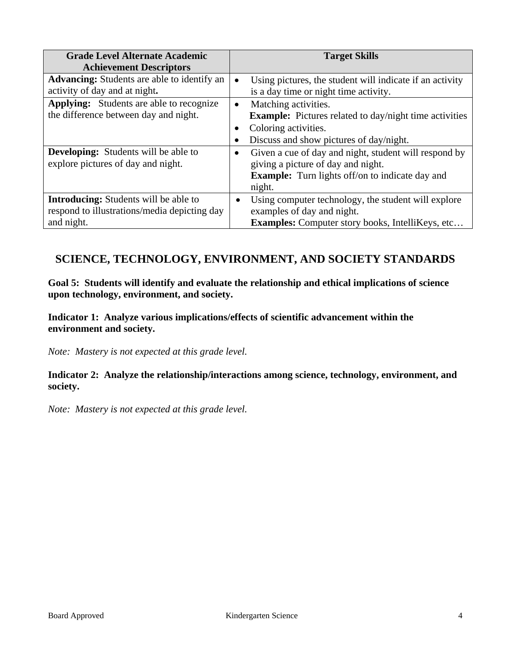| <b>Grade Level Alternate Academic</b><br><b>Achievement Descriptors</b>                                    | <b>Target Skills</b>                                                                                                                                                            |  |  |
|------------------------------------------------------------------------------------------------------------|---------------------------------------------------------------------------------------------------------------------------------------------------------------------------------|--|--|
| <b>Advancing:</b> Students are able to identify an<br>activity of day and at night.                        | Using pictures, the student will indicate if an activity<br>$\bullet$<br>is a day time or night time activity.                                                                  |  |  |
| <b>Applying:</b> Students are able to recognize<br>the difference between day and night.                   | Matching activities.<br>$\bullet$<br><b>Example:</b> Pictures related to day/night time activities<br>Coloring activities.<br>٠<br>Discuss and show pictures of day/night.<br>٠ |  |  |
| <b>Developing:</b> Students will be able to<br>explore pictures of day and night.                          | Given a cue of day and night, student will respond by<br>$\bullet$<br>giving a picture of day and night.<br><b>Example:</b> Turn lights off/on to indicate day and<br>night.    |  |  |
| <b>Introducing:</b> Students will be able to<br>respond to illustrations/media depicting day<br>and night. | Using computer technology, the student will explore<br>examples of day and night.<br><b>Examples:</b> Computer story books, IntelliKeys, etc                                    |  |  |

# **SCIENCE, TECHNOLOGY, ENVIRONMENT, AND SOCIETY STANDARDS**

**Goal 5: Students will identify and evaluate the relationship and ethical implications of science upon technology, environment, and society.** 

**Indicator 1: Analyze various implications/effects of scientific advancement within the environment and society.** 

*Note: Mastery is not expected at this grade level.* 

**Indicator 2: Analyze the relationship/interactions among science, technology, environment, and society.** 

*Note: Mastery is not expected at this grade level.*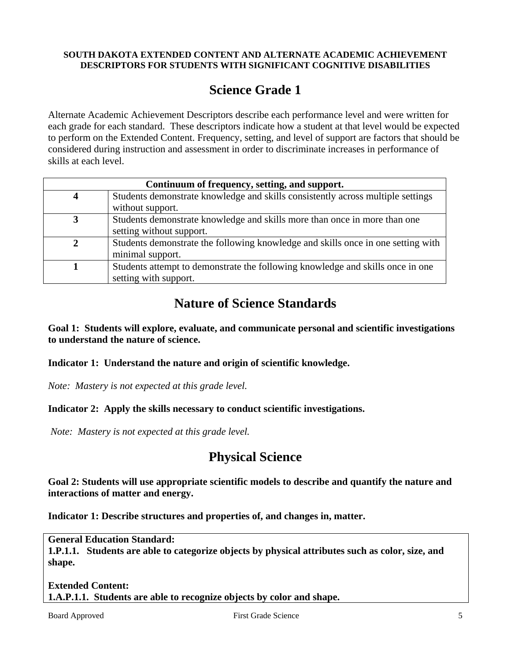#### **SOUTH DAKOTA EXTENDED CONTENT AND ALTERNATE ACADEMIC ACHIEVEMENT DESCRIPTORS FOR STUDENTS WITH SIGNIFICANT COGNITIVE DISABILITIES**

# **Science Grade 1**

Alternate Academic Achievement Descriptors describe each performance level and were written for each grade for each standard. These descriptors indicate how a student at that level would be expected to perform on the Extended Content. Frequency, setting, and level of support are factors that should be considered during instruction and assessment in order to discriminate increases in performance of skills at each level.

| Continuum of frequency, setting, and support. |                                                                                                      |  |  |  |
|-----------------------------------------------|------------------------------------------------------------------------------------------------------|--|--|--|
|                                               | Students demonstrate knowledge and skills consistently across multiple settings                      |  |  |  |
|                                               | without support.                                                                                     |  |  |  |
|                                               | Students demonstrate knowledge and skills more than once in more than one                            |  |  |  |
|                                               | setting without support.                                                                             |  |  |  |
|                                               | Students demonstrate the following knowledge and skills once in one setting with<br>minimal support. |  |  |  |
|                                               |                                                                                                      |  |  |  |
|                                               | Students attempt to demonstrate the following knowledge and skills once in one                       |  |  |  |
|                                               | setting with support.                                                                                |  |  |  |

# **Nature of Science Standards**

**Goal 1: Students will explore, evaluate, and communicate personal and scientific investigations to understand the nature of science.** 

**Indicator 1: Understand the nature and origin of scientific knowledge.** 

*Note: Mastery is not expected at this grade level.* 

#### **Indicator 2: Apply the skills necessary to conduct scientific investigations.**

*Note: Mastery is not expected at this grade level.* 

# **Physical Science**

**Goal 2: Students will use appropriate scientific models to describe and quantify the nature and interactions of matter and energy.** 

**Indicator 1: Describe structures and properties of, and changes in, matter.** 

**General Education Standard: 1.P.1.1. Students are able to categorize objects by physical attributes such as color, size, and shape.** 

#### **Extended Content: 1.A.P.1.1. Students are able to recognize objects by color and shape.**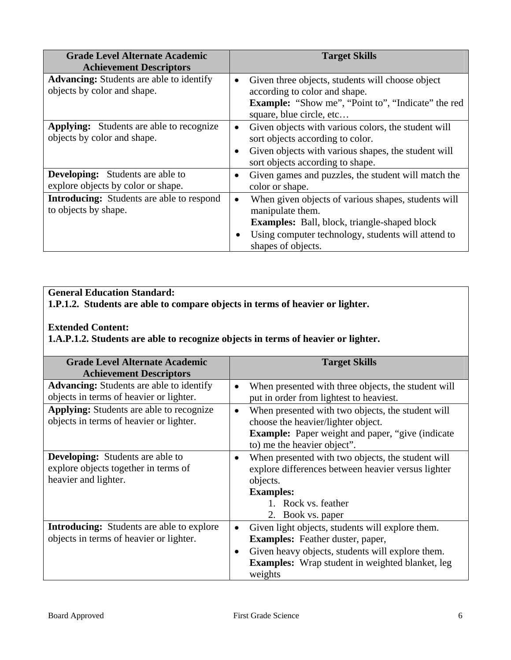| <b>Grade Level Alternate Academic</b><br><b>Achievement Descriptors</b>        |                        | <b>Target Skills</b>                                                                                                                                                                                       |  |
|--------------------------------------------------------------------------------|------------------------|------------------------------------------------------------------------------------------------------------------------------------------------------------------------------------------------------------|--|
| <b>Advancing:</b> Students are able to identify<br>objects by color and shape. | $\bullet$              | Given three objects, students will choose object<br>according to color and shape.<br><b>Example:</b> "Show me", "Point to", "Indicate" the red<br>square, blue circle, etc                                 |  |
| <b>Applying:</b> Students are able to recognize<br>objects by color and shape. | $\bullet$<br>$\bullet$ | Given objects with various colors, the student will<br>sort objects according to color.<br>Given objects with various shapes, the student will<br>sort objects according to shape.                         |  |
| <b>Developing:</b> Students are able to<br>explore objects by color or shape.  | $\bullet$              | Given games and puzzles, the student will match the<br>color or shape.                                                                                                                                     |  |
| <b>Introducing:</b> Students are able to respond<br>to objects by shape.       | $\bullet$              | When given objects of various shapes, students will<br>manipulate them.<br><b>Examples:</b> Ball, block, triangle-shaped block<br>Using computer technology, students will attend to<br>shapes of objects. |  |

# **General Education Standard:**

**1.P.1.2. Students are able to compare objects in terms of heavier or lighter.** 

### **Extended Content:**

**1.A.P.1.2. Students are able to recognize objects in terms of heavier or lighter.** 

| <b>Grade Level Alternate Academic</b><br><b>Achievement Descriptors</b>                                 | <b>Target Skills</b>                                                                                                                                                                                                              |  |
|---------------------------------------------------------------------------------------------------------|-----------------------------------------------------------------------------------------------------------------------------------------------------------------------------------------------------------------------------------|--|
| <b>Advancing:</b> Students are able to identify<br>objects in terms of heavier or lighter.              | When presented with three objects, the student will<br>$\bullet$<br>put in order from lightest to heaviest.                                                                                                                       |  |
| <b>Applying:</b> Students are able to recognize<br>objects in terms of heavier or lighter.              | When presented with two objects, the student will<br>$\bullet$<br>choose the heavier/lighter object.<br><b>Example:</b> Paper weight and paper, "give (indicate<br>to) me the heavier object".                                    |  |
| <b>Developing:</b> Students are able to<br>explore objects together in terms of<br>heavier and lighter. | When presented with two objects, the student will<br>explore differences between heavier versus lighter<br>objects.<br><b>Examples:</b><br>1. Rock vs. feather<br>2. Book vs. paper                                               |  |
| <b>Introducing:</b> Students are able to explore<br>objects in terms of heavier or lighter.             | Given light objects, students will explore them.<br><b>Examples:</b> Feather duster, paper,<br>Given heavy objects, students will explore them.<br>$\bullet$<br><b>Examples:</b> Wrap student in weighted blanket, leg<br>weights |  |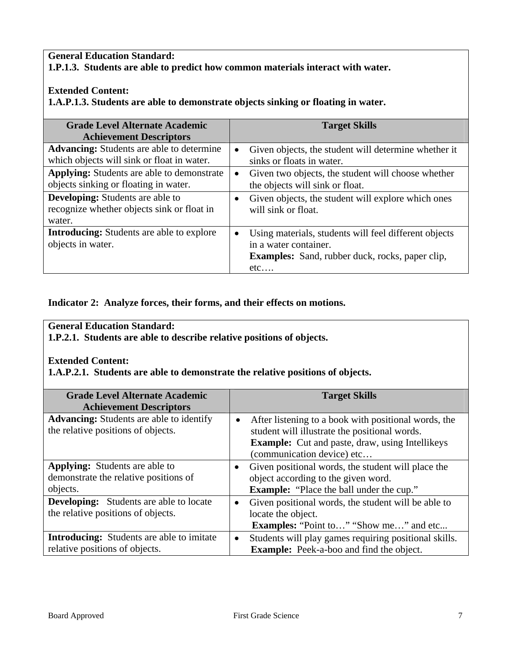#### **General Education Standard: 1.P.1.3. Students are able to predict how common materials interact with water.**

### **Extended Content:**

**1.A.P.1.3. Students are able to demonstrate objects sinking or floating in water.** 

| <b>Grade Level Alternate Academic</b><br><b>Achievement Descriptors</b>                         |           | <b>Target Skills</b>                                                                                                                            |
|-------------------------------------------------------------------------------------------------|-----------|-------------------------------------------------------------------------------------------------------------------------------------------------|
| <b>Advancing:</b> Students are able to determine<br>which objects will sink or float in water.  | $\bullet$ | Given objects, the student will determine whether it<br>sinks or floats in water.                                                               |
| <b>Applying:</b> Students are able to demonstrate<br>objects sinking or floating in water.      |           | Given two objects, the student will choose whether<br>the objects will sink or float.                                                           |
| <b>Developing:</b> Students are able to<br>recognize whether objects sink or float in<br>water. |           | Given objects, the student will explore which ones<br>will sink or float.                                                                       |
| <b>Introducing:</b> Students are able to explore<br>objects in water.                           |           | Using materials, students will feel different objects<br>in a water container.<br><b>Examples:</b> Sand, rubber duck, rocks, paper clip,<br>etc |

#### **Indicator 2: Analyze forces, their forms, and their effects on motions.**

### **General Education Standard:**

**1.P.2.1. Students are able to describe relative positions of objects.** 

#### **Extended Content:**

**1.A.P.2.1. Students are able to demonstrate the relative positions of objects.** 

| <b>Grade Level Alternate Academic</b>                                                 |           | <b>Target Skills</b>                                                                                                                                                                          |
|---------------------------------------------------------------------------------------|-----------|-----------------------------------------------------------------------------------------------------------------------------------------------------------------------------------------------|
| <b>Achievement Descriptors</b>                                                        |           |                                                                                                                                                                                               |
| <b>Advancing:</b> Students are able to identify<br>the relative positions of objects. | $\bullet$ | After listening to a book with positional words, the<br>student will illustrate the positional words.<br><b>Example:</b> Cut and paste, draw, using Intellikeys<br>(communication device) etc |
| <b>Applying:</b> Students are able to                                                 |           | Given positional words, the student will place the                                                                                                                                            |
| demonstrate the relative positions of                                                 |           | object according to the given word.                                                                                                                                                           |
| objects.                                                                              |           | <b>Example:</b> "Place the ball under the cup."                                                                                                                                               |
| <b>Developing:</b> Students are able to locate                                        | $\bullet$ | Given positional words, the student will be able to                                                                                                                                           |
| the relative positions of objects.                                                    |           | locate the object.                                                                                                                                                                            |
|                                                                                       |           | <b>Examples:</b> "Point to" "Show me" and etc                                                                                                                                                 |
| <b>Introducing:</b> Students are able to imitate                                      | $\bullet$ | Students will play games requiring positional skills.                                                                                                                                         |
| relative positions of objects.                                                        |           | <b>Example:</b> Peek-a-boo and find the object.                                                                                                                                               |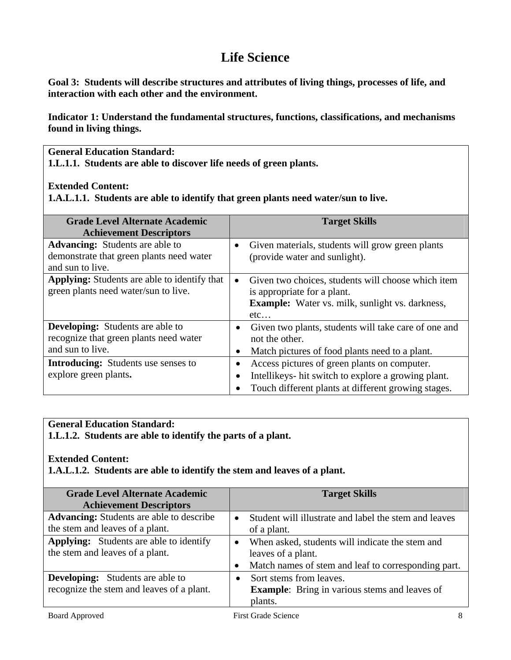# **Life Science**

**Goal 3: Students will describe structures and attributes of living things, processes of life, and interaction with each other and the environment.** 

**Indicator 1: Understand the fundamental structures, functions, classifications, and mechanisms found in living things.** 

**General Education Standard:** 

**1.L.1.1. Students are able to discover life needs of green plants.** 

#### **Extended Content:**

**1.A.L.1.1. Students are able to identify that green plants need water/sun to live.** 

| <b>Grade Level Alternate Academic</b><br><b>Achievement Descriptors</b>                                |           | <b>Target Skills</b>                                                                                                                                       |  |
|--------------------------------------------------------------------------------------------------------|-----------|------------------------------------------------------------------------------------------------------------------------------------------------------------|--|
| <b>Advancing:</b> Students are able to<br>demonstrate that green plants need water<br>and sun to live. | $\bullet$ | Given materials, students will grow green plants<br>(provide water and sunlight).                                                                          |  |
| <b>Applying:</b> Students are able to identify that<br>green plants need water/sun to live.            |           | Given two choices, students will choose which item<br>is appropriate for a plant.<br><b>Example:</b> Water vs. milk, sunlight vs. darkness,<br>$etc.$      |  |
| <b>Developing:</b> Students are able to<br>recognize that green plants need water<br>and sun to live.  |           | Given two plants, students will take care of one and<br>not the other.<br>Match pictures of food plants need to a plant.                                   |  |
| <b>Introducing:</b> Students use senses to<br>explore green plants.                                    |           | Access pictures of green plants on computer.<br>Intellikeys- hit switch to explore a growing plant.<br>Touch different plants at different growing stages. |  |

# **General Education Standard:**

**1.L.1.2. Students are able to identify the parts of a plant.** 

#### **Extended Content:**

**1.A.L.1.2. Students are able to identify the stem and leaves of a plant.** 

| <b>Grade Level Alternate Academic</b>           |  | <b>Target Skills</b>                                  |
|-------------------------------------------------|--|-------------------------------------------------------|
| <b>Achievement Descriptors</b>                  |  |                                                       |
| <b>Advancing:</b> Students are able to describe |  | Student will illustrate and label the stem and leaves |
| the stem and leaves of a plant.                 |  | of a plant.                                           |
| <b>Applying:</b> Students are able to identify  |  | When asked, students will indicate the stem and       |
| the stem and leaves of a plant.                 |  | leaves of a plant.                                    |
|                                                 |  | Match names of stem and leaf to corresponding part.   |
| <b>Developing:</b> Students are able to         |  | Sort stems from leaves.                               |
| recognize the stem and leaves of a plant.       |  | <b>Example:</b> Bring in various stems and leaves of  |
|                                                 |  | plants.                                               |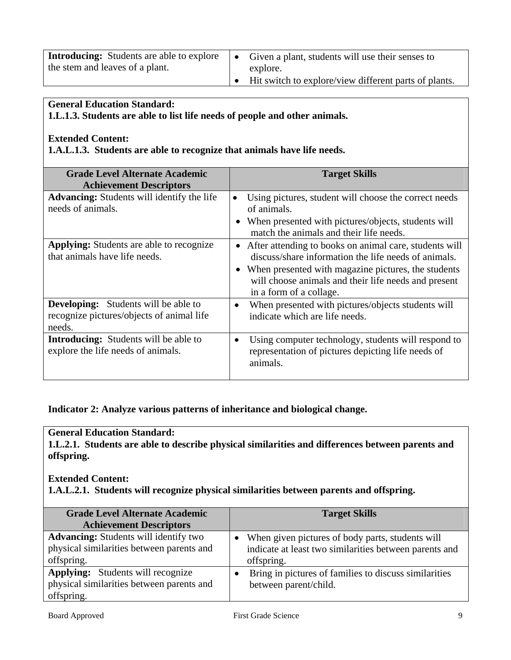| <b>Introducing:</b> Students are able to explore<br>the stem and leaves of a plant. | Given a plant, students will use their senses to<br>explore. |
|-------------------------------------------------------------------------------------|--------------------------------------------------------------|
|                                                                                     | Hit switch to explore/view different parts of plants.        |

#### **General Education Standard:**

**1.L.1.3. Students are able to list life needs of people and other animals.** 

#### **Extended Content:**

**1.A.L.1.3. Students are able to recognize that animals have life needs.** 

| <b>Grade Level Alternate Academic</b>                                                              | <b>Target Skills</b>                                                                                                                                                                                                                                       |
|----------------------------------------------------------------------------------------------------|------------------------------------------------------------------------------------------------------------------------------------------------------------------------------------------------------------------------------------------------------------|
| <b>Achievement Descriptors</b>                                                                     |                                                                                                                                                                                                                                                            |
| <b>Advancing:</b> Students will identify the life<br>needs of animals.                             | Using pictures, student will choose the correct needs<br>$\bullet$<br>of animals.<br>When presented with pictures/objects, students will<br>match the animals and their life needs.                                                                        |
| <b>Applying:</b> Students are able to recognize<br>that animals have life needs.                   | After attending to books on animal care, students will<br>discuss/share information the life needs of animals.<br>• When presented with magazine pictures, the students<br>will choose animals and their life needs and present<br>in a form of a collage. |
| <b>Developing:</b> Students will be able to<br>recognize pictures/objects of animal life<br>needs. | When presented with pictures/objects students will<br>$\bullet$<br>indicate which are life needs.                                                                                                                                                          |
| <b>Introducing:</b> Students will be able to<br>explore the life needs of animals.                 | Using computer technology, students will respond to<br>$\bullet$<br>representation of pictures depicting life needs of<br>animals.                                                                                                                         |

**Indicator 2: Analyze various patterns of inheritance and biological change.** 

### **General Education Standard:**

**1.L.2.1. Students are able to describe physical similarities and differences between parents and offspring.** 

#### **Extended Content:**

**1.A.L.2.1. Students will recognize physical similarities between parents and offspring.** 

| <b>Grade Level Alternate Academic</b><br><b>Achievement Descriptors</b>                                 | <b>Target Skills</b>                                                                                                       |
|---------------------------------------------------------------------------------------------------------|----------------------------------------------------------------------------------------------------------------------------|
| <b>Advancing:</b> Students will identify two<br>physical similarities between parents and<br>offspring. | • When given pictures of body parts, students will<br>indicate at least two similarities between parents and<br>offspring. |
| <b>Applying:</b> Students will recognize<br>physical similarities between parents and<br>offspring.     | Bring in pictures of families to discuss similarities<br>between parent/child.                                             |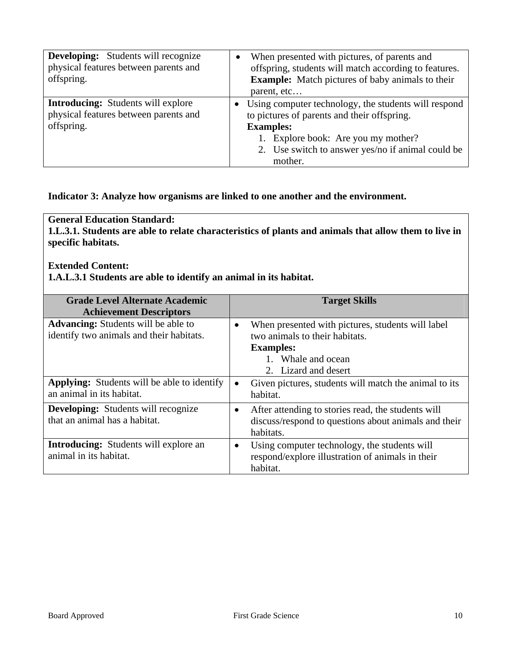| <b>Developing:</b> Students will recognize<br>physical features between parents and<br>offspring. | $\bullet$ | When presented with pictures, of parents and<br>offspring, students will match according to features.<br><b>Example:</b> Match pictures of baby animals to their<br>parent, etc                                                  |
|---------------------------------------------------------------------------------------------------|-----------|----------------------------------------------------------------------------------------------------------------------------------------------------------------------------------------------------------------------------------|
| <b>Introducing:</b> Students will explore<br>physical features between parents and<br>offspring.  |           | • Using computer technology, the students will respond<br>to pictures of parents and their offspring.<br><b>Examples:</b><br>1. Explore book: Are you my mother?<br>2. Use switch to answer yes/no if animal could be<br>mother. |

#### **Indicator 3: Analyze how organisms are linked to one another and the environment.**

**General Education Standard: 1.L.3.1. Students are able to relate characteristics of plants and animals that allow them to live in specific habitats.** 

#### **Extended Content:**

**1.A.L.3.1 Students are able to identify an animal in its habitat.** 

| <b>Grade Level Alternate Academic</b><br><b>Achievement Descriptors</b>                |           | <b>Target Skills</b>                                                                                                                                  |
|----------------------------------------------------------------------------------------|-----------|-------------------------------------------------------------------------------------------------------------------------------------------------------|
| <b>Advancing:</b> Students will be able to<br>identify two animals and their habitats. | $\bullet$ | When presented with pictures, students will label<br>two animals to their habitats.<br><b>Examples:</b><br>1. Whale and ocean<br>2. Lizard and desert |
| <b>Applying:</b> Students will be able to identify<br>an animal in its habitat.        | $\bullet$ | Given pictures, students will match the animal to its<br>habitat.                                                                                     |
| <b>Developing:</b> Students will recognize<br>that an animal has a habitat.            | $\bullet$ | After attending to stories read, the students will<br>discuss/respond to questions about animals and their<br>habitats.                               |
| <b>Introducing:</b> Students will explore an<br>animal in its habitat.                 | $\bullet$ | Using computer technology, the students will<br>respond/explore illustration of animals in their<br>habitat.                                          |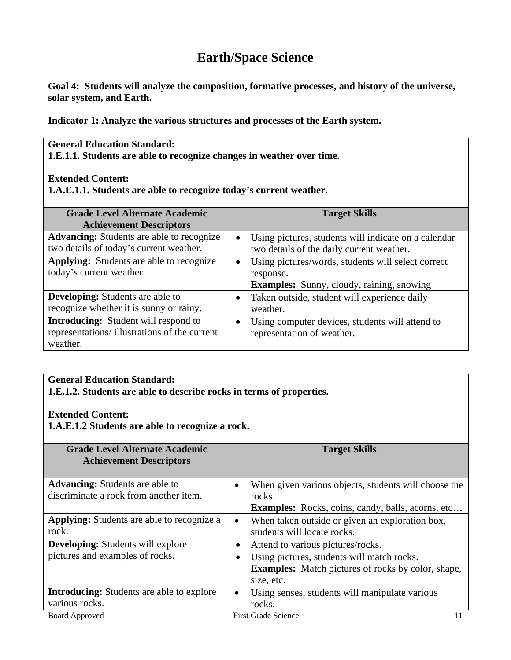# **Earth/Space Science**

**Goal 4: Students will analyze the composition, formative processes, and history of the universe, solar system, and Earth.** 

**Indicator 1: Analyze the various structures and processes of the Earth system.** 

# **General Education Standard:**

**1.E.1.1. Students are able to recognize changes in weather over time.** 

#### **Extended Content:**

**1.A.E.1.1. Students are able to recognize today's current weather.**

| <b>Grade Level Alternate Academic</b><br><b>Achievement Descriptors</b>                                 |           | <b>Target Skills</b>                                                                                                |
|---------------------------------------------------------------------------------------------------------|-----------|---------------------------------------------------------------------------------------------------------------------|
| <b>Advancing:</b> Students are able to recognize<br>two details of today's current weather.             | $\bullet$ | Using pictures, students will indicate on a calendar<br>two details of the daily current weather.                   |
| <b>Applying:</b> Students are able to recognize<br>today's current weather.                             | $\bullet$ | Using pictures/words, students will select correct<br>response.<br><b>Examples:</b> Sunny, cloudy, raining, snowing |
| <b>Developing:</b> Students are able to<br>recognize whether it is sunny or rainy.                      |           | Taken outside, student will experience daily<br>weather.                                                            |
| <b>Introducing:</b> Student will respond to<br>representations/illustrations of the current<br>weather. | $\bullet$ | Using computer devices, students will attend to<br>representation of weather.                                       |

#### **General Education Standard:**

**1.E.1.2. Students are able to describe rocks in terms of properties.** 

#### **Extended Content:**

**1.A.E.1.2 Students are able to recognize a rock.** 

| <b>Grade Level Alternate Academic</b><br><b>Achievement Descriptors</b> |           | <b>Target Skills</b>                                      |
|-------------------------------------------------------------------------|-----------|-----------------------------------------------------------|
| <b>Advancing:</b> Students are able to                                  |           | When given various objects, students will choose the      |
| discriminate a rock from another item.                                  |           | rocks.                                                    |
|                                                                         |           | <b>Examples:</b> Rocks, coins, candy, balls, acorns, etc  |
| <b>Applying:</b> Students are able to recognize a                       |           | When taken outside or given an exploration box,           |
| rock.                                                                   |           | students will locate rocks.                               |
| <b>Developing:</b> Students will explore                                | $\bullet$ | Attend to various pictures/rocks.                         |
| pictures and examples of rocks.                                         | $\bullet$ | Using pictures, students will match rocks.                |
|                                                                         |           | <b>Examples:</b> Match pictures of rocks by color, shape, |
|                                                                         |           | size, etc.                                                |
| <b>Introducing:</b> Students are able to explore                        |           | Using senses, students will manipulate various            |
| various rocks.                                                          |           | rocks.                                                    |
| Board Approved                                                          |           | <b>First Grade Science</b>                                |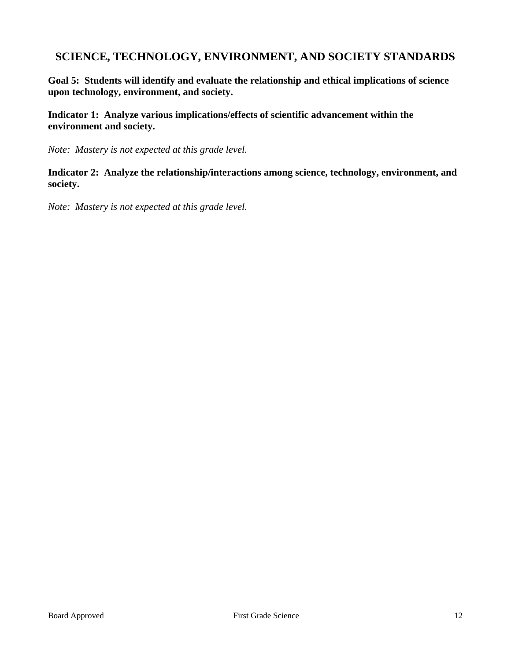# **SCIENCE, TECHNOLOGY, ENVIRONMENT, AND SOCIETY STANDARDS**

**Goal 5: Students will identify and evaluate the relationship and ethical implications of science upon technology, environment, and society.** 

**Indicator 1: Analyze various implications/effects of scientific advancement within the environment and society.** 

*Note: Mastery is not expected at this grade level.* 

**Indicator 2: Analyze the relationship/interactions among science, technology, environment, and society.** 

*Note: Mastery is not expected at this grade level.*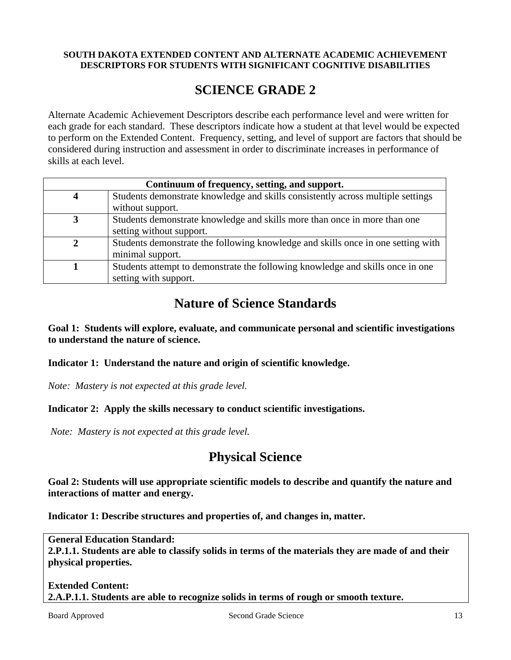#### **SOUTH DAKOTA EXTENDED CONTENT AND ALTERNATE ACADEMIC ACHIEVEMENT DESCRIPTORS FOR STUDENTS WITH SIGNIFICANT COGNITIVE DISABILITIES**

# **SCIENCE GRADE 2**

Alternate Academic Achievement Descriptors describe each performance level and were written for each grade for each standard. These descriptors indicate how a student at that level would be expected to perform on the Extended Content. Frequency, setting, and level of support are factors that should be considered during instruction and assessment in order to discriminate increases in performance of skills at each level.

| Continuum of frequency, setting, and support. |                                                                                  |  |  |
|-----------------------------------------------|----------------------------------------------------------------------------------|--|--|
|                                               | Students demonstrate knowledge and skills consistently across multiple settings  |  |  |
|                                               | without support.                                                                 |  |  |
|                                               | Students demonstrate knowledge and skills more than once in more than one        |  |  |
|                                               | setting without support.                                                         |  |  |
|                                               | Students demonstrate the following knowledge and skills once in one setting with |  |  |
|                                               | minimal support.                                                                 |  |  |
|                                               | Students attempt to demonstrate the following knowledge and skills once in one   |  |  |
|                                               | setting with support.                                                            |  |  |

# **Nature of Science Standards**

**Goal 1: Students will explore, evaluate, and communicate personal and scientific investigations to understand the nature of science.** 

**Indicator 1: Understand the nature and origin of scientific knowledge.** 

*Note: Mastery is not expected at this grade level.* 

#### **Indicator 2: Apply the skills necessary to conduct scientific investigations.**

*Note: Mastery is not expected at this grade level.* 

# **Physical Science**

**Goal 2: Students will use appropriate scientific models to describe and quantify the nature and interactions of matter and energy.** 

**Indicator 1: Describe structures and properties of, and changes in, matter.** 

**General Education Standard: 2.P.1.1. Students are able to classify solids in terms of the materials they are made of and their physical properties.** 

#### **Extended Content: 2.A.P.1.1. Students are able to recognize solids in terms of rough or smooth texture.**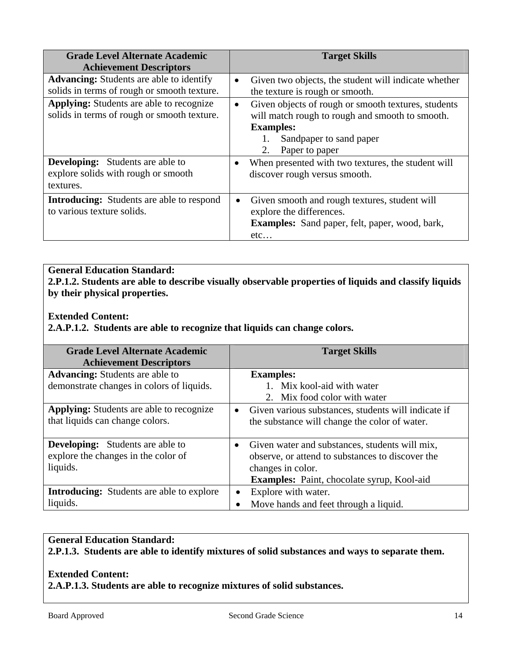| <b>Grade Level Alternate Academic</b><br><b>Achievement Descriptors</b>                        | <b>Target Skills</b>                                                                                                                                                                       |
|------------------------------------------------------------------------------------------------|--------------------------------------------------------------------------------------------------------------------------------------------------------------------------------------------|
| <b>Advancing:</b> Students are able to identify<br>solids in terms of rough or smooth texture. | Given two objects, the student will indicate whether<br>$\bullet$<br>the texture is rough or smooth.                                                                                       |
| <b>Applying:</b> Students are able to recognize<br>solids in terms of rough or smooth texture. | Given objects of rough or smooth textures, students<br>$\bullet$<br>will match rough to rough and smooth to smooth.<br><b>Examples:</b><br>Sandpaper to sand paper<br>2.<br>Paper to paper |
| <b>Developing:</b> Students are able to<br>explore solids with rough or smooth<br>textures.    | When presented with two textures, the student will<br>$\bullet$<br>discover rough versus smooth.                                                                                           |
| <b>Introducing:</b> Students are able to respond<br>to various texture solids.                 | Given smooth and rough textures, student will<br>$\bullet$<br>explore the differences.<br><b>Examples:</b> Sand paper, felt, paper, wood, bark,<br>etc                                     |

#### **General Education Standard: 2.P.1.2. Students are able to describe visually observable properties of liquids and classify liquids by their physical properties.**

### **Extended Content:**

**2.A.P.1.2. Students are able to recognize that liquids can change colors.** 

| <b>Grade Level Alternate Academic</b><br><b>Achievement Descriptors</b>                    |           | <b>Target Skills</b>                                                                                                                                                         |
|--------------------------------------------------------------------------------------------|-----------|------------------------------------------------------------------------------------------------------------------------------------------------------------------------------|
| <b>Advancing:</b> Students are able to<br>demonstrate changes in colors of liquids.        |           | <b>Examples:</b><br>1. Mix kool-aid with water<br>2. Mix food color with water                                                                                               |
| <b>Applying:</b> Students are able to recognize<br>that liquids can change colors.         | $\bullet$ | Given various substances, students will indicate if<br>the substance will change the color of water.                                                                         |
| <b>Developing:</b> Students are able to<br>explore the changes in the color of<br>liquids. | $\bullet$ | Given water and substances, students will mix,<br>observe, or attend to substances to discover the<br>changes in color.<br><b>Examples:</b> Paint, chocolate syrup, Kool-aid |
| <b>Introducing:</b> Students are able to explore                                           |           | Explore with water.                                                                                                                                                          |
| liquids.                                                                                   |           | Move hands and feet through a liquid.                                                                                                                                        |

#### **General Education Standard: 2.P.1.3. Students are able to identify mixtures of solid substances and ways to separate them.**

#### **Extended Content: 2.A.P.1.3. Students are able to recognize mixtures of solid substances.**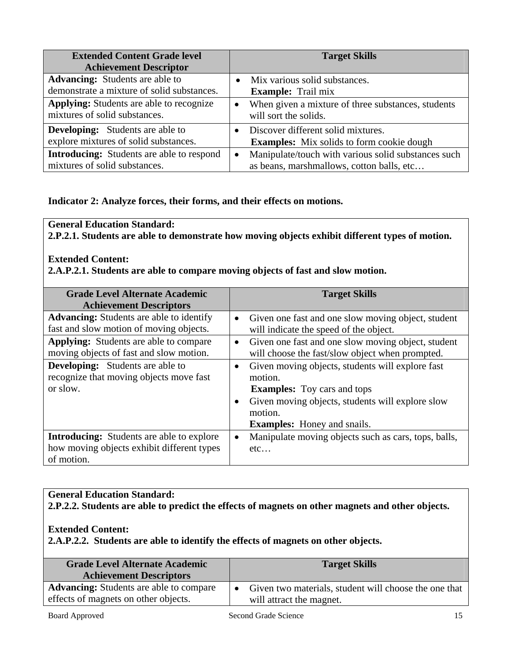| <b>Extended Content Grade level</b><br><b>Achievement Descriptor</b>                 |           | <b>Target Skills</b>                                                                             |
|--------------------------------------------------------------------------------------|-----------|--------------------------------------------------------------------------------------------------|
| <b>Advancing:</b> Students are able to<br>demonstrate a mixture of solid substances. |           | Mix various solid substances.<br><b>Example:</b> Trail mix                                       |
| Applying: Students are able to recognize<br>mixtures of solid substances.            | $\bullet$ | When given a mixture of three substances, students<br>will sort the solids.                      |
| <b>Developing:</b> Students are able to<br>explore mixtures of solid substances.     |           | Discover different solid mixtures.<br><b>Examples:</b> Mix solids to form cookie dough           |
| <b>Introducing:</b> Students are able to respond<br>mixtures of solid substances.    | $\bullet$ | Manipulate/touch with various solid substances such<br>as beans, marshmallows, cotton balls, etc |

### **Indicator 2: Analyze forces, their forms, and their effects on motions.**

#### **General Education Standard:**

**2.P.2.1. Students are able to demonstrate how moving objects exhibit different types of motion.** 

### **Extended Content:**

**2.A.P.2.1. Students are able to compare moving objects of fast and slow motion.** 

| <b>Grade Level Alternate Academic</b><br><b>Achievement Descriptors</b>                                      |           | <b>Target Skills</b>                                                                                                                                                                                   |
|--------------------------------------------------------------------------------------------------------------|-----------|--------------------------------------------------------------------------------------------------------------------------------------------------------------------------------------------------------|
| <b>Advancing:</b> Students are able to identify<br>fast and slow motion of moving objects.                   | $\bullet$ | Given one fast and one slow moving object, student<br>will indicate the speed of the object.                                                                                                           |
| <b>Applying:</b> Students are able to compare<br>moving objects of fast and slow motion.                     | $\bullet$ | Given one fast and one slow moving object, student<br>will choose the fast/slow object when prompted.                                                                                                  |
| <b>Developing:</b> Students are able to<br>recognize that moving objects move fast<br>or slow.               | $\bullet$ | Given moving objects, students will explore fast<br>motion.<br><b>Examples:</b> Toy cars and tops<br>Given moving objects, students will explore slow<br>motion.<br><b>Examples:</b> Honey and snails. |
| <b>Introducing:</b> Students are able to explore<br>how moving objects exhibit different types<br>of motion. | $\bullet$ | Manipulate moving objects such as cars, tops, balls,<br>etc                                                                                                                                            |

### **General Education Standard: 2.P.2.2. Students are able to predict the effects of magnets on other magnets and other objects.**

**Extended Content:** 

**2.A.P.2.2. Students are able to identify the effects of magnets on other objects.** 

| <b>Grade Level Alternate Academic</b><br><b>Achievement Descriptors</b> | <b>Target Skills</b>                                  |
|-------------------------------------------------------------------------|-------------------------------------------------------|
| <b>Advancing:</b> Students are able to compare                          | Given two materials, student will choose the one that |
| effects of magnets on other objects.                                    | will attract the magnet.                              |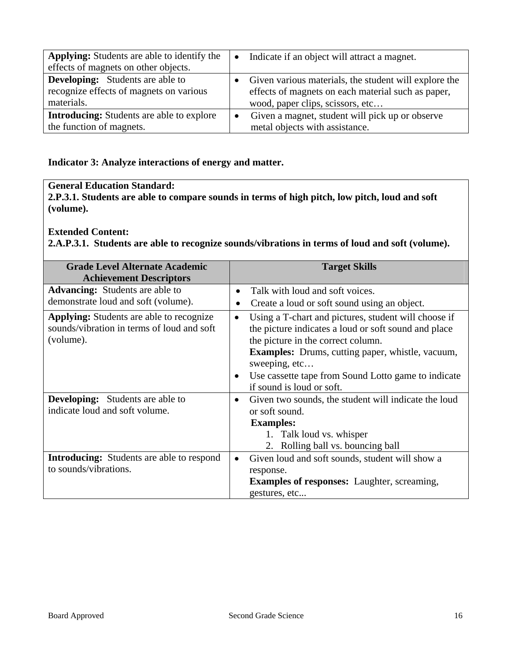| <b>Applying:</b> Students are able to identify the | $\bullet$ | Indicate if an object will attract a magnet.          |
|----------------------------------------------------|-----------|-------------------------------------------------------|
| effects of magnets on other objects.               |           |                                                       |
| <b>Developing:</b> Students are able to            |           | Given various materials, the student will explore the |
| recognize effects of magnets on various            |           | effects of magnets on each material such as paper,    |
| materials.                                         |           | wood, paper clips, scissors, etc                      |
| <b>Introducing:</b> Students are able to explore   |           | Given a magnet, student will pick up or observe       |
| the function of magnets.                           |           | metal objects with assistance.                        |

# **Indicator 3: Analyze interactions of energy and matter.**

# **General Education Standard:**

**2.P.3.1. Students are able to compare sounds in terms of high pitch, low pitch, loud and soft (volume).** 

#### **Extended Content:**

**2.A.P.3.1. Students are able to recognize sounds/vibrations in terms of loud and soft (volume).** 

| <b>Grade Level Alternate Academic</b>                                                                      |                        | <b>Target Skills</b>                                                                                                                                                                                                                                                                                               |
|------------------------------------------------------------------------------------------------------------|------------------------|--------------------------------------------------------------------------------------------------------------------------------------------------------------------------------------------------------------------------------------------------------------------------------------------------------------------|
| <b>Achievement Descriptors</b>                                                                             |                        |                                                                                                                                                                                                                                                                                                                    |
| <b>Advancing:</b> Students are able to                                                                     | $\bullet$              | Talk with loud and soft voices.                                                                                                                                                                                                                                                                                    |
| demonstrate loud and soft (volume).                                                                        | $\bullet$              | Create a loud or soft sound using an object.                                                                                                                                                                                                                                                                       |
| <b>Applying:</b> Students are able to recognize<br>sounds/vibration in terms of loud and soft<br>(volume). | $\bullet$<br>$\bullet$ | Using a T-chart and pictures, student will choose if<br>the picture indicates a loud or soft sound and place<br>the picture in the correct column.<br><b>Examples:</b> Drums, cutting paper, whistle, vacuum,<br>sweeping, etc<br>Use cassette tape from Sound Lotto game to indicate<br>if sound is loud or soft. |
| <b>Developing:</b> Students are able to                                                                    | $\bullet$              | Given two sounds, the student will indicate the loud                                                                                                                                                                                                                                                               |
| indicate loud and soft volume.                                                                             |                        | or soft sound.                                                                                                                                                                                                                                                                                                     |
|                                                                                                            |                        | <b>Examples:</b>                                                                                                                                                                                                                                                                                                   |
|                                                                                                            |                        | 1. Talk loud vs. whisper                                                                                                                                                                                                                                                                                           |
|                                                                                                            |                        | 2. Rolling ball vs. bouncing ball                                                                                                                                                                                                                                                                                  |
| <b>Introducing:</b> Students are able to respond                                                           | $\bullet$              | Given loud and soft sounds, student will show a                                                                                                                                                                                                                                                                    |
| to sounds/vibrations.                                                                                      |                        | response.                                                                                                                                                                                                                                                                                                          |
|                                                                                                            |                        | <b>Examples of responses:</b> Laughter, screaming,                                                                                                                                                                                                                                                                 |
|                                                                                                            |                        | gestures, etc                                                                                                                                                                                                                                                                                                      |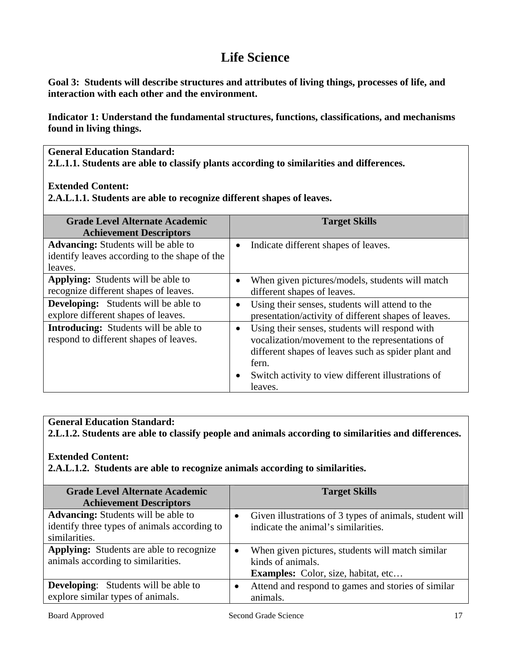# **Life Science**

**Goal 3: Students will describe structures and attributes of living things, processes of life, and interaction with each other and the environment.** 

**Indicator 1: Understand the fundamental structures, functions, classifications, and mechanisms found in living things.** 

**General Education Standard:** 

**2.L.1.1. Students are able to classify plants according to similarities and differences.** 

#### **Extended Content:**

**2.A.L.1.1. Students are able to recognize different shapes of leaves.** 

| <b>Grade Level Alternate Academic</b><br><b>Achievement Descriptors</b>                                |                        | <b>Target Skills</b>                                                                                                                                                                                                    |
|--------------------------------------------------------------------------------------------------------|------------------------|-------------------------------------------------------------------------------------------------------------------------------------------------------------------------------------------------------------------------|
| <b>Advancing:</b> Students will be able to<br>identify leaves according to the shape of the<br>leaves. | $\bullet$              | Indicate different shapes of leaves.                                                                                                                                                                                    |
| <b>Applying:</b> Students will be able to<br>recognize different shapes of leaves.                     |                        | When given pictures/models, students will match<br>different shapes of leaves.                                                                                                                                          |
| <b>Developing:</b> Students will be able to<br>explore different shapes of leaves.                     | $\bullet$              | Using their senses, students will attend to the<br>presentation/activity of different shapes of leaves.                                                                                                                 |
| <b>Introducing:</b> Students will be able to<br>respond to different shapes of leaves.                 | $\bullet$<br>$\bullet$ | Using their senses, students will respond with<br>vocalization/movement to the representations of<br>different shapes of leaves such as spider plant and<br>fern.<br>Switch activity to view different illustrations of |
|                                                                                                        |                        | leaves.                                                                                                                                                                                                                 |

#### **General Education Standard:**

**2.L.1.2. Students are able to classify people and animals according to similarities and differences.** 

#### **Extended Content:**

**2.A.L.1.2. Students are able to recognize animals according to similarities.** 

| <b>Grade Level Alternate Academic</b><br><b>Achievement Descriptors</b>                                     | <b>Target Skills</b>                                                                                                |
|-------------------------------------------------------------------------------------------------------------|---------------------------------------------------------------------------------------------------------------------|
| <b>Advancing:</b> Students will be able to<br>identify three types of animals according to<br>similarities. | Given illustrations of 3 types of animals, student will<br>indicate the animal's similarities.                      |
| <b>Applying:</b> Students are able to recognize<br>animals according to similarities.                       | When given pictures, students will match similar<br>kinds of animals.<br><b>Examples:</b> Color, size, habitat, etc |
| <b>Developing:</b> Students will be able to<br>explore similar types of animals.                            | Attend and respond to games and stories of similar<br>animals.                                                      |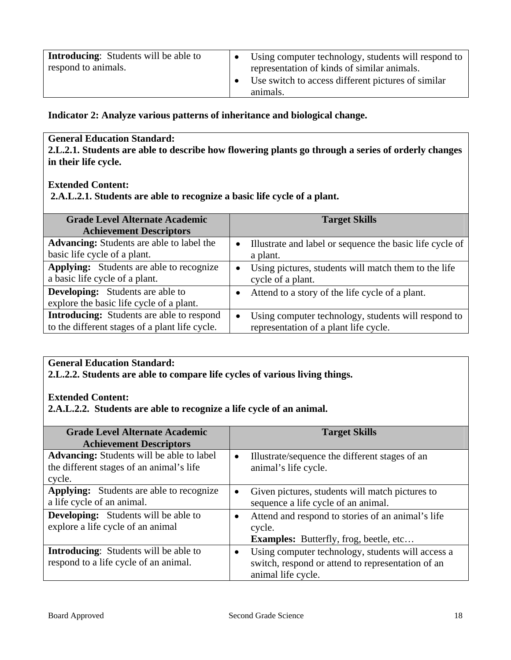| <b>Introducing:</b> Students will be able to<br>respond to animals. | Using computer technology, students will respond to<br>representation of kinds of similar animals. |
|---------------------------------------------------------------------|----------------------------------------------------------------------------------------------------|
|                                                                     | Use switch to access different pictures of similar<br>animals.                                     |

**Indicator 2: Analyze various patterns of inheritance and biological change.** 

### **General Education Standard:**

**2.L.2.1. Students are able to describe how flowering plants go through a series of orderly changes in their life cycle.** 

### **Extended Content:**

 **2.A.L.2.1. Students are able to recognize a basic life cycle of a plant.** 

| <b>Grade Level Alternate Academic</b>            |           | <b>Target Skills</b>                                     |
|--------------------------------------------------|-----------|----------------------------------------------------------|
| <b>Achievement Descriptors</b>                   |           |                                                          |
| <b>Advancing:</b> Students are able to label the | $\bullet$ | Illustrate and label or sequence the basic life cycle of |
| basic life cycle of a plant.                     |           | a plant.                                                 |
| <b>Applying:</b> Students are able to recognize  | $\bullet$ | Using pictures, students will match them to the life     |
| a basic life cycle of a plant.                   |           | cycle of a plant.                                        |
| <b>Developing:</b> Students are able to          |           | Attend to a story of the life cycle of a plant.          |
| explore the basic life cycle of a plant.         |           |                                                          |
| <b>Introducing:</b> Students are able to respond | $\bullet$ | Using computer technology, students will respond to      |
| to the different stages of a plant life cycle.   |           | representation of a plant life cycle.                    |

#### **General Education Standard:**

**2.L.2.2. Students are able to compare life cycles of various living things.** 

#### **Extended Content:**

**2.A.L.2.2. Students are able to recognize a life cycle of an animal.** 

| <b>Grade Level Alternate Academic</b><br><b>Achievement Descriptors</b>                                | <b>Target Skills</b>                                                                                                                      |
|--------------------------------------------------------------------------------------------------------|-------------------------------------------------------------------------------------------------------------------------------------------|
| <b>Advancing:</b> Students will be able to label<br>the different stages of an animal's life<br>cycle. | Illustrate/sequence the different stages of an<br>$\bullet$<br>animal's life cycle.                                                       |
| <b>Applying:</b> Students are able to recognize<br>a life cycle of an animal.                          | Given pictures, students will match pictures to<br>sequence a life cycle of an animal.                                                    |
| <b>Developing:</b> Students will be able to<br>explore a life cycle of an animal                       | Attend and respond to stories of an animal's life<br>cycle.<br><b>Examples:</b> Butterfly, frog, beetle, etc                              |
| <b>Introducing:</b> Students will be able to<br>respond to a life cycle of an animal.                  | Using computer technology, students will access a<br>$\bullet$<br>switch, respond or attend to representation of an<br>animal life cycle. |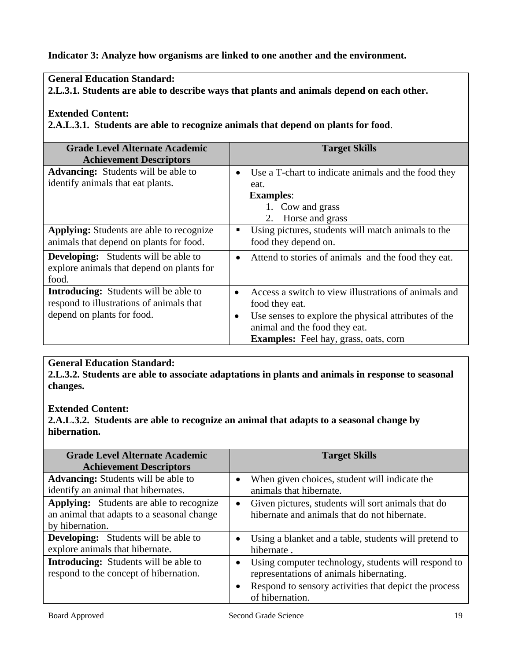### **Indicator 3: Analyze how organisms are linked to one another and the environment.**

### **General Education Standard:**

**2.L.3.1. Students are able to describe ways that plants and animals depend on each other.** 

#### **Extended Content:**

**2.A.L.3.1. Students are able to recognize animals that depend on plants for food**.

| <b>Grade Level Alternate Academic</b><br><b>Achievement Descriptors</b>                                                | <b>Target Skills</b>                                                                                                                                                                      |
|------------------------------------------------------------------------------------------------------------------------|-------------------------------------------------------------------------------------------------------------------------------------------------------------------------------------------|
| <b>Advancing:</b> Students will be able to<br>identify animals that eat plants.                                        | Use a T-chart to indicate animals and the food they<br>$\bullet$<br>eat.<br><b>Examples:</b><br>1. Cow and grass<br>Horse and grass<br>2.                                                 |
| <b>Applying:</b> Students are able to recognize<br>animals that depend on plants for food.                             | Using pictures, students will match animals to the<br>food they depend on.                                                                                                                |
| <b>Developing:</b> Students will be able to<br>explore animals that depend on plants for<br>food.                      | Attend to stories of animals and the food they eat.<br>$\bullet$                                                                                                                          |
| <b>Introducing:</b> Students will be able to<br>respond to illustrations of animals that<br>depend on plants for food. | Access a switch to view illustrations of animals and<br>$\bullet$<br>food they eat.<br>Use senses to explore the physical attributes of the<br>$\bullet$<br>animal and the food they eat. |
|                                                                                                                        | <b>Examples:</b> Feel hay, grass, oats, corn                                                                                                                                              |

#### **General Education Standard:**

**2.L.3.2. Students are able to associate adaptations in plants and animals in response to seasonal changes.** 

#### **Extended Content:**

**2.A.L.3.2. Students are able to recognize an animal that adapts to a seasonal change by hibernation.** 

| <b>Grade Level Alternate Academic</b><br><b>Achievement Descriptors</b>                                          |           | <b>Target Skills</b>                                                                               |
|------------------------------------------------------------------------------------------------------------------|-----------|----------------------------------------------------------------------------------------------------|
| <b>Advancing:</b> Students will be able to<br>identify an animal that hibernates.                                | $\bullet$ | When given choices, student will indicate the<br>animals that hibernate.                           |
| <b>Applying:</b> Students are able to recognize<br>an animal that adapts to a seasonal change<br>by hibernation. | $\bullet$ | Given pictures, students will sort animals that do<br>hibernate and animals that do not hibernate. |
| <b>Developing:</b> Students will be able to<br>explore animals that hibernate.                                   |           | Using a blanket and a table, students will pretend to<br>hibernate.                                |
| <b>Introducing:</b> Students will be able to<br>respond to the concept of hibernation.                           |           | Using computer technology, students will respond to<br>representations of animals hibernating.     |
|                                                                                                                  | $\bullet$ | Respond to sensory activities that depict the process<br>of hibernation.                           |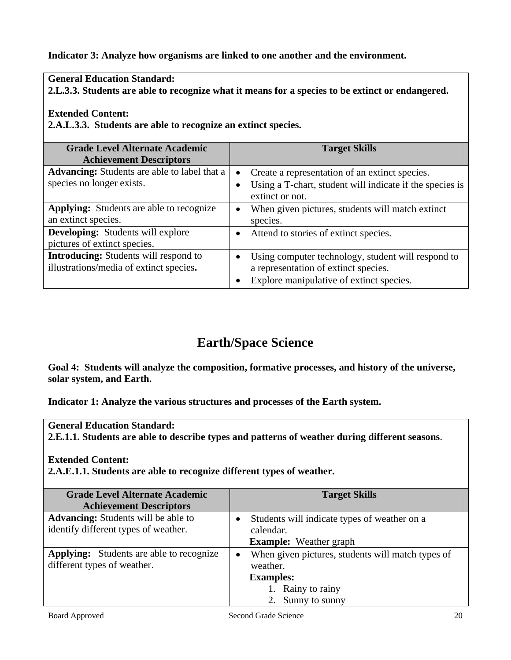#### **Indicator 3: Analyze how organisms are linked to one another and the environment.**

#### **General Education Standard:**

**2.L.3.3. Students are able to recognize what it means for a species to be extinct or endangered.** 

#### **Extended Content:**

**2.A.L.3.3. Students are able to recognize an extinct species.** 

| <b>Grade Level Alternate Academic</b>               |           | <b>Target Skills</b>                                     |
|-----------------------------------------------------|-----------|----------------------------------------------------------|
| <b>Achievement Descriptors</b>                      |           |                                                          |
| <b>Advancing:</b> Students are able to label that a | $\bullet$ | Create a representation of an extinct species.           |
| species no longer exists.                           |           | Using a T-chart, student will indicate if the species is |
|                                                     |           | extinct or not.                                          |
| <b>Applying:</b> Students are able to recognize     |           | When given pictures, students will match extinct         |
| an extinct species.                                 |           | species.                                                 |
| <b>Developing:</b> Students will explore            |           | Attend to stories of extinct species.                    |
| pictures of extinct species.                        |           |                                                          |
| <b>Introducing:</b> Students will respond to        |           | Using computer technology, student will respond to       |
| illustrations/media of extinct species.             |           | a representation of extinct species.                     |
|                                                     |           | Explore manipulative of extinct species.                 |

# **Earth/Space Science**

**Goal 4: Students will analyze the composition, formative processes, and history of the universe, solar system, and Earth.** 

**Indicator 1: Analyze the various structures and processes of the Earth system.** 

**General Education Standard:** 

**2.E.1.1. Students are able to describe types and patterns of weather during different seasons**.

#### **Extended Content:**

**2.A.E.1.1. Students are able to recognize different types of weather.** 

| <b>Grade Level Alternate Academic</b><br><b>Achievement Descriptors</b>            | <b>Target Skills</b>                                                                                                        |
|------------------------------------------------------------------------------------|-----------------------------------------------------------------------------------------------------------------------------|
| <b>Advancing:</b> Students will be able to<br>identify different types of weather. | Students will indicate types of weather on a<br>calendar.<br><b>Example:</b> Weather graph                                  |
| <b>Applying:</b> Students are able to recognize<br>different types of weather.     | When given pictures, students will match types of<br>weather.<br><b>Examples:</b><br>1. Rainy to rainy<br>2. Sunny to sunny |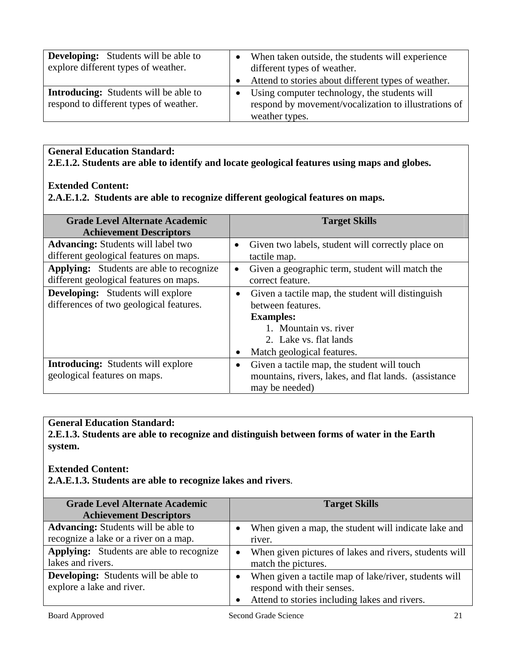| <b>Developing:</b> Students will be able to<br>explore different types of weather.     | When taken outside, the students will experience<br>different types of weather.                                        |
|----------------------------------------------------------------------------------------|------------------------------------------------------------------------------------------------------------------------|
|                                                                                        | Attend to stories about different types of weather.                                                                    |
| <b>Introducing:</b> Students will be able to<br>respond to different types of weather. | Using computer technology, the students will<br>respond by movement/vocalization to illustrations of<br>weather types. |

**General Education Standard: 2.E.1.2. Students are able to identify and locate geological features using maps and globes.** 

#### **Extended Content:**

**2.A.E.1.2. Students are able to recognize different geological features on maps.** 

| <b>Grade Level Alternate Academic</b><br><b>Achievement Descriptors</b>                   | <b>Target Skills</b>                                                                                                                                                                     |
|-------------------------------------------------------------------------------------------|------------------------------------------------------------------------------------------------------------------------------------------------------------------------------------------|
| <b>Advancing:</b> Students will label two<br>different geological features on maps.       | Given two labels, student will correctly place on<br>$\bullet$<br>tactile map.                                                                                                           |
| <b>Applying:</b> Students are able to recognize<br>different geological features on maps. | Given a geographic term, student will match the<br>correct feature.                                                                                                                      |
| <b>Developing:</b> Students will explore<br>differences of two geological features.       | Given a tactile map, the student will distinguish<br>$\bullet$<br>between features.<br><b>Examples:</b><br>1. Mountain vs. river<br>2. Lake vs. flat lands<br>Match geological features. |
| <b>Introducing:</b> Students will explore<br>geological features on maps.                 | Given a tactile map, the student will touch<br>$\bullet$<br>mountains, rivers, lakes, and flat lands. (assistance<br>may be needed)                                                      |

# **General Education Standard:**

**2.E.1.3. Students are able to recognize and distinguish between forms of water in the Earth system.** 

#### **Extended Content:**

**2.A.E.1.3. Students are able to recognize lakes and rivers**.

| <b>Grade Level Alternate Academic</b>           | <b>Target Skills</b>                                   |
|-------------------------------------------------|--------------------------------------------------------|
| <b>Achievement Descriptors</b>                  |                                                        |
| <b>Advancing:</b> Students will be able to      | When given a map, the student will indicate lake and   |
| recognize a lake or a river on a map.           | river.                                                 |
| <b>Applying:</b> Students are able to recognize | When given pictures of lakes and rivers, students will |
| lakes and rivers.                               | match the pictures.                                    |
| <b>Developing:</b> Students will be able to     | When given a tactile map of lake/river, students will  |
| explore a lake and river.                       | respond with their senses.                             |
|                                                 | • Attend to stories including lakes and rivers.        |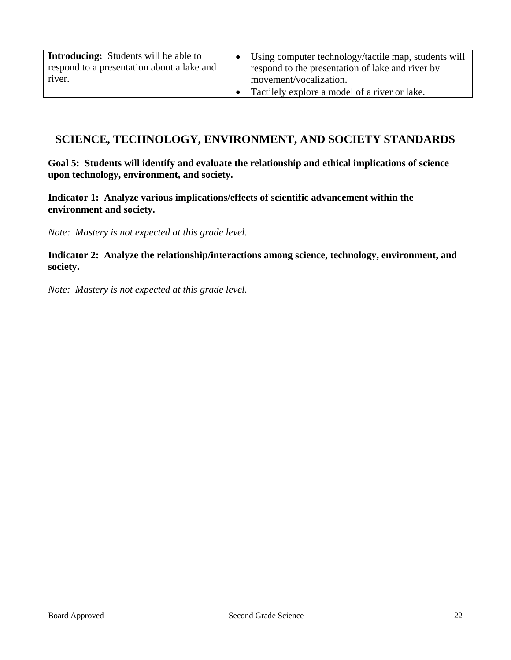| <b>Introducing:</b> Students will be able to<br>respond to a presentation about a lake and | Using computer technology/tactile map, students will<br>respond to the presentation of lake and river by |
|--------------------------------------------------------------------------------------------|----------------------------------------------------------------------------------------------------------|
| river.                                                                                     | movement/vocalization.                                                                                   |
|                                                                                            | Tactilely explore a model of a river or lake.                                                            |

# **SCIENCE, TECHNOLOGY, ENVIRONMENT, AND SOCIETY STANDARDS**

**Goal 5: Students will identify and evaluate the relationship and ethical implications of science upon technology, environment, and society.** 

**Indicator 1: Analyze various implications/effects of scientific advancement within the environment and society.** 

*Note: Mastery is not expected at this grade level.* 

**Indicator 2: Analyze the relationship/interactions among science, technology, environment, and society.** 

*Note: Mastery is not expected at this grade level.*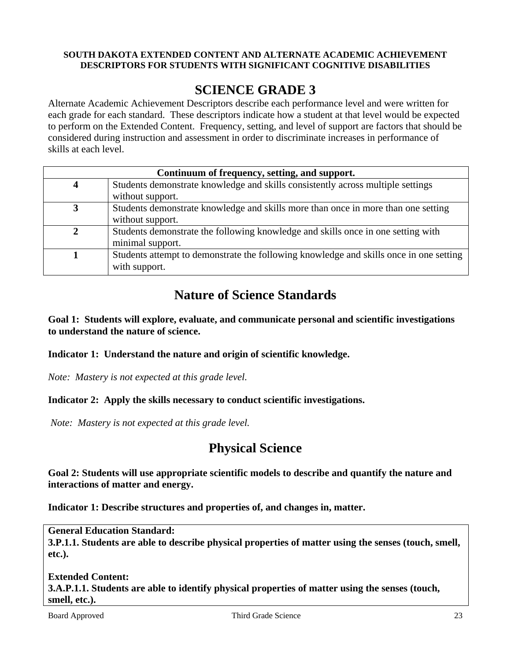#### **SOUTH DAKOTA EXTENDED CONTENT AND ALTERNATE ACADEMIC ACHIEVEMENT DESCRIPTORS FOR STUDENTS WITH SIGNIFICANT COGNITIVE DISABILITIES**

# **SCIENCE GRADE 3**

Alternate Academic Achievement Descriptors describe each performance level and were written for each grade for each standard. These descriptors indicate how a student at that level would be expected to perform on the Extended Content. Frequency, setting, and level of support are factors that should be considered during instruction and assessment in order to discriminate increases in performance of skills at each level.

| Continuum of frequency, setting, and support. |                                                                                        |  |
|-----------------------------------------------|----------------------------------------------------------------------------------------|--|
| 4                                             | Students demonstrate knowledge and skills consistently across multiple settings        |  |
|                                               | without support.                                                                       |  |
| 3                                             | Students demonstrate knowledge and skills more than once in more than one setting      |  |
|                                               | without support.                                                                       |  |
|                                               | Students demonstrate the following knowledge and skills once in one setting with       |  |
|                                               | minimal support.                                                                       |  |
|                                               | Students attempt to demonstrate the following knowledge and skills once in one setting |  |
|                                               | with support.                                                                          |  |

# **Nature of Science Standards**

**Goal 1: Students will explore, evaluate, and communicate personal and scientific investigations to understand the nature of science.** 

#### **Indicator 1: Understand the nature and origin of scientific knowledge.**

*Note: Mastery is not expected at this grade level.* 

#### **Indicator 2: Apply the skills necessary to conduct scientific investigations.**

*Note: Mastery is not expected at this grade level.* 

# **Physical Science**

**Goal 2: Students will use appropriate scientific models to describe and quantify the nature and interactions of matter and energy.** 

**Indicator 1: Describe structures and properties of, and changes in, matter.** 

**General Education Standard:** 

**3.P.1.1. Students are able to describe physical properties of matter using the senses (touch, smell, etc.).** 

**Extended Content: 3.A.P.1.1. Students are able to identify physical properties of matter using the senses (touch, smell, etc.).**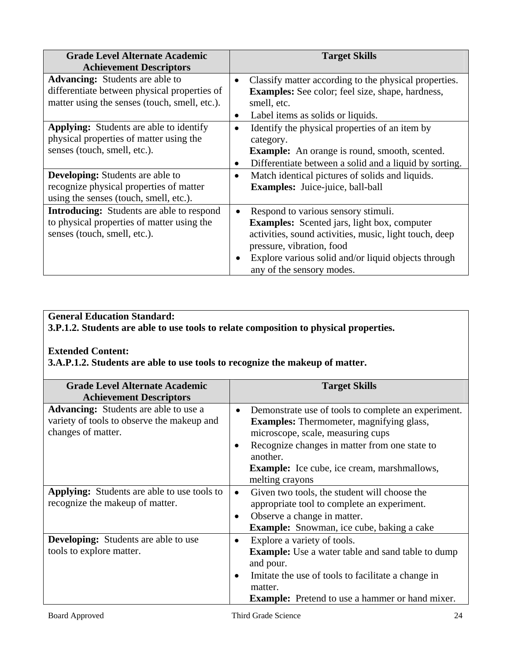| <b>Grade Level Alternate Academic</b><br><b>Achievement Descriptors</b>                                                                 |                        | <b>Target Skills</b>                                                                                                                                                                                                                                                 |
|-----------------------------------------------------------------------------------------------------------------------------------------|------------------------|----------------------------------------------------------------------------------------------------------------------------------------------------------------------------------------------------------------------------------------------------------------------|
| <b>Advancing:</b> Students are able to<br>differentiate between physical properties of<br>matter using the senses (touch, smell, etc.). | $\bullet$<br>$\bullet$ | Classify matter according to the physical properties.<br><b>Examples:</b> See color; feel size, shape, hardness,<br>smell, etc.<br>Label items as solids or liquids.                                                                                                 |
| <b>Applying:</b> Students are able to identify<br>physical properties of matter using the<br>senses (touch, smell, etc.).               | $\bullet$<br>$\bullet$ | Identify the physical properties of an item by<br>category.<br><b>Example:</b> An orange is round, smooth, scented.<br>Differentiate between a solid and a liquid by sorting.                                                                                        |
| <b>Developing:</b> Students are able to<br>recognize physical properties of matter<br>using the senses (touch, smell, etc.).            | $\bullet$              | Match identical pictures of solids and liquids.<br>Examples: Juice-juice, ball-ball                                                                                                                                                                                  |
| <b>Introducing:</b> Students are able to respond<br>to physical properties of matter using the<br>senses (touch, smell, etc.).          | $\bullet$<br>$\bullet$ | Respond to various sensory stimuli.<br><b>Examples:</b> Scented jars, light box, computer<br>activities, sound activities, music, light touch, deep<br>pressure, vibration, food<br>Explore various solid and/or liquid objects through<br>any of the sensory modes. |

# **General Education Standard:**

**3.P.1.2. Students are able to use tools to relate composition to physical properties.** 

#### **Extended Content:**

**3.A.P.1.2. Students are able to use tools to recognize the makeup of matter.** 

| <b>Grade Level Alternate Academic</b>              |           | <b>Target Skills</b>                                     |
|----------------------------------------------------|-----------|----------------------------------------------------------|
| <b>Achievement Descriptors</b>                     |           |                                                          |
| <b>Advancing:</b> Students are able to use a       | $\bullet$ | Demonstrate use of tools to complete an experiment.      |
| variety of tools to observe the makeup and         |           | <b>Examples:</b> Thermometer, magnifying glass,          |
| changes of matter.                                 |           | microscope, scale, measuring cups                        |
|                                                    |           | Recognize changes in matter from one state to            |
|                                                    |           | another.                                                 |
|                                                    |           | <b>Example:</b> Ice cube, ice cream, marshmallows,       |
|                                                    |           | melting crayons                                          |
| <b>Applying:</b> Students are able to use tools to | $\bullet$ | Given two tools, the student will choose the             |
| recognize the makeup of matter.                    |           | appropriate tool to complete an experiment.              |
|                                                    |           | Observe a change in matter.                              |
|                                                    |           | <b>Example:</b> Snowman, ice cube, baking a cake         |
| <b>Developing:</b> Students are able to use        |           | Explore a variety of tools.                              |
| tools to explore matter.                           |           | <b>Example:</b> Use a water table and sand table to dump |
|                                                    |           | and pour.                                                |
|                                                    |           | Imitate the use of tools to facilitate a change in       |
|                                                    |           | matter.                                                  |
|                                                    |           | <b>Example:</b> Pretend to use a hammer or hand mixer.   |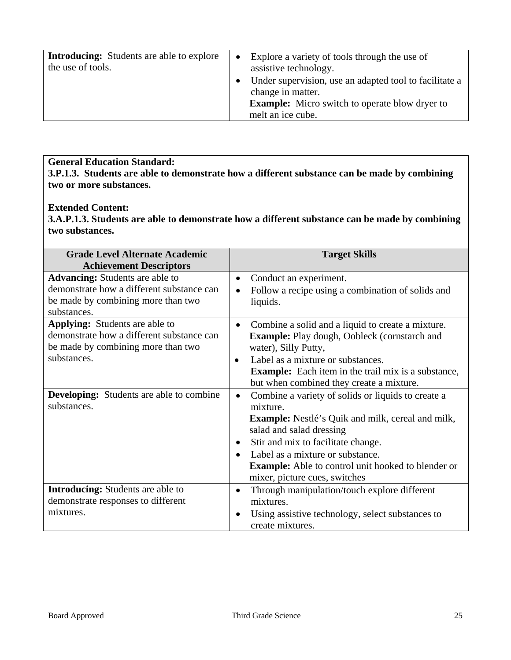| <b>Introducing:</b> Students are able to explore | $\bullet$ | Explore a variety of tools through the use of          |
|--------------------------------------------------|-----------|--------------------------------------------------------|
| the use of tools.                                |           | assistive technology.                                  |
|                                                  |           | Under supervision, use an adapted tool to facilitate a |
|                                                  |           | change in matter.                                      |
|                                                  |           | <b>Example:</b> Micro switch to operate blow dryer to  |
|                                                  |           | melt an ice cube.                                      |

**General Education Standard: 3.P.1.3. Students are able to demonstrate how a different substance can be made by combining two or more substances.** 

#### **Extended Content:**

**3.A.P.1.3. Students are able to demonstrate how a different substance can be made by combining two substances.** 

| <b>Grade Level Alternate Academic</b>           |           | <b>Target Skills</b>                                       |
|-------------------------------------------------|-----------|------------------------------------------------------------|
| <b>Achievement Descriptors</b>                  |           |                                                            |
| <b>Advancing:</b> Students are able to          | $\bullet$ | Conduct an experiment.                                     |
| demonstrate how a different substance can       |           | Follow a recipe using a combination of solids and          |
| be made by combining more than two              |           | liquids.                                                   |
| substances.                                     |           |                                                            |
| <b>Applying:</b> Students are able to           | ٠         | Combine a solid and a liquid to create a mixture.          |
| demonstrate how a different substance can       |           | <b>Example:</b> Play dough, Oobleck (cornstarch and        |
| be made by combining more than two              |           | water), Silly Putty,                                       |
| substances.                                     | $\bullet$ | Label as a mixture or substances.                          |
|                                                 |           | <b>Example:</b> Each item in the trail mix is a substance, |
|                                                 |           | but when combined they create a mixture.                   |
| <b>Developing:</b> Students are able to combine | ٠         | Combine a variety of solids or liquids to create a         |
| substances.                                     |           | mixture.                                                   |
|                                                 |           | <b>Example:</b> Nestlé's Quik and milk, cereal and milk,   |
|                                                 |           | salad and salad dressing                                   |
|                                                 | $\bullet$ | Stir and mix to facilitate change.                         |
|                                                 | $\bullet$ | Label as a mixture or substance.                           |
|                                                 |           | <b>Example:</b> Able to control unit hooked to blender or  |
|                                                 |           | mixer, picture cues, switches                              |
| <b>Introducing:</b> Students are able to        |           | Through manipulation/touch explore different               |
| demonstrate responses to different              |           | mixtures.                                                  |
| mixtures.                                       | $\bullet$ | Using assistive technology, select substances to           |
|                                                 |           | create mixtures.                                           |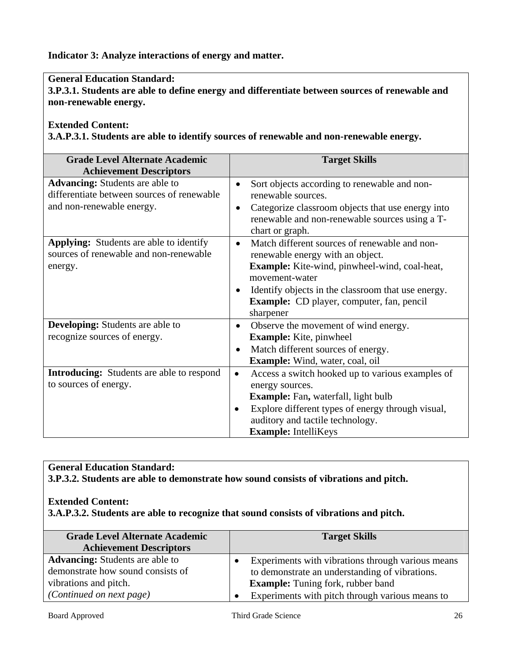**Indicator 3: Analyze interactions of energy and matter.** 

### **General Education Standard:**

**3.P.3.1. Students are able to define energy and differentiate between sources of renewable and non-renewable energy.** 

### **Extended Content:**

**3.A.P.3.1. Students are able to identify sources of renewable and non-renewable energy.** 

| <b>Grade Level Alternate Academic</b><br><b>Achievement Descriptors</b>                                           | <b>Target Skills</b>                                                                                                                                                                                                                                                                                         |
|-------------------------------------------------------------------------------------------------------------------|--------------------------------------------------------------------------------------------------------------------------------------------------------------------------------------------------------------------------------------------------------------------------------------------------------------|
| <b>Advancing:</b> Students are able to<br>differentiate between sources of renewable<br>and non-renewable energy. | Sort objects according to renewable and non-<br>$\bullet$<br>renewable sources.<br>Categorize classroom objects that use energy into<br>$\bullet$<br>renewable and non-renewable sources using a T-<br>chart or graph.                                                                                       |
| <b>Applying:</b> Students are able to identify<br>sources of renewable and non-renewable<br>energy.               | Match different sources of renewable and non-<br>$\bullet$<br>renewable energy with an object.<br><b>Example:</b> Kite-wind, pinwheel-wind, coal-heat,<br>movement-water<br>Identify objects in the classroom that use energy.<br>$\bullet$<br><b>Example:</b> CD player, computer, fan, pencil<br>sharpener |
| <b>Developing:</b> Students are able to<br>recognize sources of energy.                                           | Observe the movement of wind energy.<br>$\bullet$<br><b>Example:</b> Kite, pinwheel<br>Match different sources of energy.<br>$\bullet$<br><b>Example:</b> Wind, water, coal, oil                                                                                                                             |
| <b>Introducing:</b> Students are able to respond<br>to sources of energy.                                         | Access a switch hooked up to various examples of<br>$\bullet$<br>energy sources.<br><b>Example:</b> Fan, waterfall, light bulb<br>Explore different types of energy through visual,<br>auditory and tactile technology.<br><b>Example:</b> IntelliKeys                                                       |

# **General Education Standard: 3.P.3.2. Students are able to demonstrate how sound consists of vibrations and pitch.**

### **Extended Content: 3.A.P.3.2. Students are able to recognize that sound consists of vibrations and pitch.**

| <b>Grade Level Alternate Academic</b><br><b>Achievement Descriptors</b>     |           | <b>Target Skills</b>                                                                                |
|-----------------------------------------------------------------------------|-----------|-----------------------------------------------------------------------------------------------------|
| <b>Advancing:</b> Students are able to<br>demonstrate how sound consists of | $\bullet$ | Experiments with vibrations through various means<br>to demonstrate an understanding of vibrations. |
| vibrations and pitch.<br>(Continued on next page)                           |           | <b>Example:</b> Tuning fork, rubber band<br>Experiments with pitch through various means to         |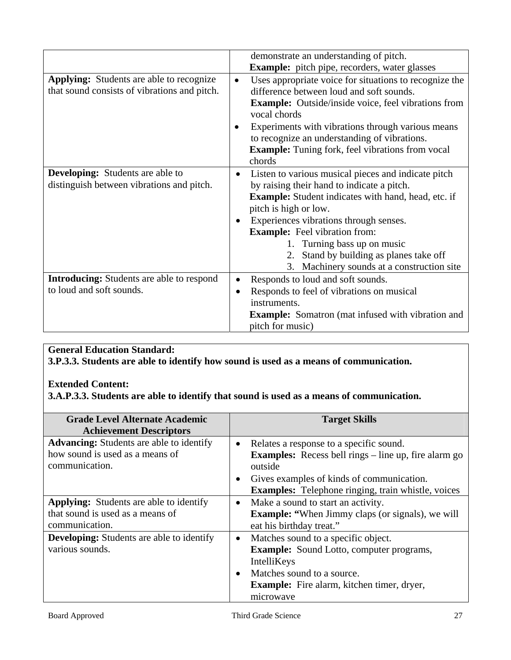|                                                                                                 |           | demonstrate an understanding of pitch.                                                                                                                                           |
|-------------------------------------------------------------------------------------------------|-----------|----------------------------------------------------------------------------------------------------------------------------------------------------------------------------------|
|                                                                                                 |           | <b>Example:</b> pitch pipe, recorders, water glasses                                                                                                                             |
| <b>Applying:</b> Students are able to recognize<br>that sound consists of vibrations and pitch. | $\bullet$ | Uses appropriate voice for situations to recognize the<br>difference between loud and soft sounds.<br><b>Example:</b> Outside/inside voice, feel vibrations from<br>vocal chords |
|                                                                                                 | $\bullet$ | Experiments with vibrations through various means<br>to recognize an understanding of vibrations.<br><b>Example:</b> Tuning fork, feel vibrations from vocal<br>chords           |
| <b>Developing:</b> Students are able to                                                         | ٠         | Listen to various musical pieces and indicate pitch                                                                                                                              |
| distinguish between vibrations and pitch.                                                       |           | by raising their hand to indicate a pitch.                                                                                                                                       |
|                                                                                                 |           | <b>Example:</b> Student indicates with hand, head, etc. if                                                                                                                       |
|                                                                                                 |           | pitch is high or low.                                                                                                                                                            |
|                                                                                                 |           | Experiences vibrations through senses.                                                                                                                                           |
|                                                                                                 |           | <b>Example:</b> Feel vibration from:                                                                                                                                             |
|                                                                                                 |           | 1. Turning bass up on music                                                                                                                                                      |
|                                                                                                 |           | 2. Stand by building as planes take off                                                                                                                                          |
|                                                                                                 |           | 3. Machinery sounds at a construction site                                                                                                                                       |
| <b>Introducing:</b> Students are able to respond                                                |           | Responds to loud and soft sounds.                                                                                                                                                |
| to loud and soft sounds.                                                                        | ٠         | Responds to feel of vibrations on musical                                                                                                                                        |
|                                                                                                 |           | instruments.                                                                                                                                                                     |
|                                                                                                 |           | <b>Example:</b> Somatron (mat infused with vibration and                                                                                                                         |
|                                                                                                 |           | pitch for music)                                                                                                                                                                 |

# **General Education Standard:**

**3.P.3.3. Students are able to identify how sound is used as a means of communication.** 

#### **Extended Content:**

**3.A.P.3.3. Students are able to identify that sound is used as a means of communication.** 

| <b>Grade Level Alternate Academic</b>            |           | <b>Target Skills</b>                                        |
|--------------------------------------------------|-----------|-------------------------------------------------------------|
| <b>Achievement Descriptors</b>                   |           |                                                             |
| <b>Advancing:</b> Students are able to identify  | ٠         | Relates a response to a specific sound.                     |
| how sound is used as a means of                  |           | <b>Examples:</b> Recess bell rings – line up, fire alarm go |
| communication.                                   |           | outside                                                     |
|                                                  | $\bullet$ | Gives examples of kinds of communication.                   |
|                                                  |           | <b>Examples:</b> Telephone ringing, train whistle, voices   |
| Applying: Students are able to identify          | $\bullet$ | Make a sound to start an activity.                          |
| that sound is used as a means of                 |           | <b>Example:</b> "When Jimmy claps (or signals), we will     |
| communication.                                   |           | eat his birthday treat."                                    |
| <b>Developing:</b> Students are able to identify | $\bullet$ | Matches sound to a specific object.                         |
| various sounds.                                  |           | <b>Example:</b> Sound Lotto, computer programs,             |
|                                                  |           | IntelliKeys                                                 |
|                                                  | $\bullet$ | Matches sound to a source.                                  |
|                                                  |           | <b>Example:</b> Fire alarm, kitchen timer, dryer,           |
|                                                  |           | microwave                                                   |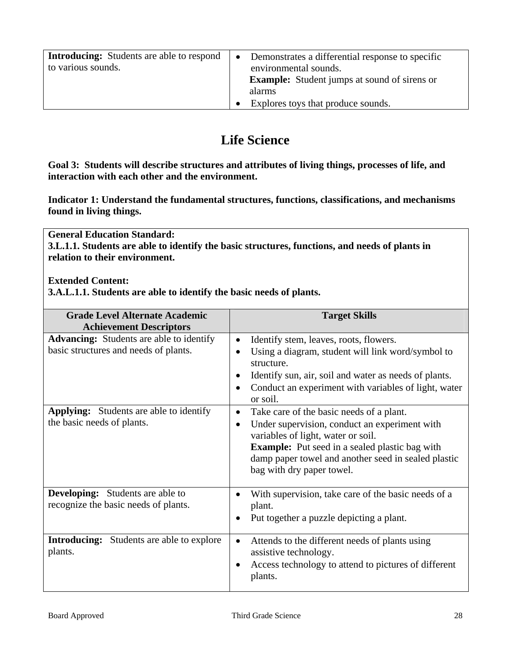| <b>Introducing:</b> Students are able to respond<br>to various sounds. | $\bullet$ | Demonstrates a differential response to specific<br>environmental sounds.<br><b>Example:</b> Student jumps at sound of sirens or<br>alarms |
|------------------------------------------------------------------------|-----------|--------------------------------------------------------------------------------------------------------------------------------------------|
|                                                                        |           | Explores toys that produce sounds.                                                                                                         |

# **Life Science**

**Goal 3: Students will describe structures and attributes of living things, processes of life, and interaction with each other and the environment.** 

**Indicator 1: Understand the fundamental structures, functions, classifications, and mechanisms found in living things.** 

**General Education Standard: 3.L.1.1. Students are able to identify the basic structures, functions, and needs of plants in relation to their environment.** 

#### **Extended Content:**

**3.A.L.1.1. Students are able to identify the basic needs of plants.** 

| <b>Grade Level Alternate Academic</b><br><b>Achievement Descriptors</b>                  | <b>Target Skills</b>                                                                                                                                                                                                                                                                           |
|------------------------------------------------------------------------------------------|------------------------------------------------------------------------------------------------------------------------------------------------------------------------------------------------------------------------------------------------------------------------------------------------|
| <b>Advancing:</b> Students are able to identify<br>basic structures and needs of plants. | Identify stem, leaves, roots, flowers.<br>٠<br>Using a diagram, student will link word/symbol to<br>structure.<br>Identify sun, air, soil and water as needs of plants.<br>Conduct an experiment with variables of light, water<br>٠<br>or soil.                                               |
| <b>Applying:</b> Students are able to identify<br>the basic needs of plants.             | Take care of the basic needs of a plant.<br>٠<br>Under supervision, conduct an experiment with<br>$\bullet$<br>variables of light, water or soil.<br><b>Example:</b> Put seed in a sealed plastic bag with<br>damp paper towel and another seed in sealed plastic<br>bag with dry paper towel. |
| <b>Developing:</b> Students are able to<br>recognize the basic needs of plants.          | With supervision, take care of the basic needs of a<br>$\bullet$<br>plant.<br>Put together a puzzle depicting a plant.<br>٠                                                                                                                                                                    |
| <b>Introducing:</b> Students are able to explore<br>plants.                              | Attends to the different needs of plants using<br>٠<br>assistive technology.<br>Access technology to attend to pictures of different<br>plants.                                                                                                                                                |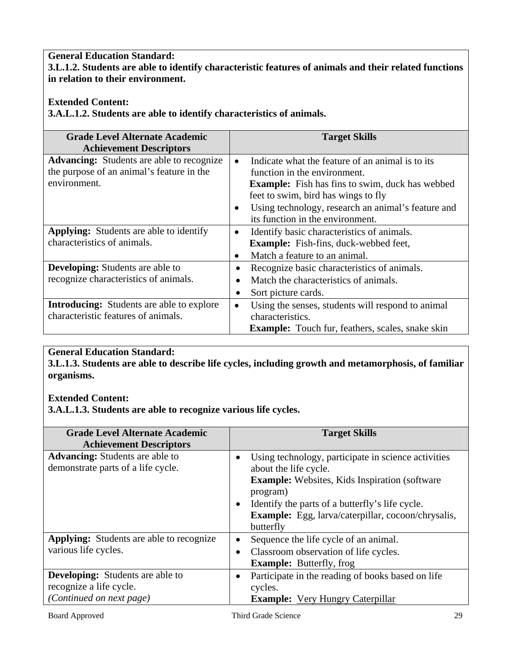### **General Education Standard: 3.L.1.2. Students are able to identify characteristic features of animals and their related functions in relation to their environment.**

# **Extended Content:**

**3.A.L.1.2. Students are able to identify characteristics of animals.**

| <b>Grade Level Alternate Academic</b>            |           | <b>Target Skills</b>                                    |
|--------------------------------------------------|-----------|---------------------------------------------------------|
| <b>Achievement Descriptors</b>                   |           |                                                         |
| <b>Advancing:</b> Students are able to recognize | $\bullet$ | Indicate what the feature of an animal is to its        |
| the purpose of an animal's feature in the        |           | function in the environment.                            |
| environment.                                     |           | <b>Example:</b> Fish has fins to swim, duck has webbed  |
|                                                  |           | feet to swim, bird has wings to fly                     |
|                                                  | $\bullet$ | Using technology, research an animal's feature and      |
|                                                  |           | its function in the environment.                        |
| <b>Applying:</b> Students are able to identify   | $\bullet$ | Identify basic characteristics of animals.              |
| characteristics of animals.                      |           | <b>Example:</b> Fish-fins, duck-webbed feet,            |
|                                                  | $\bullet$ | Match a feature to an animal.                           |
| <b>Developing:</b> Students are able to          |           | Recognize basic characteristics of animals.             |
| recognize characteristics of animals.            |           | Match the characteristics of animals.                   |
|                                                  |           | Sort picture cards.                                     |
| <b>Introducing:</b> Students are able to explore | $\bullet$ | Using the senses, students will respond to animal       |
| characteristic features of animals.              |           | characteristics.                                        |
|                                                  |           | <b>Example:</b> Touch fur, feathers, scales, snake skin |

### **General Education Standard:**

**3.L.1.3. Students are able to describe life cycles, including growth and metamorphosis, of familiar organisms.** 

### **Extended Content:**

**3.A.L.1.3. Students are able to recognize various life cycles.** 

| <b>Grade Level Alternate Academic</b>                                                          | <b>Target Skills</b>                                                                                                                                                                                                                                                           |  |
|------------------------------------------------------------------------------------------------|--------------------------------------------------------------------------------------------------------------------------------------------------------------------------------------------------------------------------------------------------------------------------------|--|
| <b>Achievement Descriptors</b>                                                                 |                                                                                                                                                                                                                                                                                |  |
| <b>Advancing:</b> Students are able to<br>demonstrate parts of a life cycle.                   | Using technology, participate in science activities<br>about the life cycle.<br><b>Example:</b> Websites, Kids Inspiration (software)<br>program)<br>Identify the parts of a butterfly's life cycle.<br><b>Example:</b> Egg, larva/caterpillar, cocoon/chrysalis,<br>butterfly |  |
| <b>Applying:</b> Students are able to recognize<br>various life cycles.                        | Sequence the life cycle of an animal.<br>Classroom observation of life cycles.<br><b>Example:</b> Butterfly, frog                                                                                                                                                              |  |
| <b>Developing:</b> Students are able to<br>recognize a life cycle.<br>(Continued on next page) | Participate in the reading of books based on life<br>cycles.<br><b>Example:</b> Very Hungry Caterpillar                                                                                                                                                                        |  |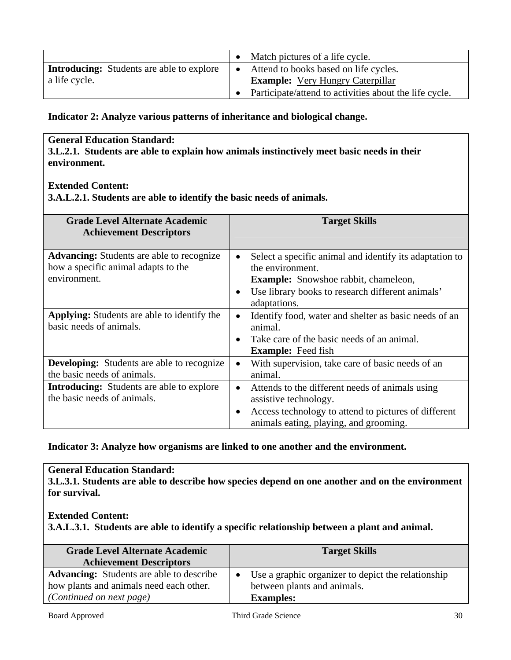|                                                  | Match pictures of a life cycle.                        |
|--------------------------------------------------|--------------------------------------------------------|
| <b>Introducing:</b> Students are able to explore | Attend to books based on life cycles.                  |
| a life cycle.                                    | <b>Example:</b> Very Hungry Caterpillar                |
|                                                  | Participate/attend to activities about the life cycle. |

**Indicator 2: Analyze various patterns of inheritance and biological change.** 

#### **General Education Standard:**

**3.L.2.1. Students are able to explain how animals instinctively meet basic needs in their environment.** 

#### **Extended Content:**

**3.A.L.2.1. Students are able to identify the basic needs of animals.** 

| <b>Grade Level Alternate Academic</b><br><b>Achievement Descriptors</b>                                 | <b>Target Skills</b>                                                                                                                                                                                                     |
|---------------------------------------------------------------------------------------------------------|--------------------------------------------------------------------------------------------------------------------------------------------------------------------------------------------------------------------------|
| <b>Advancing:</b> Students are able to recognize<br>how a specific animal adapts to the<br>environment. | Select a specific animal and identify its adaptation to<br>$\bullet$<br>the environment.<br><b>Example:</b> Snowshoe rabbit, chameleon,<br>Use library books to research different animals'<br>$\bullet$<br>adaptations. |
| <b>Applying:</b> Students are able to identify the<br>basic needs of animals.                           | Identify food, water and shelter as basic needs of an<br>٠<br>animal.<br>Take care of the basic needs of an animal.<br>$\bullet$<br><b>Example:</b> Feed fish                                                            |
| <b>Developing:</b> Students are able to recognize<br>the basic needs of animals.                        | With supervision, take care of basic needs of an<br>$\bullet$<br>animal.                                                                                                                                                 |
| <b>Introducing:</b> Students are able to explore<br>the basic needs of animals.                         | Attends to the different needs of animals using<br>$\bullet$<br>assistive technology.<br>Access technology to attend to pictures of different<br>٠<br>animals eating, playing, and grooming.                             |

**Indicator 3: Analyze how organisms are linked to one another and the environment.** 

#### **General Education Standard:**

**3.L.3.1. Students are able to describe how species depend on one another and on the environment for survival.** 

#### **Extended Content:**

**3.A.L.3.1. Students are able to identify a specific relationship between a plant and animal.** 

| <b>Grade Level Alternate Academic</b><br><b>Achievement Descriptors</b> | <b>Target Skills</b>                               |
|-------------------------------------------------------------------------|----------------------------------------------------|
| <b>Advancing:</b> Students are able to describe                         | Use a graphic organizer to depict the relationship |
| how plants and animals need each other.                                 | between plants and animals.                        |
| <i>(Continued on next page)</i>                                         | <b>Examples:</b>                                   |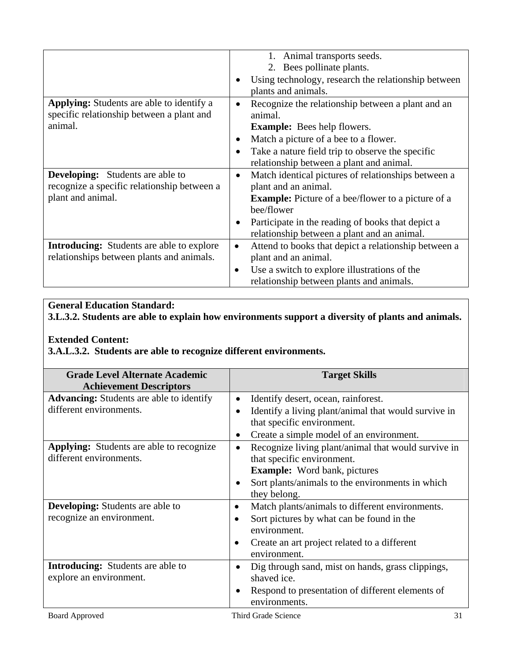|                                                                                                             |           | Animal transports seeds.<br>1.<br>2. Bees pollinate plants.                                                                                            |
|-------------------------------------------------------------------------------------------------------------|-----------|--------------------------------------------------------------------------------------------------------------------------------------------------------|
|                                                                                                             |           | Using technology, research the relationship between<br>plants and animals.                                                                             |
| <b>Applying:</b> Students are able to identify a<br>specific relationship between a plant and<br>animal.    | $\bullet$ | Recognize the relationship between a plant and an<br>animal.<br><b>Example:</b> Bees help flowers.                                                     |
|                                                                                                             |           | Match a picture of a bee to a flower.<br>Take a nature field trip to observe the specific<br>relationship between a plant and animal.                  |
| <b>Developing:</b> Students are able to<br>recognize a specific relationship between a<br>plant and animal. | $\bullet$ | Match identical pictures of relationships between a<br>plant and an animal.<br><b>Example:</b> Picture of a bee/flower to a picture of a<br>bee/flower |
|                                                                                                             |           | Participate in the reading of books that depict a<br>relationship between a plant and an animal.                                                       |
| <b>Introducing:</b> Students are able to explore<br>relationships between plants and animals.               | $\bullet$ | Attend to books that depict a relationship between a<br>plant and an animal.                                                                           |
|                                                                                                             | $\bullet$ | Use a switch to explore illustrations of the<br>relationship between plants and animals.                                                               |

# **General Education Standard:**

**3.L.3.2. Students are able to explain how environments support a diversity of plants and animals.** 

#### **Extended Content:**

**3.A.L.3.2. Students are able to recognize different environments.** 

| <b>Grade Level Alternate Academic</b><br><b>Achievement Descriptors</b>    | <b>Target Skills</b>                                                                                                                  |
|----------------------------------------------------------------------------|---------------------------------------------------------------------------------------------------------------------------------------|
| <b>Advancing:</b> Students are able to identify                            | Identify desert, ocean, rainforest.<br>$\bullet$                                                                                      |
| different environments.                                                    | Identify a living plant/animal that would survive in<br>$\bullet$<br>that specific environment.                                       |
|                                                                            | Create a simple model of an environment.                                                                                              |
| <b>Applying:</b> Students are able to recognize<br>different environments. | Recognize living plant/animal that would survive in<br>$\bullet$<br>that specific environment.<br><b>Example:</b> Word bank, pictures |
|                                                                            | Sort plants/animals to the environments in which<br>they belong.                                                                      |
| <b>Developing:</b> Students are able to                                    | Match plants/animals to different environments.<br>$\bullet$                                                                          |
| recognize an environment.                                                  | Sort pictures by what can be found in the<br>$\bullet$<br>environment.                                                                |
|                                                                            | Create an art project related to a different<br>$\bullet$<br>environment.                                                             |
| <b>Introducing:</b> Students are able to                                   | Dig through sand, mist on hands, grass clippings,<br>$\bullet$                                                                        |
| explore an environment.                                                    | shaved ice.                                                                                                                           |
|                                                                            | Respond to presentation of different elements of<br>environments.                                                                     |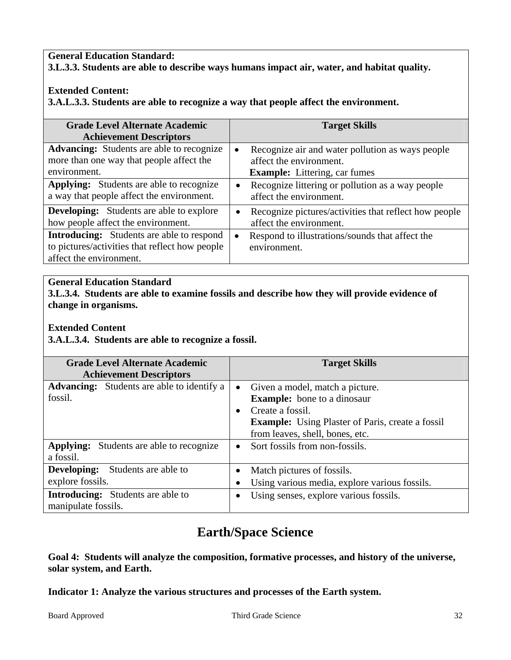#### **General Education Standard: 3.L.3.3. Students are able to describe ways humans impact air, water, and habitat quality.**

### **Extended Content:**

**3.A.L.3.3. Students are able to recognize a way that people affect the environment.** 

| <b>Grade Level Alternate Academic</b><br><b>Achievement Descriptors</b>                                                       |           | <b>Target Skills</b>                                                                                                |
|-------------------------------------------------------------------------------------------------------------------------------|-----------|---------------------------------------------------------------------------------------------------------------------|
| <b>Advancing:</b> Students are able to recognize<br>more than one way that people affect the<br>environment.                  |           | Recognize air and water pollution as ways people<br>affect the environment.<br><b>Example:</b> Littering, car fumes |
| <b>Applying:</b> Students are able to recognize<br>a way that people affect the environment.                                  |           | Recognize littering or pollution as a way people<br>affect the environment.                                         |
| <b>Developing:</b> Students are able to explore<br>how people affect the environment.                                         | $\bullet$ | Recognize pictures/activities that reflect how people<br>affect the environment.                                    |
| <b>Introducing:</b> Students are able to respond<br>to pictures/activities that reflect how people<br>affect the environment. | $\bullet$ | Respond to illustrations/sounds that affect the<br>environment.                                                     |

# **General Education Standard**

**3.L.3.4. Students are able to examine fossils and describe how they will provide evidence of change in organisms.** 

#### **Extended Content**

**3.A.L.3.4. Students are able to recognize a fossil.** 

| <b>Grade Level Alternate Academic</b><br><b>Achievement Descriptors</b> | <b>Target Skills</b>                                                                                                                                                                         |
|-------------------------------------------------------------------------|----------------------------------------------------------------------------------------------------------------------------------------------------------------------------------------------|
| <b>Advancing:</b> Students are able to identify a<br>fossil.            | Given a model, match a picture.<br><b>Example:</b> bone to a dinosaur<br>Create a fossil.<br>٠<br><b>Example:</b> Using Plaster of Paris, create a fossil<br>from leaves, shell, bones, etc. |
| <b>Applying:</b> Students are able to recognize<br>a fossil.            | Sort fossils from non-fossils.<br>$\bullet$                                                                                                                                                  |
| Developing:<br>Students are able to<br>explore fossils.                 | Match pictures of fossils.<br>Using various media, explore various fossils.                                                                                                                  |
| <b>Introducing:</b> Students are able to<br>manipulate fossils.         | Using senses, explore various fossils.                                                                                                                                                       |

# **Earth/Space Science**

**Goal 4: Students will analyze the composition, formative processes, and history of the universe, solar system, and Earth.** 

**Indicator 1: Analyze the various structures and processes of the Earth system.**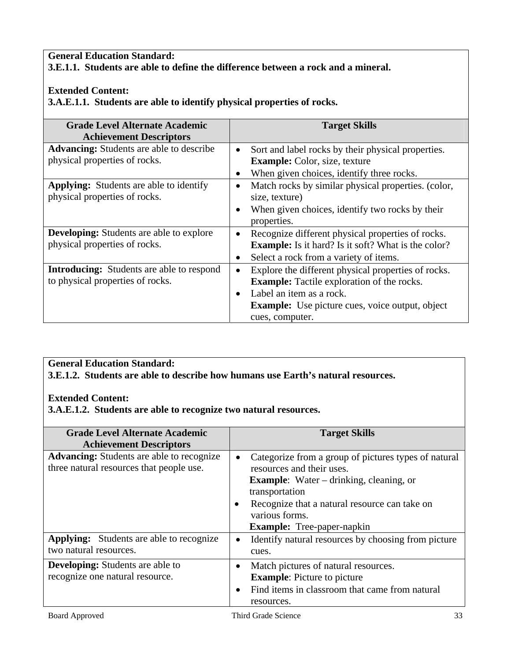### **General Education Standard: 3.E.1.1. Students are able to define the difference between a rock and a mineral.**

#### **Extended Content:**

**3.A.E.1.1. Students are able to identify physical properties of rocks.** 

| <b>Grade Level Alternate Academic</b>                                                | <b>Target Skills</b>                                                                                                     |  |
|--------------------------------------------------------------------------------------|--------------------------------------------------------------------------------------------------------------------------|--|
| <b>Achievement Descriptors</b>                                                       |                                                                                                                          |  |
| <b>Advancing:</b> Students are able to describe<br>physical properties of rocks.     | Sort and label rocks by their physical properties.<br>$\bullet$<br><b>Example:</b> Color, size, texture                  |  |
|                                                                                      | When given choices, identify three rocks.                                                                                |  |
| <b>Applying:</b> Students are able to identify<br>physical properties of rocks.      | Match rocks by similar physical properties. (color,<br>size, texture)<br>When given choices, identify two rocks by their |  |
|                                                                                      | properties.                                                                                                              |  |
| <b>Developing:</b> Students are able to explore                                      | Recognize different physical properties of rocks.                                                                        |  |
| physical properties of rocks.                                                        | <b>Example:</b> Is it hard? Is it soft? What is the color?                                                               |  |
|                                                                                      | Select a rock from a variety of items.<br>$\bullet$                                                                      |  |
| <b>Introducing:</b> Students are able to respond<br>to physical properties of rocks. | Explore the different physical properties of rocks.<br><b>Example:</b> Tactile exploration of the rocks.                 |  |
|                                                                                      | Label an item as a rock.                                                                                                 |  |
|                                                                                      | <b>Example:</b> Use picture cues, voice output, object<br>cues, computer.                                                |  |

### **General Education Standard:**

**3.E.1.2. Students are able to describe how humans use Earth's natural resources.** 

#### **Extended Content:**

**3.A.E.1.2. Students are able to recognize two natural resources.** 

| <b>Grade Level Alternate Academic</b><br><b>Achievement Descriptors</b>                      | <b>Target Skills</b>                                                                                                                                                                                                                                               |
|----------------------------------------------------------------------------------------------|--------------------------------------------------------------------------------------------------------------------------------------------------------------------------------------------------------------------------------------------------------------------|
| <b>Advancing:</b> Students are able to recognize<br>three natural resources that people use. | Categorize from a group of pictures types of natural<br>٠<br>resources and their uses.<br><b>Example:</b> Water – drinking, cleaning, or<br>transportation<br>Recognize that a natural resource can take on<br>various forms.<br><b>Example:</b> Tree-paper-napkin |
| <b>Applying:</b> Students are able to recognize<br>two natural resources.                    | Identify natural resources by choosing from picture<br>٠<br>cues.                                                                                                                                                                                                  |
| <b>Developing:</b> Students are able to<br>recognize one natural resource.                   | Match pictures of natural resources.<br>$\bullet$<br><b>Example:</b> Picture to picture<br>Find items in classroom that came from natural<br>$\bullet$<br>resources.                                                                                               |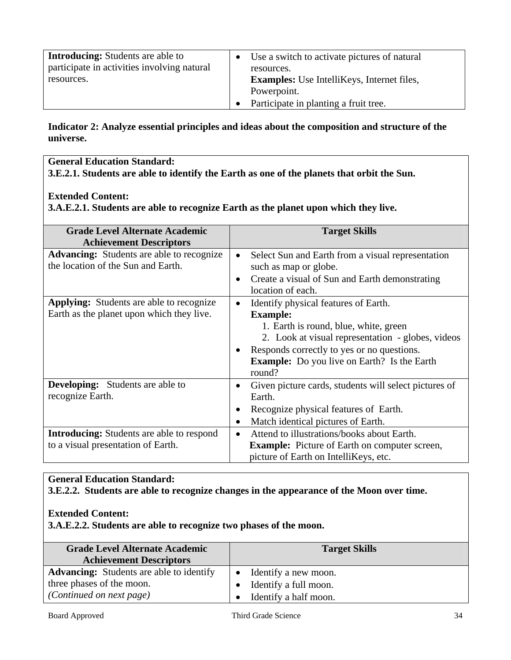| <b>Introducing:</b> Students are able to<br>participate in activities involving natural | Use a switch to activate pictures of natural<br>resources. |
|-----------------------------------------------------------------------------------------|------------------------------------------------------------|
| resources.                                                                              | <b>Examples:</b> Use IntelliKeys, Internet files,          |
|                                                                                         | Powerpoint.                                                |
|                                                                                         | Participate in planting a fruit tree.                      |

**Indicator 2: Analyze essential principles and ideas about the composition and structure of the universe.** 

**General Education Standard: 3.E.2.1. Students are able to identify the Earth as one of the planets that orbit the Sun.** 

#### **Extended Content:**

**3.A.E.2.1. Students are able to recognize Earth as the planet upon which they live.** 

| <b>Grade Level Alternate Academic</b><br><b>Achievement Descriptors</b> | <b>Target Skills</b>                                           |
|-------------------------------------------------------------------------|----------------------------------------------------------------|
| <b>Advancing:</b> Students are able to recognize                        | Select Sun and Earth from a visual representation<br>$\bullet$ |
| the location of the Sun and Earth.                                      | such as map or globe.                                          |
|                                                                         | Create a visual of Sun and Earth demonstrating<br>$\bullet$    |
|                                                                         | location of each.                                              |
| <b>Applying:</b> Students are able to recognize                         | Identify physical features of Earth.<br>$\bullet$              |
| Earth as the planet upon which they live.                               | <b>Example:</b>                                                |
|                                                                         | 1. Earth is round, blue, white, green                          |
|                                                                         | 2. Look at visual representation - globes, videos              |
|                                                                         | Responds correctly to yes or no questions.                     |
|                                                                         | <b>Example:</b> Do you live on Earth? Is the Earth<br>round?   |
| <b>Developing:</b> Students are able to                                 | Given picture cards, students will select pictures of          |
| recognize Earth.                                                        | Earth.                                                         |
|                                                                         | Recognize physical features of Earth.                          |
|                                                                         | Match identical pictures of Earth.<br>٠                        |
| <b>Introducing:</b> Students are able to respond                        | Attend to illustrations/books about Earth.<br>$\bullet$        |
| to a visual presentation of Earth.                                      | <b>Example:</b> Picture of Earth on computer screen,           |
|                                                                         | picture of Earth on IntelliKeys, etc.                          |

### **General Education Standard:**

**3.E.2.2. Students are able to recognize changes in the appearance of the Moon over time.** 

#### **Extended Content:**

**3.A.E.2.2. Students are able to recognize two phases of the moon.** 

| <b>Grade Level Alternate Academic</b><br><b>Achievement Descriptors</b> | <b>Target Skills</b>  |
|-------------------------------------------------------------------------|-----------------------|
| <b>Advancing:</b> Students are able to identify                         | Identify a new moon.  |
| three phases of the moon.                                               | Identify a full moon. |
| <i>(Continued on next page)</i>                                         | Identify a half moon. |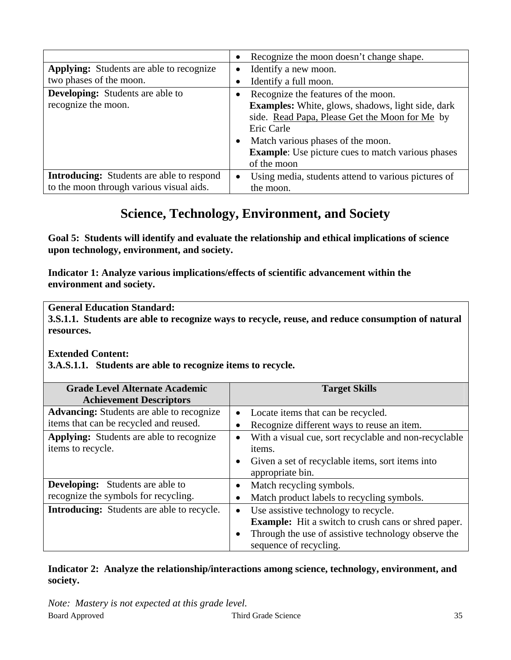|                                                  | $\bullet$ | Recognize the moon doesn't change shape.                 |
|--------------------------------------------------|-----------|----------------------------------------------------------|
| <b>Applying:</b> Students are able to recognize  | $\bullet$ | Identify a new moon.                                     |
| two phases of the moon.                          |           | Identify a full moon.                                    |
| <b>Developing:</b> Students are able to          | $\bullet$ | Recognize the features of the moon.                      |
| recognize the moon.                              |           | <b>Examples:</b> White, glows, shadows, light side, dark |
|                                                  |           | side. Read Papa, Please Get the Moon for Me by           |
|                                                  |           | Eric Carle                                               |
|                                                  | $\bullet$ | Match various phases of the moon.                        |
|                                                  |           | <b>Example:</b> Use picture cues to match various phases |
|                                                  |           | of the moon                                              |
| <b>Introducing:</b> Students are able to respond | $\bullet$ | Using media, students attend to various pictures of      |
| to the moon through various visual aids.         |           | the moon.                                                |

# **Science, Technology, Environment, and Society**

**Goal 5: Students will identify and evaluate the relationship and ethical implications of science upon technology, environment, and society.** 

**Indicator 1: Analyze various implications/effects of scientific advancement within the environment and society.** 

# **General Education Standard:**

**3.S.1.1. Students are able to recognize ways to recycle, reuse, and reduce consumption of natural resources.** 

#### **Extended Content:**

**3.A.S.1.1. Students are able to recognize items to recycle.** 

| <b>Grade Level Alternate Academic</b><br><b>Achievement Descriptors</b> |           | <b>Target Skills</b>                                       |
|-------------------------------------------------------------------------|-----------|------------------------------------------------------------|
| <b>Advancing:</b> Students are able to recognize                        |           | Locate items that can be recycled.                         |
| items that can be recycled and reused.                                  |           | Recognize different ways to reuse an item.                 |
| <b>Applying:</b> Students are able to recognize                         |           | With a visual cue, sort recyclable and non-recyclable      |
| items to recycle.                                                       |           | items.                                                     |
|                                                                         | $\bullet$ | Given a set of recyclable items, sort items into           |
|                                                                         |           | appropriate bin.                                           |
| <b>Developing:</b> Students are able to                                 |           | Match recycling symbols.                                   |
| recognize the symbols for recycling.                                    |           | Match product labels to recycling symbols.                 |
| <b>Introducing:</b> Students are able to recycle.                       |           | Use assistive technology to recycle.                       |
|                                                                         |           | <b>Example:</b> Hit a switch to crush cans or shred paper. |
|                                                                         |           | Through the use of assistive technology observe the        |
|                                                                         |           | sequence of recycling.                                     |

**Indicator 2: Analyze the relationship/interactions among science, technology, environment, and society.**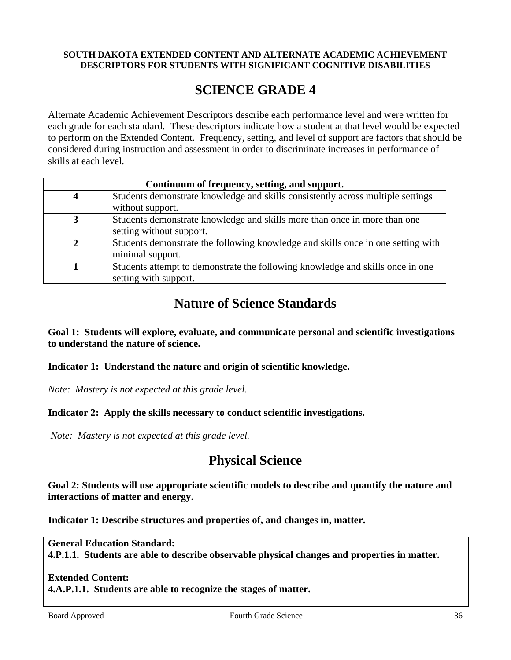#### **SOUTH DAKOTA EXTENDED CONTENT AND ALTERNATE ACADEMIC ACHIEVEMENT DESCRIPTORS FOR STUDENTS WITH SIGNIFICANT COGNITIVE DISABILITIES**

# **SCIENCE GRADE 4**

Alternate Academic Achievement Descriptors describe each performance level and were written for each grade for each standard. These descriptors indicate how a student at that level would be expected to perform on the Extended Content. Frequency, setting, and level of support are factors that should be considered during instruction and assessment in order to discriminate increases in performance of skills at each level.

| Continuum of frequency, setting, and support. |                                                                                  |  |
|-----------------------------------------------|----------------------------------------------------------------------------------|--|
|                                               | Students demonstrate knowledge and skills consistently across multiple settings  |  |
|                                               | without support.                                                                 |  |
|                                               | Students demonstrate knowledge and skills more than once in more than one        |  |
|                                               | setting without support.                                                         |  |
|                                               | Students demonstrate the following knowledge and skills once in one setting with |  |
|                                               | minimal support.                                                                 |  |
|                                               | Students attempt to demonstrate the following knowledge and skills once in one   |  |
|                                               | setting with support.                                                            |  |

# **Nature of Science Standards**

**Goal 1: Students will explore, evaluate, and communicate personal and scientific investigations to understand the nature of science.** 

**Indicator 1: Understand the nature and origin of scientific knowledge.** 

*Note: Mastery is not expected at this grade level.* 

## **Indicator 2: Apply the skills necessary to conduct scientific investigations.**

*Note: Mastery is not expected at this grade level.* 

# **Physical Science**

**Goal 2: Students will use appropriate scientific models to describe and quantify the nature and interactions of matter and energy.** 

**Indicator 1: Describe structures and properties of, and changes in, matter.** 

**General Education Standard: 4.P.1.1. Students are able to describe observable physical changes and properties in matter.** 

## **Extended Content:**

**4.A.P.1.1. Students are able to recognize the stages of matter.**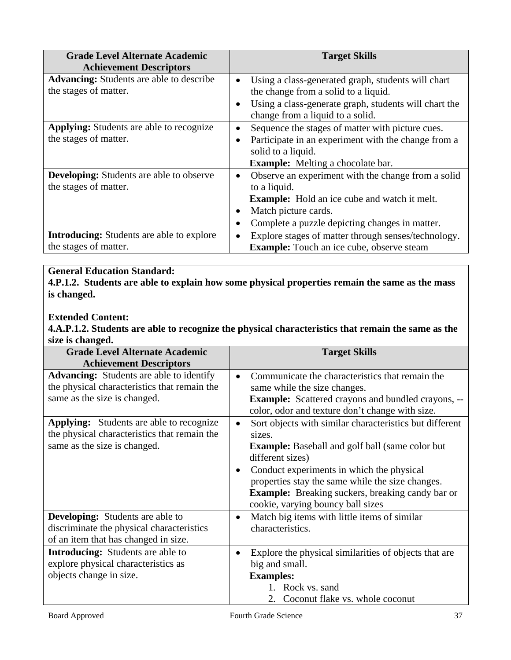| <b>Grade Level Alternate Academic</b><br><b>Achievement Descriptors</b>   | <b>Target Skills</b>                                                                                                                                                                                     |
|---------------------------------------------------------------------------|----------------------------------------------------------------------------------------------------------------------------------------------------------------------------------------------------------|
| <b>Advancing:</b> Students are able to describe<br>the stages of matter.  | Using a class-generated graph, students will chart<br>$\bullet$<br>the change from a solid to a liquid.                                                                                                  |
|                                                                           | Using a class-generate graph, students will chart the<br>$\bullet$<br>change from a liquid to a solid.                                                                                                   |
| <b>Applying:</b> Students are able to recognize<br>the stages of matter.  | Sequence the stages of matter with picture cues.<br>Participate in an experiment with the change from a<br>٠<br>solid to a liquid.<br><b>Example:</b> Melting a chocolate bar.                           |
| <b>Developing:</b> Students are able to observe<br>the stages of matter.  | Observe an experiment with the change from a solid<br>٠<br>to a liquid.<br><b>Example:</b> Hold an ice cube and watch it melt.<br>Match picture cards.<br>Complete a puzzle depicting changes in matter. |
| <b>Introducing:</b> Students are able to explore<br>the stages of matter. | Explore stages of matter through senses/technology.<br>٠<br><b>Example:</b> Touch an ice cube, observe steam                                                                                             |

**4.P.1.2. Students are able to explain how some physical properties remain the same as the mass is changed.** 

## **Extended Content:**

**4.A.P.1.2. Students are able to recognize the physical characteristics that remain the same as the size is changed.** 

| <b>Grade Level Alternate Academic</b>                                                                                           | <b>Target Skills</b>                                                                                                                                                                                                                                                                                                                                                       |
|---------------------------------------------------------------------------------------------------------------------------------|----------------------------------------------------------------------------------------------------------------------------------------------------------------------------------------------------------------------------------------------------------------------------------------------------------------------------------------------------------------------------|
| <b>Achievement Descriptors</b>                                                                                                  |                                                                                                                                                                                                                                                                                                                                                                            |
| <b>Advancing:</b> Students are able to identify<br>the physical characteristics that remain the<br>same as the size is changed. | Communicate the characteristics that remain the<br>$\bullet$<br>same while the size changes.<br><b>Example:</b> Scattered crayons and bundled crayons, --<br>color, odor and texture don't change with size.                                                                                                                                                               |
| Applying: Students are able to recognize<br>the physical characteristics that remain the<br>same as the size is changed.        | Sort objects with similar characteristics but different<br>$\bullet$<br>sizes.<br><b>Example:</b> Baseball and golf ball (same color but<br>different sizes)<br>Conduct experiments in which the physical<br>$\bullet$<br>properties stay the same while the size changes.<br><b>Example:</b> Breaking suckers, breaking candy bar or<br>cookie, varying bouncy ball sizes |
| <b>Developing:</b> Students are able to<br>discriminate the physical characteristics<br>of an item that has changed in size.    | Match big items with little items of similar<br>$\bullet$<br>characteristics.                                                                                                                                                                                                                                                                                              |
| <b>Introducing:</b> Students are able to<br>explore physical characteristics as<br>objects change in size.                      | Explore the physical similarities of objects that are<br>$\bullet$<br>big and small.<br><b>Examples:</b><br>1. Rock vs. sand<br>2. Coconut flake vs. whole coconut                                                                                                                                                                                                         |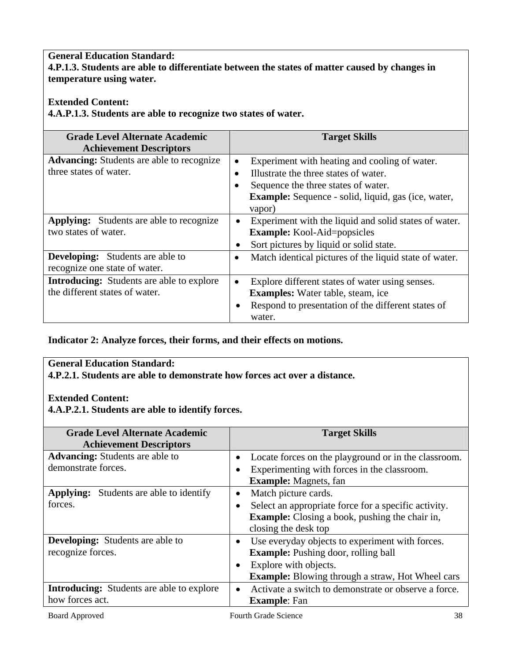## **General Education Standard: 4.P.1.3. Students are able to differentiate between the states of matter caused by changes in temperature using water.**

## **Extended Content:**

**4.A.P.1.3. Students are able to recognize two states of water.** 

| <b>Grade Level Alternate Academic</b><br><b>Achievement Descriptors</b>            | <b>Target Skills</b>                                                                                                                                                                                  |
|------------------------------------------------------------------------------------|-------------------------------------------------------------------------------------------------------------------------------------------------------------------------------------------------------|
| <b>Advancing:</b> Students are able to recognize<br>three states of water.         | Experiment with heating and cooling of water.<br>Illustrate the three states of water.<br>Sequence the three states of water.<br><b>Example:</b> Sequence - solid, liquid, gas (ice, water,<br>vapor) |
| <b>Applying:</b> Students are able to recognize<br>two states of water.            | Experiment with the liquid and solid states of water.<br>$\bullet$<br><b>Example:</b> Kool-Aid=popsicles<br>Sort pictures by liquid or solid state.                                                   |
| <b>Developing:</b> Students are able to<br>recognize one state of water.           | Match identical pictures of the liquid state of water.                                                                                                                                                |
| <b>Introducing:</b> Students are able to explore<br>the different states of water. | Explore different states of water using senses.<br><b>Examples:</b> Water table, steam, ice<br>Respond to presentation of the different states of<br>water.                                           |

**Indicator 2: Analyze forces, their forms, and their effects on motions.** 

## **General Education Standard:**

**4.P.2.1. Students are able to demonstrate how forces act over a distance.** 

## **Extended Content:**

**4.A.P.2.1. Students are able to identify forces.** 

| <b>Grade Level Alternate Academic</b>            | <b>Target Skills</b>                                    |
|--------------------------------------------------|---------------------------------------------------------|
| <b>Achievement Descriptors</b>                   |                                                         |
| <b>Advancing:</b> Students are able to           | Locate forces on the playground or in the classroom.    |
| demonstrate forces.                              | Experimenting with forces in the classroom.             |
|                                                  | <b>Example:</b> Magnets, fan                            |
| <b>Applying:</b> Students are able to identify   | Match picture cards.<br>$\bullet$                       |
| forces.                                          | Select an appropriate force for a specific activity.    |
|                                                  | <b>Example:</b> Closing a book, pushing the chair in,   |
|                                                  | closing the desk top                                    |
| <b>Developing:</b> Students are able to          | Use everyday objects to experiment with forces.         |
| recognize forces.                                | <b>Example:</b> Pushing door, rolling ball              |
|                                                  | Explore with objects.                                   |
|                                                  | <b>Example:</b> Blowing through a straw, Hot Wheel cars |
| <b>Introducing:</b> Students are able to explore | Activate a switch to demonstrate or observe a force.    |
| how forces act.                                  | <b>Example:</b> Fan                                     |
|                                                  |                                                         |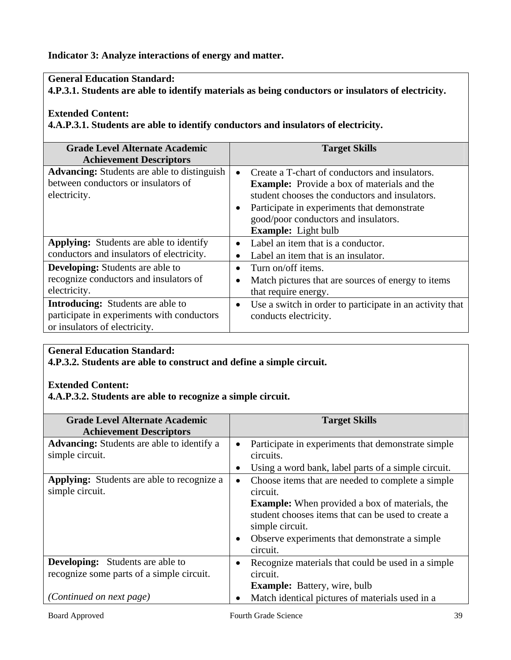**Indicator 3: Analyze interactions of energy and matter.** 

## **General Education Standard:**

**4.P.3.1. Students are able to identify materials as being conductors or insulators of electricity.** 

### **Extended Content:**

**4.A.P.3.1. Students are able to identify conductors and insulators of electricity.** 

| <b>Grade Level Alternate Academic</b><br><b>Achievement Descriptors</b>                                                 |                        | <b>Target Skills</b>                                                                                                                                                                                                                                                        |
|-------------------------------------------------------------------------------------------------------------------------|------------------------|-----------------------------------------------------------------------------------------------------------------------------------------------------------------------------------------------------------------------------------------------------------------------------|
| <b>Advancing:</b> Students are able to distinguish<br>between conductors or insulators of<br>electricity.               | $\bullet$<br>$\bullet$ | Create a T-chart of conductors and insulators.<br><b>Example:</b> Provide a box of materials and the<br>student chooses the conductors and insulators.<br>Participate in experiments that demonstrate<br>good/poor conductors and insulators.<br><b>Example:</b> Light bulb |
| Applying: Students are able to identify<br>conductors and insulators of electricity.                                    | $\bullet$              | Label an item that is a conductor.<br>Label an item that is an insulator.                                                                                                                                                                                                   |
| <b>Developing:</b> Students are able to<br>recognize conductors and insulators of<br>electricity.                       | $\bullet$<br>$\bullet$ | Turn on/off items.<br>Match pictures that are sources of energy to items<br>that require energy.                                                                                                                                                                            |
| <b>Introducing:</b> Students are able to<br>participate in experiments with conductors<br>or insulators of electricity. | ٠                      | Use a switch in order to participate in an activity that<br>conducts electricity.                                                                                                                                                                                           |

## **General Education Standard:**

**4.P.3.2. Students are able to construct and define a simple circuit.** 

## **Extended Content:**

**4.A.P.3.2. Students are able to recognize a simple circuit.** 

| <b>Grade Level Alternate Academic</b><br><b>Achievement Descriptors</b>              | <b>Target Skills</b>                                                                                                                                                                                                                                                                   |
|--------------------------------------------------------------------------------------|----------------------------------------------------------------------------------------------------------------------------------------------------------------------------------------------------------------------------------------------------------------------------------------|
| <b>Advancing:</b> Students are able to identify a<br>simple circuit.                 | Participate in experiments that demonstrate simple<br>$\bullet$<br>circuits.                                                                                                                                                                                                           |
|                                                                                      | Using a word bank, label parts of a simple circuit.<br>٠                                                                                                                                                                                                                               |
| <b>Applying:</b> Students are able to recognize a<br>simple circuit.                 | Choose items that are needed to complete a simple<br>$\bullet$<br>circuit.<br><b>Example:</b> When provided a box of materials, the<br>student chooses items that can be used to create a<br>simple circuit.<br>Observe experiments that demonstrate a simple<br>$\bullet$<br>circuit. |
| <b>Developing:</b> Students are able to<br>recognize some parts of a simple circuit. | Recognize materials that could be used in a simple.<br>circuit.<br><b>Example:</b> Battery, wire, bulb                                                                                                                                                                                 |
| (Continued on next page)                                                             | Match identical pictures of materials used in a                                                                                                                                                                                                                                        |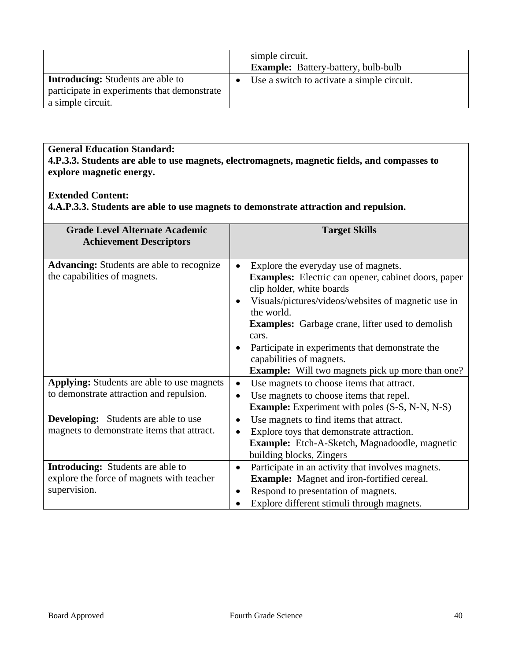|                                                                                                              | simple circuit.<br><b>Example:</b> Battery-battery, bulb-bulb |
|--------------------------------------------------------------------------------------------------------------|---------------------------------------------------------------|
| <b>Introducing:</b> Students are able to<br>participate in experiments that demonstrate<br>a simple circuit. | Use a switch to activate a simple circuit.                    |

**General Education Standard: 4.P.3.3. Students are able to use magnets, electromagnets, magnetic fields, and compasses to explore magnetic energy.** 

## **Extended Content:**

**4.A.P.3.3. Students are able to use magnets to demonstrate attraction and repulsion.** 

| <b>Grade Level Alternate Academic</b><br><b>Achievement Descriptors</b>                               | <b>Target Skills</b>                                                                                                                                                                                                                                                                                                                                                                                                         |
|-------------------------------------------------------------------------------------------------------|------------------------------------------------------------------------------------------------------------------------------------------------------------------------------------------------------------------------------------------------------------------------------------------------------------------------------------------------------------------------------------------------------------------------------|
| <b>Advancing:</b> Students are able to recognize<br>the capabilities of magnets.                      | Explore the everyday use of magnets.<br><b>Examples:</b> Electric can opener, cabinet doors, paper<br>clip holder, white boards<br>Visuals/pictures/videos/websites of magnetic use in<br>٠<br>the world.<br><b>Examples:</b> Garbage crane, lifter used to demolish<br>cars.<br>Participate in experiments that demonstrate the<br>٠<br>capabilities of magnets.<br><b>Example:</b> Will two magnets pick up more than one? |
| <b>Applying:</b> Students are able to use magnets<br>to demonstrate attraction and repulsion.         | Use magnets to choose items that attract.<br>$\bullet$<br>Use magnets to choose items that repel.<br>$\bullet$<br><b>Example:</b> Experiment with poles (S-S, N-N, N-S)                                                                                                                                                                                                                                                      |
| <b>Developing:</b> Students are able to use<br>magnets to demonstrate items that attract.             | Use magnets to find items that attract.<br>$\bullet$<br>Explore toys that demonstrate attraction.<br><b>Example:</b> Etch-A-Sketch, Magnadoodle, magnetic<br>building blocks, Zingers                                                                                                                                                                                                                                        |
| <b>Introducing:</b> Students are able to<br>explore the force of magnets with teacher<br>supervision. | Participate in an activity that involves magnets.<br>$\bullet$<br><b>Example:</b> Magnet and iron-fortified cereal.<br>Respond to presentation of magnets.<br>٠<br>Explore different stimuli through magnets.                                                                                                                                                                                                                |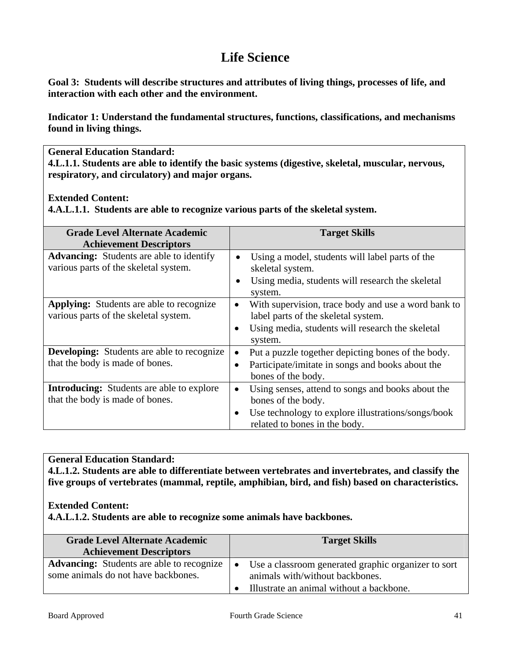# **Life Science**

**Goal 3: Students will describe structures and attributes of living things, processes of life, and interaction with each other and the environment.** 

**Indicator 1: Understand the fundamental structures, functions, classifications, and mechanisms found in living things.** 

**General Education Standard:** 

**4.L.1.1. Students are able to identify the basic systems (digestive, skeletal, muscular, nervous, respiratory, and circulatory) and major organs.** 

**Extended Content:** 

**4.A.L.1.1. Students are able to recognize various parts of the skeletal system.** 

| <b>Grade Level Alternate Academic</b><br><b>Achievement Descriptors</b>                  | <b>Target Skills</b>                                                                                                                                                                     |
|------------------------------------------------------------------------------------------|------------------------------------------------------------------------------------------------------------------------------------------------------------------------------------------|
| <b>Advancing:</b> Students are able to identify<br>various parts of the skeletal system. | Using a model, students will label parts of the<br>$\bullet$<br>skeletal system.<br>Using media, students will research the skeletal<br>$\bullet$<br>system.                             |
| <b>Applying:</b> Students are able to recognize<br>various parts of the skeletal system. | With supervision, trace body and use a word bank to<br>$\bullet$<br>label parts of the skeletal system.<br>Using media, students will research the skeletal<br>$\bullet$<br>system.      |
| <b>Developing:</b> Students are able to recognize<br>that the body is made of bones.     | Put a puzzle together depicting bones of the body.<br>$\bullet$<br>Participate/imitate in songs and books about the<br>bones of the body.                                                |
| <b>Introducing:</b> Students are able to explore<br>that the body is made of bones.      | Using senses, attend to songs and books about the<br>$\bullet$<br>bones of the body.<br>Use technology to explore illustrations/songs/book<br>$\bullet$<br>related to bones in the body. |

## **General Education Standard:**

**4.L.1.2. Students are able to differentiate between vertebrates and invertebrates, and classify the five groups of vertebrates (mammal, reptile, amphibian, bird, and fish) based on characteristics.** 

#### **Extended Content:**

**4.A.L.1.2. Students are able to recognize some animals have backbones.** 

| <b>Grade Level Alternate Academic</b><br><b>Achievement Descriptors</b>                 | <b>Target Skills</b>                                                                                                                            |
|-----------------------------------------------------------------------------------------|-------------------------------------------------------------------------------------------------------------------------------------------------|
| <b>Advancing:</b> Students are able to recognize<br>some animals do not have backbones. | Use a classroom generated graphic organizer to sort<br>$\bullet$<br>animals with/without backbones.<br>Illustrate an animal without a backbone. |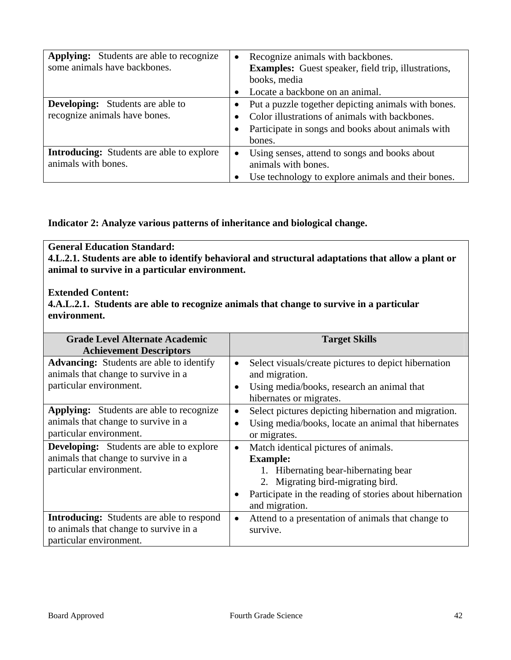| <b>Applying:</b> Students are able to recognize<br>some animals have backbones. | Recognize animals with backbones.<br><b>Examples:</b> Guest speaker, field trip, illustrations,<br>books, media |
|---------------------------------------------------------------------------------|-----------------------------------------------------------------------------------------------------------------|
|                                                                                 | Locate a backbone on an animal.                                                                                 |
| <b>Developing:</b> Students are able to                                         | Put a puzzle together depicting animals with bones.                                                             |
| recognize animals have bones.                                                   | Color illustrations of animals with backbones.                                                                  |
|                                                                                 | Participate in songs and books about animals with                                                               |
|                                                                                 | bones.                                                                                                          |
| <b>Introducing:</b> Students are able to explore                                | Using senses, attend to songs and books about                                                                   |
| animals with bones.                                                             | animals with bones.                                                                                             |
|                                                                                 | Use technology to explore animals and their bones.                                                              |

**Indicator 2: Analyze various patterns of inheritance and biological change.** 

## **General Education Standard:**

**4.L.2.1. Students are able to identify behavioral and structural adaptations that allow a plant or animal to survive in a particular environment.** 

**Extended Content:** 

**4.A.L.2.1. Students are able to recognize animals that change to survive in a particular environment.** 

| <b>Grade Level Alternate Academic</b>            |           | <b>Target Skills</b>                                    |
|--------------------------------------------------|-----------|---------------------------------------------------------|
| <b>Achievement Descriptors</b>                   |           |                                                         |
| <b>Advancing:</b> Students are able to identify  | $\bullet$ | Select visuals/create pictures to depict hibernation    |
| animals that change to survive in a              |           | and migration.                                          |
| particular environment.                          | $\bullet$ | Using media/books, research an animal that              |
|                                                  |           | hibernates or migrates.                                 |
| <b>Applying:</b> Students are able to recognize  | $\bullet$ | Select pictures depicting hibernation and migration.    |
| animals that change to survive in a              | $\bullet$ | Using media/books, locate an animal that hibernates     |
| particular environment.                          |           | or migrates.                                            |
| <b>Developing:</b> Students are able to explore  | $\bullet$ | Match identical pictures of animals.                    |
| animals that change to survive in a              |           | <b>Example:</b>                                         |
| particular environment.                          |           | 1. Hibernating bear-hibernating bear                    |
|                                                  |           | 2. Migrating bird-migrating bird.                       |
|                                                  |           | Participate in the reading of stories about hibernation |
|                                                  |           | and migration.                                          |
| <b>Introducing:</b> Students are able to respond | $\bullet$ | Attend to a presentation of animals that change to      |
| to animals that change to survive in a           |           | survive.                                                |
| particular environment.                          |           |                                                         |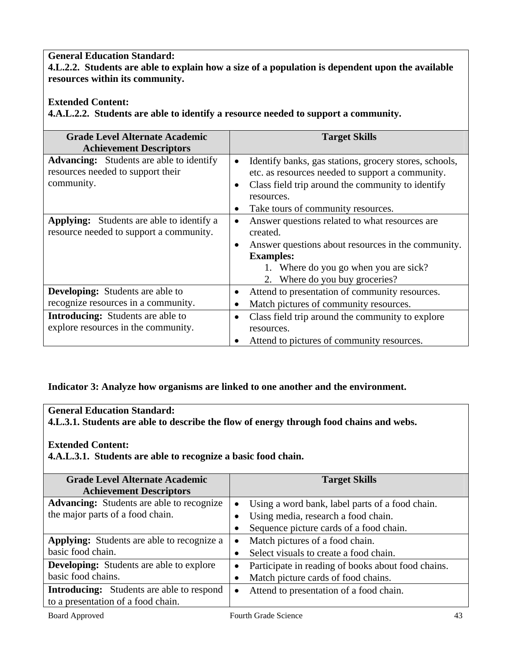**4.L.2.2. Students are able to explain how a size of a population is dependent upon the available resources within its community.** 

## **Extended Content:**

**4.A.L.2.2. Students are able to identify a resource needed to support a community.** 

| <b>Grade Level Alternate Academic</b>                                                              | <b>Target Skills</b>                                                                                                                                                                                                |
|----------------------------------------------------------------------------------------------------|---------------------------------------------------------------------------------------------------------------------------------------------------------------------------------------------------------------------|
| <b>Achievement Descriptors</b>                                                                     |                                                                                                                                                                                                                     |
| <b>Advancing:</b> Students are able to identify<br>resources needed to support their<br>community. | Identify banks, gas stations, grocery stores, schools,<br>etc. as resources needed to support a community.<br>Class field trip around the community to identify<br>resources.<br>Take tours of community resources. |
| <b>Applying:</b> Students are able to identify a<br>resource needed to support a community.        | Answer questions related to what resources are<br>created.<br>Answer questions about resources in the community.<br><b>Examples:</b><br>1. Where do you go when you are sick?<br>2. Where do you buy groceries?     |
| <b>Developing:</b> Students are able to<br>recognize resources in a community.                     | Attend to presentation of community resources.<br>Match pictures of community resources.                                                                                                                            |
| <b>Introducing:</b> Students are able to<br>explore resources in the community.                    | Class field trip around the community to explore<br>resources.<br>Attend to pictures of community resources.                                                                                                        |

## **Indicator 3: Analyze how organisms are linked to one another and the environment.**

## **General Education Standard:**

**4.L.3.1. Students are able to describe the flow of energy through food chains and webs.** 

## **Extended Content:**

**4.A.L.3.1. Students are able to recognize a basic food chain.** 

| <b>Grade Level Alternate Academic</b>             | <b>Target Skills</b>                                 |
|---------------------------------------------------|------------------------------------------------------|
| <b>Achievement Descriptors</b>                    |                                                      |
| <b>Advancing:</b> Students are able to recognize  | Using a word bank, label parts of a food chain.      |
| the major parts of a food chain.                  | Using media, research a food chain.                  |
|                                                   | Sequence picture cards of a food chain.              |
| <b>Applying:</b> Students are able to recognize a | Match pictures of a food chain.                      |
| basic food chain.                                 | Select visuals to create a food chain.               |
| <b>Developing:</b> Students are able to explore   | Participate in reading of books about food chains.   |
| basic food chains.                                | Match picture cards of food chains.                  |
| <b>Introducing:</b> Students are able to respond  | Attend to presentation of a food chain.<br>$\bullet$ |
| to a presentation of a food chain.                |                                                      |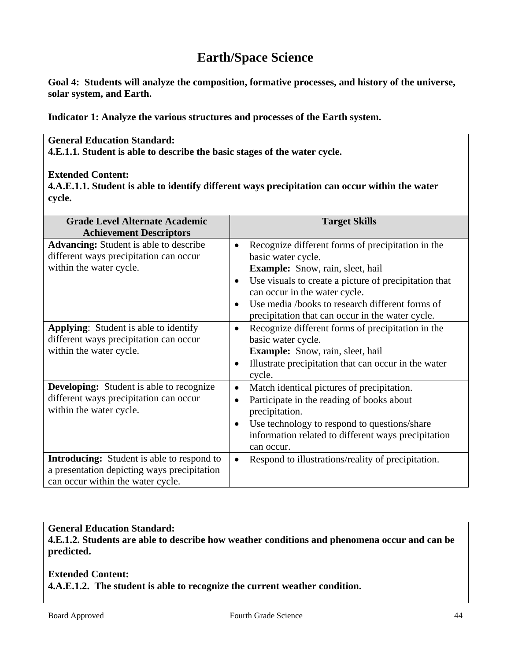# **Earth/Space Science**

**Goal 4: Students will analyze the composition, formative processes, and history of the universe, solar system, and Earth.** 

**Indicator 1: Analyze the various structures and processes of the Earth system.** 

## **General Education Standard:**

**4.E.1.1. Student is able to describe the basic stages of the water cycle.** 

### **Extended Content:**

**4.A.E.1.1. Student is able to identify different ways precipitation can occur within the water cycle.** 

| <b>Grade Level Alternate Academic</b><br><b>Achievement Descriptors</b>                                                               | <b>Target Skills</b>                                                                                                                                                                                                                                                                                                                          |
|---------------------------------------------------------------------------------------------------------------------------------------|-----------------------------------------------------------------------------------------------------------------------------------------------------------------------------------------------------------------------------------------------------------------------------------------------------------------------------------------------|
| <b>Advancing:</b> Student is able to describe<br>different ways precipitation can occur<br>within the water cycle.                    | Recognize different forms of precipitation in the<br>$\bullet$<br>basic water cycle.<br><b>Example:</b> Snow, rain, sleet, hail<br>Use visuals to create a picture of precipitation that<br>$\bullet$<br>can occur in the water cycle.<br>Use media /books to research different forms of<br>precipitation that can occur in the water cycle. |
| <b>Applying:</b> Student is able to identify<br>different ways precipitation can occur<br>within the water cycle.                     | Recognize different forms of precipitation in the<br>$\bullet$<br>basic water cycle.<br><b>Example:</b> Snow, rain, sleet, hail<br>Illustrate precipitation that can occur in the water<br>$\bullet$<br>cycle.                                                                                                                                |
| <b>Developing:</b> Student is able to recognize<br>different ways precipitation can occur<br>within the water cycle.                  | Match identical pictures of precipitation.<br>$\bullet$<br>Participate in the reading of books about<br>$\bullet$<br>precipitation.<br>Use technology to respond to questions/share<br>information related to different ways precipitation<br>can occur.                                                                                      |
| <b>Introducing:</b> Student is able to respond to<br>a presentation depicting ways precipitation<br>can occur within the water cycle. | Respond to illustrations/reality of precipitation.                                                                                                                                                                                                                                                                                            |

## **General Education Standard:**

**4.E.1.2. Students are able to describe how weather conditions and phenomena occur and can be predicted.** 

## **Extended Content: 4.A.E.1.2. The student is able to recognize the current weather condition.**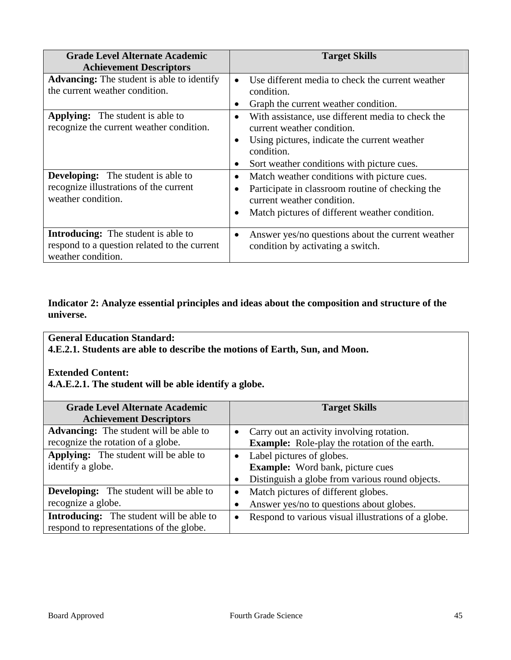| <b>Grade Level Alternate Academic</b><br><b>Achievement Descriptors</b>                                                                                                                          | <b>Target Skills</b>                                                                                                                                                                                                                                                                                                                                                                                                               |
|--------------------------------------------------------------------------------------------------------------------------------------------------------------------------------------------------|------------------------------------------------------------------------------------------------------------------------------------------------------------------------------------------------------------------------------------------------------------------------------------------------------------------------------------------------------------------------------------------------------------------------------------|
| <b>Advancing:</b> The student is able to identify<br>the current weather condition.                                                                                                              | Use different media to check the current weather<br>condition.<br>Graph the current weather condition.<br>$\bullet$                                                                                                                                                                                                                                                                                                                |
| <b>Applying:</b> The student is able to<br>recognize the current weather condition.<br><b>Developing:</b> The student is able to<br>recognize illustrations of the current<br>weather condition. | With assistance, use different media to check the<br>$\bullet$<br>current weather condition.<br>Using pictures, indicate the current weather<br>$\bullet$<br>condition.<br>Sort weather conditions with picture cues.<br>Match weather conditions with picture cues.<br>$\bullet$<br>Participate in classroom routine of checking the<br>current weather condition.<br>Match pictures of different weather condition.<br>$\bullet$ |
| <b>Introducing:</b> The student is able to<br>respond to a question related to the current<br>weather condition.                                                                                 | Answer yes/no questions about the current weather<br>$\bullet$<br>condition by activating a switch.                                                                                                                                                                                                                                                                                                                                |

## **Indicator 2: Analyze essential principles and ideas about the composition and structure of the universe.**

## **General Education Standard:**

**4.E.2.1. Students are able to describe the motions of Earth, Sun, and Moon.** 

## **Extended Content:**

**4.A.E.2.1. The student will be able identify a globe.** 

| <b>Grade Level Alternate Academic</b>           | <b>Target Skills</b>                                             |
|-------------------------------------------------|------------------------------------------------------------------|
| <b>Achievement Descriptors</b>                  |                                                                  |
| <b>Advancing:</b> The student will be able to   | Carry out an activity involving rotation.<br>$\bullet$           |
| recognize the rotation of a globe.              | <b>Example:</b> Role-play the rotation of the earth.             |
| Applying: The student will be able to           | Label pictures of globes.<br>$\bullet$                           |
| identify a globe.                               | <b>Example:</b> Word bank, picture cues                          |
|                                                 | Distinguish a globe from various round objects.                  |
| <b>Developing:</b> The student will be able to  | Match pictures of different globes.<br>$\bullet$                 |
| recognize a globe.                              | Answer yes/no to questions about globes.                         |
| <b>Introducing:</b> The student will be able to | Respond to various visual illustrations of a globe.<br>$\bullet$ |
| respond to representations of the globe.        |                                                                  |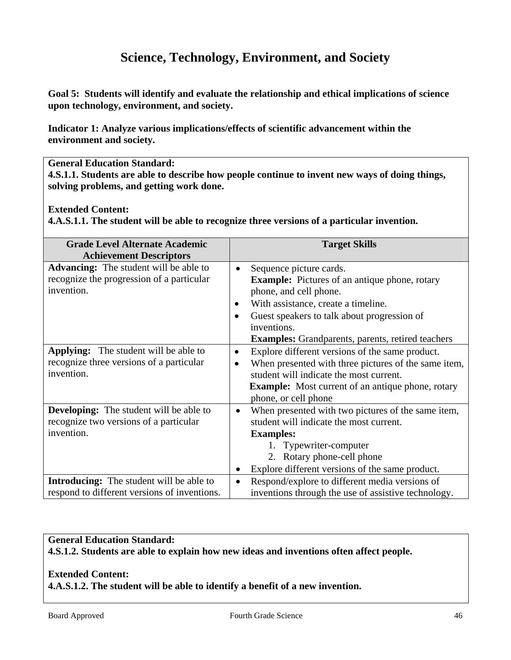# **Science, Technology, Environment, and Society**

**Goal 5: Students will identify and evaluate the relationship and ethical implications of science upon technology, environment, and society.** 

**Indicator 1: Analyze various implications/effects of scientific advancement within the environment and society.** 

#### **General Education Standard:**

**4.S.1.1. Students are able to describe how people continue to invent new ways of doing things, solving problems, and getting work done.** 

#### **Extended Content:**

**4.A.S.1.1. The student will be able to recognize three versions of a particular invention.** 

| <b>Grade Level Alternate Academic</b>           |           | <b>Target Skills</b>                                     |
|-------------------------------------------------|-----------|----------------------------------------------------------|
| <b>Achievement Descriptors</b>                  |           |                                                          |
| <b>Advancing:</b> The student will be able to   | $\bullet$ | Sequence picture cards.                                  |
| recognize the progression of a particular       |           | <b>Example:</b> Pictures of an antique phone, rotary     |
| invention.                                      |           | phone, and cell phone.                                   |
|                                                 | $\bullet$ | With assistance, create a timeline.                      |
|                                                 | $\bullet$ | Guest speakers to talk about progression of              |
|                                                 |           | inventions.                                              |
|                                                 |           | <b>Examples:</b> Grandparents, parents, retired teachers |
| <b>Applying:</b> The student will be able to    | $\bullet$ | Explore different versions of the same product.          |
| recognize three versions of a particular        | $\bullet$ | When presented with three pictures of the same item,     |
| invention.                                      |           | student will indicate the most current.                  |
|                                                 |           | <b>Example:</b> Most current of an antique phone, rotary |
|                                                 |           | phone, or cell phone                                     |
| <b>Developing:</b> The student will be able to  |           | When presented with two pictures of the same item,       |
| recognize two versions of a particular          |           | student will indicate the most current.                  |
| invention.                                      |           | <b>Examples:</b>                                         |
|                                                 |           | 1. Typewriter-computer                                   |
|                                                 |           | 2. Rotary phone-cell phone                               |
|                                                 |           | Explore different versions of the same product.          |
| <b>Introducing:</b> The student will be able to | $\bullet$ | Respond/explore to different media versions of           |
| respond to different versions of inventions.    |           | inventions through the use of assistive technology.      |

## **General Education Standard:**

**4.S.1.2. Students are able to explain how new ideas and inventions often affect people.** 

## **Extended Content:**

**4.A.S.1.2. The student will be able to identify a benefit of a new invention.**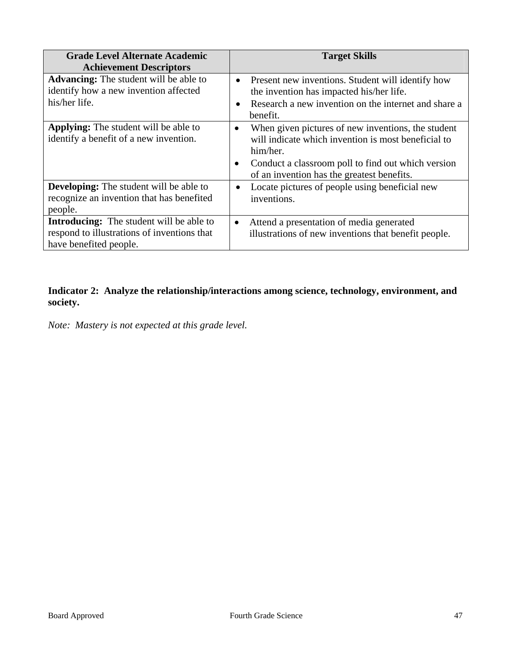| <b>Grade Level Alternate Academic</b>                                                                                    | <b>Target Skills</b>                                                                                                                                                                                                                                |
|--------------------------------------------------------------------------------------------------------------------------|-----------------------------------------------------------------------------------------------------------------------------------------------------------------------------------------------------------------------------------------------------|
| <b>Achievement Descriptors</b>                                                                                           |                                                                                                                                                                                                                                                     |
| <b>Advancing:</b> The student will be able to<br>identify how a new invention affected<br>his/her life.                  | Present new inventions. Student will identify how<br>$\bullet$<br>the invention has impacted his/her life.<br>Research a new invention on the internet and share a<br>$\bullet$<br>benefit.                                                         |
| <b>Applying:</b> The student will be able to<br>identify a benefit of a new invention.                                   | When given pictures of new inventions, the student<br>$\bullet$<br>will indicate which invention is most beneficial to<br>him/her.<br>Conduct a classroom poll to find out which version<br>$\bullet$<br>of an invention has the greatest benefits. |
| <b>Developing:</b> The student will be able to<br>recognize an invention that has benefited<br>people.                   | Locate pictures of people using beneficial new<br>$\bullet$<br>inventions.                                                                                                                                                                          |
| <b>Introducing:</b> The student will be able to<br>respond to illustrations of inventions that<br>have benefited people. | Attend a presentation of media generated<br>$\bullet$<br>illustrations of new inventions that benefit people.                                                                                                                                       |

**Indicator 2: Analyze the relationship/interactions among science, technology, environment, and society.** 

*Note: Mastery is not expected at this grade level.*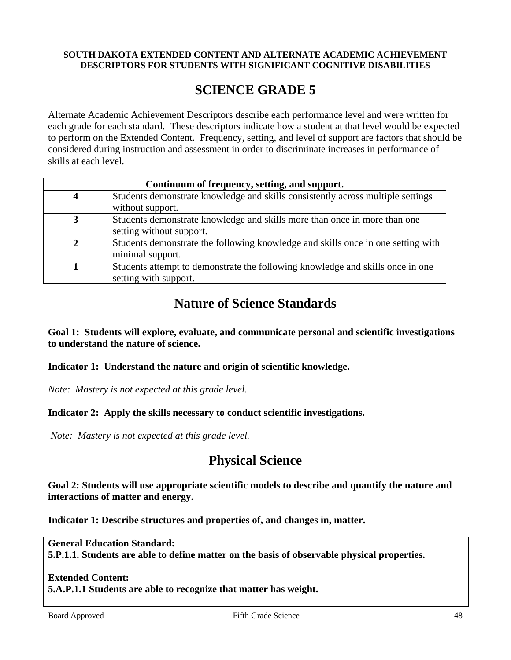#### **SOUTH DAKOTA EXTENDED CONTENT AND ALTERNATE ACADEMIC ACHIEVEMENT DESCRIPTORS FOR STUDENTS WITH SIGNIFICANT COGNITIVE DISABILITIES**

# **SCIENCE GRADE 5**

Alternate Academic Achievement Descriptors describe each performance level and were written for each grade for each standard. These descriptors indicate how a student at that level would be expected to perform on the Extended Content. Frequency, setting, and level of support are factors that should be considered during instruction and assessment in order to discriminate increases in performance of skills at each level.

| Continuum of frequency, setting, and support. |                                                                                  |  |
|-----------------------------------------------|----------------------------------------------------------------------------------|--|
|                                               | Students demonstrate knowledge and skills consistently across multiple settings  |  |
|                                               | without support.                                                                 |  |
|                                               | Students demonstrate knowledge and skills more than once in more than one        |  |
|                                               | setting without support.                                                         |  |
|                                               | Students demonstrate the following knowledge and skills once in one setting with |  |
|                                               | minimal support.                                                                 |  |
|                                               | Students attempt to demonstrate the following knowledge and skills once in one   |  |
|                                               | setting with support.                                                            |  |

# **Nature of Science Standards**

**Goal 1: Students will explore, evaluate, and communicate personal and scientific investigations to understand the nature of science.** 

**Indicator 1: Understand the nature and origin of scientific knowledge.** 

*Note: Mastery is not expected at this grade level.* 

## **Indicator 2: Apply the skills necessary to conduct scientific investigations.**

*Note: Mastery is not expected at this grade level.* 

# **Physical Science**

**Goal 2: Students will use appropriate scientific models to describe and quantify the nature and interactions of matter and energy.** 

**Indicator 1: Describe structures and properties of, and changes in, matter.** 

**General Education Standard: 5.P.1.1. Students are able to define matter on the basis of observable physical properties.** 

## **Extended Content:**

**5.A.P.1.1 Students are able to recognize that matter has weight.**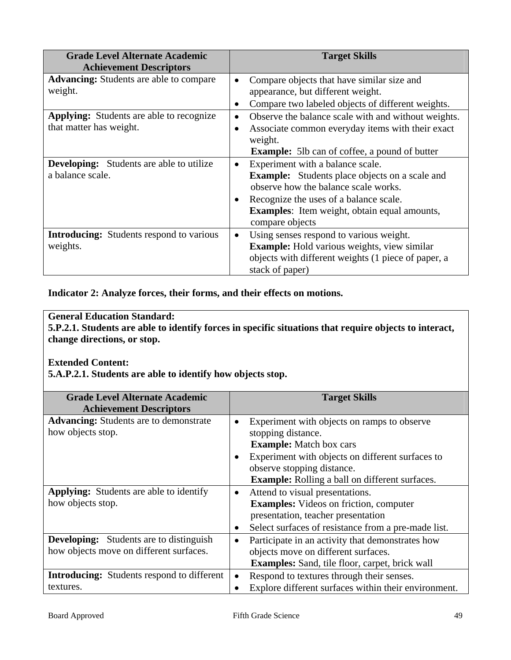| <b>Grade Level Alternate Academic</b><br><b>Achievement Descriptors</b> | <b>Target Skills</b>                                             |
|-------------------------------------------------------------------------|------------------------------------------------------------------|
| <b>Advancing:</b> Students are able to compare                          | Compare objects that have similar size and                       |
| weight.                                                                 | appearance, but different weight.                                |
|                                                                         | Compare two labeled objects of different weights.                |
| <b>Applying:</b> Students are able to recognize                         | Observe the balance scale with and without weights.<br>$\bullet$ |
| that matter has weight.                                                 | Associate common everyday items with their exact<br>$\bullet$    |
|                                                                         | weight.                                                          |
|                                                                         | <b>Example:</b> 5lb can of coffee, a pound of butter             |
| <b>Developing:</b> Students are able to utilize                         | Experiment with a balance scale.<br>$\bullet$                    |
| a balance scale.                                                        | <b>Example:</b> Students place objects on a scale and            |
|                                                                         | observe how the balance scale works.                             |
|                                                                         | Recognize the uses of a balance scale.<br>$\bullet$              |
|                                                                         | <b>Examples:</b> Item weight, obtain equal amounts,              |
|                                                                         | compare objects                                                  |
| <b>Introducing:</b> Students respond to various                         | Using senses respond to various weight.                          |
| weights.                                                                | <b>Example:</b> Hold various weights, view similar               |
|                                                                         | objects with different weights (1 piece of paper, a              |
|                                                                         | stack of paper)                                                  |

**Indicator 2: Analyze forces, their forms, and their effects on motions.** 

## **General Education Standard:**

**5.P.2.1. Students are able to identify forces in specific situations that require objects to interact, change directions, or stop.** 

## **Extended Content:**

**5.A.P.2.1. Students are able to identify how objects stop.** 

| <b>Grade Level Alternate Academic</b><br><b>Achievement Descriptors</b>                   | <b>Target Skills</b>                                                                                                                                                                                                                           |
|-------------------------------------------------------------------------------------------|------------------------------------------------------------------------------------------------------------------------------------------------------------------------------------------------------------------------------------------------|
| <b>Advancing:</b> Students are to demonstrate<br>how objects stop.                        | Experiment with objects on ramps to observe<br>stopping distance.<br><b>Example:</b> Match box cars<br>Experiment with objects on different surfaces to<br>observe stopping distance.<br><b>Example:</b> Rolling a ball on different surfaces. |
| <b>Applying:</b> Students are able to identify<br>how objects stop.                       | Attend to visual presentations.<br>$\bullet$<br><b>Examples:</b> Videos on friction, computer<br>presentation, teacher presentation<br>Select surfaces of resistance from a pre-made list.                                                     |
| <b>Developing:</b> Students are to distinguish<br>how objects move on different surfaces. | Participate in an activity that demonstrates how<br>objects move on different surfaces.<br><b>Examples:</b> Sand, tile floor, carpet, brick wall                                                                                               |
| <b>Introducing:</b> Students respond to different<br>textures.                            | Respond to textures through their senses.<br>$\bullet$<br>Explore different surfaces within their environment.                                                                                                                                 |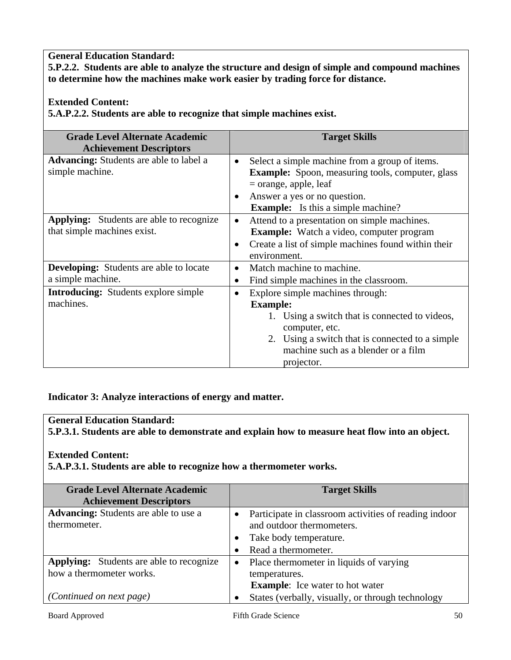**5.P.2.2. Students are able to analyze the structure and design of simple and compound machines to determine how the machines make work easier by trading force for distance.** 

**Extended Content:** 

**5.A.P.2.2. Students are able to recognize that simple machines exist.** 

| <b>Grade Level Alternate Academic</b><br><b>Achievement Descriptors</b>        | <b>Target Skills</b>                                                                                                                                                                                                                         |
|--------------------------------------------------------------------------------|----------------------------------------------------------------------------------------------------------------------------------------------------------------------------------------------------------------------------------------------|
| <b>Advancing:</b> Students are able to label a<br>simple machine.              | Select a simple machine from a group of items.<br>$\bullet$<br><b>Example:</b> Spoon, measuring tools, computer, glass<br>$=$ orange, apple, leaf<br>Answer a yes or no question.<br>$\bullet$<br><b>Example:</b> Is this a simple machine?  |
| <b>Applying:</b> Students are able to recognize<br>that simple machines exist. | Attend to a presentation on simple machines.<br>$\bullet$<br><b>Example:</b> Watch a video, computer program<br>Create a list of simple machines found within their<br>$\bullet$<br>environment.                                             |
| <b>Developing:</b> Students are able to locate<br>a simple machine.            | Match machine to machine.<br>$\bullet$<br>Find simple machines in the classroom.<br>$\bullet$                                                                                                                                                |
| <b>Introducing:</b> Students explore simple<br>machines.                       | Explore simple machines through:<br>$\bullet$<br><b>Example:</b><br>1. Using a switch that is connected to videos,<br>computer, etc.<br>2. Using a switch that is connected to a simple<br>machine such as a blender or a film<br>projector. |

**Indicator 3: Analyze interactions of energy and matter.** 

## **General Education Standard:**

**5.P.3.1. Students are able to demonstrate and explain how to measure heat flow into an object.** 

## **Extended Content:**

**5.A.P.3.1. Students are able to recognize how a thermometer works.** 

| <b>Grade Level Alternate Academic</b><br><b>Achievement Descriptors</b> |           | <b>Target Skills</b>                                                               |
|-------------------------------------------------------------------------|-----------|------------------------------------------------------------------------------------|
| Advancing: Students are able to use a<br>thermometer.                   |           | Participate in classroom activities of reading indoor<br>and outdoor thermometers. |
|                                                                         |           |                                                                                    |
|                                                                         |           | Take body temperature.                                                             |
|                                                                         |           | Read a thermometer.                                                                |
| <b>Applying:</b> Students are able to recognize                         | $\bullet$ | Place thermometer in liquids of varying                                            |
| how a thermometer works.                                                |           | temperatures.                                                                      |
|                                                                         |           | <b>Example:</b> Ice water to hot water                                             |
| (Continued on next page)                                                |           | States (verbally, visually, or through technology                                  |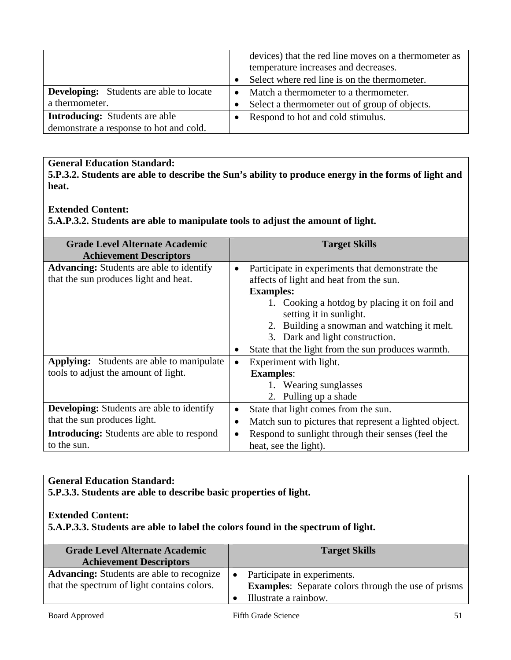|                                                |           | devices) that the red line moves on a thermometer as<br>temperature increases and decreases. |
|------------------------------------------------|-----------|----------------------------------------------------------------------------------------------|
|                                                | $\bullet$ | Select where red line is on the thermometer.                                                 |
|                                                |           |                                                                                              |
| <b>Developing:</b> Students are able to locate | $\bullet$ | Match a thermometer to a thermometer.                                                        |
| a thermometer.                                 | $\bullet$ | Select a thermometer out of group of objects.                                                |
| <b>Introducing:</b> Students are able          |           | Respond to hot and cold stimulus.                                                            |
| demonstrate a response to hot and cold.        |           |                                                                                              |

**5.P.3.2. Students are able to describe the Sun's ability to produce energy in the forms of light and heat.** 

### **Extended Content:**

**5.A.P.3.2. Students are able to manipulate tools to adjust the amount of light.** 

| <b>Grade Level Alternate Academic</b>            |           | <b>Target Skills</b>                                   |
|--------------------------------------------------|-----------|--------------------------------------------------------|
| <b>Achievement Descriptors</b>                   |           |                                                        |
| <b>Advancing:</b> Students are able to identify  |           | Participate in experiments that demonstrate the        |
| that the sun produces light and heat.            |           | affects of light and heat from the sun.                |
|                                                  |           | <b>Examples:</b>                                       |
|                                                  |           | 1. Cooking a hotdog by placing it on foil and          |
|                                                  |           | setting it in sunlight.                                |
|                                                  |           | 2. Building a snowman and watching it melt.            |
|                                                  |           | 3. Dark and light construction.                        |
|                                                  |           | State that the light from the sun produces warmth.     |
| <b>Applying:</b> Students are able to manipulate |           | Experiment with light.                                 |
| tools to adjust the amount of light.             |           | <b>Examples:</b>                                       |
|                                                  |           | 1. Wearing sunglasses                                  |
|                                                  |           | 2. Pulling up a shade                                  |
| <b>Developing:</b> Students are able to identify | $\bullet$ | State that light comes from the sun.                   |
| that the sun produces light.                     | ٠         | Match sun to pictures that represent a lighted object. |
| <b>Introducing:</b> Students are able to respond | $\bullet$ | Respond to sunlight through their senses (feel the     |
| to the sun.                                      |           | heat, see the light).                                  |

## **General Education Standard:**

**5.P.3.3. Students are able to describe basic properties of light.** 

## **Extended Content:**

**5.A.P.3.3. Students are able to label the colors found in the spectrum of light.** 

| <b>Grade Level Alternate Academic</b>            | <b>Target Skills</b>                                       |
|--------------------------------------------------|------------------------------------------------------------|
| <b>Achievement Descriptors</b>                   |                                                            |
| <b>Advancing:</b> Students are able to recognize | Participate in experiments.                                |
| that the spectrum of light contains colors.      | <b>Examples:</b> Separate colors through the use of prisms |
|                                                  | Illustrate a rainbow.                                      |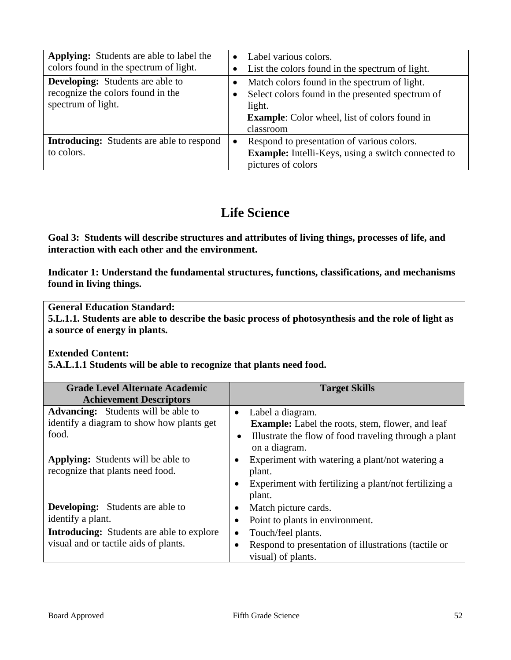| <b>Applying:</b> Students are able to label the<br>colors found in the spectrum of light.          | $\bullet$<br>٠         | Label various colors.<br>List the colors found in the spectrum of light.                                                                                                        |
|----------------------------------------------------------------------------------------------------|------------------------|---------------------------------------------------------------------------------------------------------------------------------------------------------------------------------|
| <b>Developing:</b> Students are able to<br>recognize the colors found in the<br>spectrum of light. | $\bullet$<br>$\bullet$ | Match colors found in the spectrum of light.<br>Select colors found in the presented spectrum of<br>light.<br><b>Example:</b> Color wheel, list of colors found in<br>classroom |
| <b>Introducing:</b> Students are able to respond<br>to colors.                                     | $\bullet$              | Respond to presentation of various colors.<br>Example: Intelli-Keys, using a switch connected to<br>pictures of colors                                                          |

# **Life Science**

**Goal 3: Students will describe structures and attributes of living things, processes of life, and interaction with each other and the environment.** 

**Indicator 1: Understand the fundamental structures, functions, classifications, and mechanisms found in living things.** 

**General Education Standard:** 

**5.L.1.1. Students are able to describe the basic process of photosynthesis and the role of light as a source of energy in plants.** 

**Extended Content:** 

**5.A.L.1.1 Students will be able to recognize that plants need food.** 

| <b>Grade Level Alternate Academic</b><br><b>Achievement Descriptors</b>                          | <b>Target Skills</b>                                                                                                                                                            |
|--------------------------------------------------------------------------------------------------|---------------------------------------------------------------------------------------------------------------------------------------------------------------------------------|
| <b>Advancing:</b> Students will be able to<br>identify a diagram to show how plants get<br>food. | Label a diagram.<br>$\bullet$<br><b>Example:</b> Label the roots, stem, flower, and leaf<br>Illustrate the flow of food traveling through a plant<br>$\bullet$<br>on a diagram. |
| <b>Applying:</b> Students will be able to<br>recognize that plants need food.                    | Experiment with watering a plant/not watering a<br>plant.<br>Experiment with fertilizing a plant/not fertilizing a<br>٠<br>plant.                                               |
| <b>Developing:</b> Students are able to<br>identify a plant.                                     | Match picture cards.<br>$\bullet$<br>Point to plants in environment.                                                                                                            |
| <b>Introducing:</b> Students are able to explore<br>visual and or tactile aids of plants.        | Touch/feel plants.<br>$\bullet$<br>Respond to presentation of illustrations (tactile or<br>$\bullet$<br>visual) of plants.                                                      |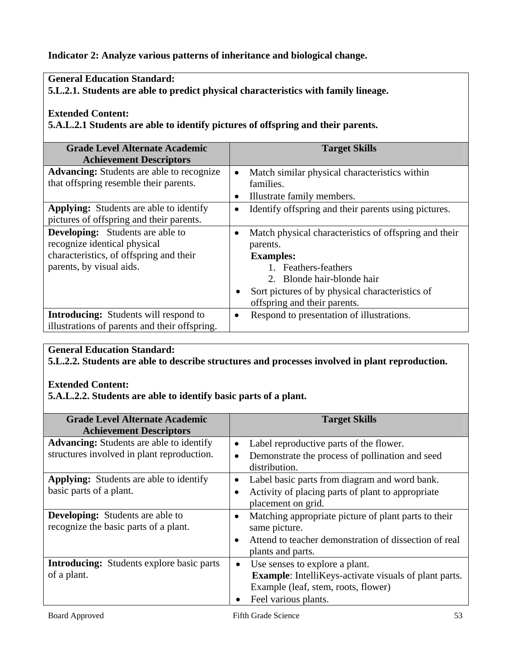## **Indicator 2: Analyze various patterns of inheritance and biological change.**

## **General Education Standard:**

**5.L.2.1. Students are able to predict physical characteristics with family lineage.** 

## **Extended Content:**

**5.A.L.2.1 Students are able to identify pictures of offspring and their parents.** 

| <b>Grade Level Alternate Academic</b>            |           | <b>Target Skills</b>                                  |
|--------------------------------------------------|-----------|-------------------------------------------------------|
| <b>Achievement Descriptors</b>                   |           |                                                       |
| <b>Advancing:</b> Students are able to recognize | $\bullet$ | Match similar physical characteristics within         |
| that offspring resemble their parents.           |           | families.                                             |
|                                                  |           | Illustrate family members.                            |
| <b>Applying:</b> Students are able to identify   | $\bullet$ | Identify offspring and their parents using pictures.  |
| pictures of offspring and their parents.         |           |                                                       |
| <b>Developing:</b> Students are able to          | $\bullet$ | Match physical characteristics of offspring and their |
| recognize identical physical                     |           | parents.                                              |
| characteristics, of offspring and their          |           | <b>Examples:</b>                                      |
| parents, by visual aids.                         |           | 1. Feathers-feathers                                  |
|                                                  |           | 2. Blonde hair-blonde hair                            |
|                                                  |           | Sort pictures of by physical characteristics of       |
|                                                  |           | offspring and their parents.                          |
| <b>Introducing:</b> Students will respond to     | $\bullet$ | Respond to presentation of illustrations.             |
| illustrations of parents and their offspring.    |           |                                                       |

## **General Education Standard:**

**5.L.2.2. Students are able to describe structures and processes involved in plant reproduction.** 

## **Extended Content:**

**5.A.L.2.2. Students are able to identify basic parts of a plant.** 

| <b>Grade Level Alternate Academic</b>            | <b>Target Skills</b>                                               |
|--------------------------------------------------|--------------------------------------------------------------------|
| <b>Achievement Descriptors</b>                   |                                                                    |
| <b>Advancing:</b> Students are able to identify  | Label reproductive parts of the flower.<br>$\bullet$               |
| structures involved in plant reproduction.       | Demonstrate the process of pollination and seed                    |
|                                                  | distribution.                                                      |
| <b>Applying:</b> Students are able to identify   | Label basic parts from diagram and word bank.<br>$\bullet$         |
| basic parts of a plant.                          | Activity of placing parts of plant to appropriate                  |
|                                                  | placement on grid.                                                 |
| <b>Developing:</b> Students are able to          | Matching appropriate picture of plant parts to their<br>$\bullet$  |
| recognize the basic parts of a plant.            | same picture.                                                      |
|                                                  | Attend to teacher demonstration of dissection of real<br>$\bullet$ |
|                                                  | plants and parts.                                                  |
| <b>Introducing:</b> Students explore basic parts | Use senses to explore a plant.                                     |
| of a plant.                                      | <b>Example:</b> IntelliKeys-activate visuals of plant parts.       |
|                                                  | Example (leaf, stem, roots, flower)                                |
|                                                  | Feel various plants.                                               |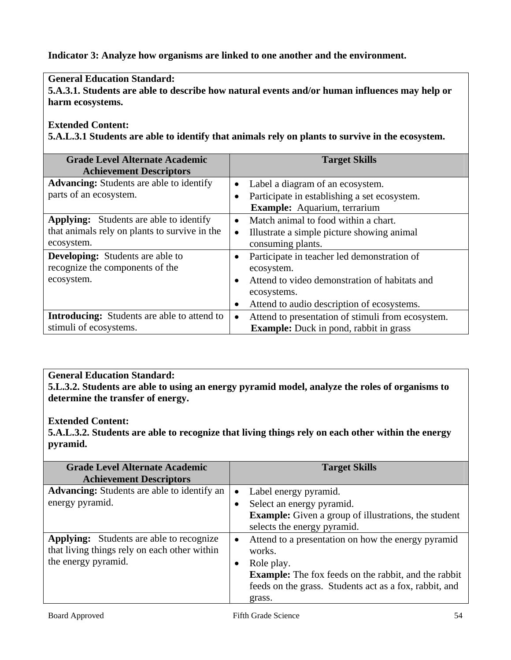## **Indicator 3: Analyze how organisms are linked to one another and the environment.**

## **General Education Standard:**

**5.A.3.1. Students are able to describe how natural events and/or human influences may help or harm ecosystems.** 

### **Extended Content:**

**5.A.L.3.1 Students are able to identify that animals rely on plants to survive in the ecosystem.** 

| <b>Grade Level Alternate Academic</b><br><b>Achievement Descriptors</b> | <b>Target Skills</b>                                           |
|-------------------------------------------------------------------------|----------------------------------------------------------------|
| <b>Advancing:</b> Students are able to identify                         | Label a diagram of an ecosystem.<br>$\bullet$                  |
| parts of an ecosystem.                                                  | Participate in establishing a set ecosystem.<br>$\bullet$      |
|                                                                         | Example: Aquarium, terrarium                                   |
| <b>Applying:</b> Students are able to identify                          | Match animal to food within a chart.<br>$\bullet$              |
| that animals rely on plants to survive in the                           | Illustrate a simple picture showing animal                     |
| ecosystem.                                                              | consuming plants.                                              |
| <b>Developing:</b> Students are able to                                 | Participate in teacher led demonstration of<br>$\bullet$       |
| recognize the components of the                                         | ecosystem.                                                     |
| ecosystem.                                                              | Attend to video demonstration of habitats and<br>$\bullet$     |
|                                                                         | ecosystems.                                                    |
|                                                                         | Attend to audio description of ecosystems.<br>$\bullet$        |
| <b>Introducing:</b> Students are able to attend to                      | Attend to presentation of stimuli from ecosystem.<br>$\bullet$ |
| stimuli of ecosystems.                                                  | <b>Example:</b> Duck in pond, rabbit in grass                  |

### **General Education Standard:**

**5.L.3.2. Students are able to using an energy pyramid model, analyze the roles of organisms to determine the transfer of energy.** 

#### **Extended Content:**

**5.A.L.3.2. Students are able to recognize that living things rely on each other within the energy pyramid.** 

| <b>Grade Level Alternate Academic</b><br><b>Achievement Descriptors</b>                         |           | <b>Target Skills</b>                                                                                                                |
|-------------------------------------------------------------------------------------------------|-----------|-------------------------------------------------------------------------------------------------------------------------------------|
| <b>Advancing:</b> Students are able to identify an<br>energy pyramid.                           | $\bullet$ | Label energy pyramid.<br>Select an energy pyramid.                                                                                  |
|                                                                                                 |           | <b>Example:</b> Given a group of illustrations, the student<br>selects the energy pyramid.                                          |
| <b>Applying:</b> Students are able to recognize<br>that living things rely on each other within | $\bullet$ | Attend to a presentation on how the energy pyramid<br>works.                                                                        |
| the energy pyramid.                                                                             |           | Role play.<br><b>Example:</b> The fox feeds on the rabbit, and the rabbit<br>feeds on the grass. Students act as a fox, rabbit, and |
|                                                                                                 |           | grass.                                                                                                                              |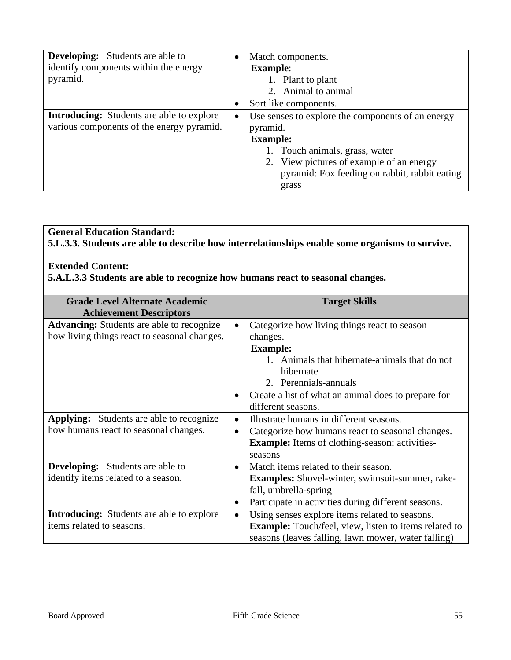| <b>Developing:</b> Students are able to<br>identify components within the energy<br>pyramid.  | $\bullet$ | Match components.<br><b>Example:</b><br>1. Plant to plant<br>2. Animal to animal                                                                                                                                         |
|-----------------------------------------------------------------------------------------------|-----------|--------------------------------------------------------------------------------------------------------------------------------------------------------------------------------------------------------------------------|
|                                                                                               |           | Sort like components.                                                                                                                                                                                                    |
| <b>Introducing:</b> Students are able to explore<br>various components of the energy pyramid. | $\bullet$ | Use senses to explore the components of an energy<br>pyramid.<br><b>Example:</b><br>1. Touch animals, grass, water<br>2. View pictures of example of an energy<br>pyramid: Fox feeding on rabbit, rabbit eating<br>grass |

## **General Education Standard: 5.L.3.3. Students are able to describe how interrelationships enable some organisms to survive.**

### **Extended Content:**

**5.A.L.3.3 Students are able to recognize how humans react to seasonal changes.** 

| <b>Grade Level Alternate Academic</b><br><b>Achievement Descriptors</b> |           | <b>Target Skills</b>                                         |
|-------------------------------------------------------------------------|-----------|--------------------------------------------------------------|
| <b>Advancing:</b> Students are able to recognize                        |           | Categorize how living things react to season                 |
| how living things react to seasonal changes.                            |           | changes.                                                     |
|                                                                         |           | <b>Example:</b>                                              |
|                                                                         |           | 1. Animals that hibernate-animals that do not                |
|                                                                         |           | hibernate                                                    |
|                                                                         |           | 2. Perennials-annuals                                        |
|                                                                         | $\bullet$ | Create a list of what an animal does to prepare for          |
|                                                                         |           | different seasons.                                           |
| <b>Applying:</b> Students are able to recognize                         | $\bullet$ | Illustrate humans in different seasons.                      |
| how humans react to seasonal changes.                                   | $\bullet$ | Categorize how humans react to seasonal changes.             |
|                                                                         |           | <b>Example:</b> Items of clothing-season; activities-        |
|                                                                         |           | seasons                                                      |
| <b>Developing:</b> Students are able to                                 | $\bullet$ | Match items related to their season.                         |
| identify items related to a season.                                     |           | <b>Examples:</b> Shovel-winter, swimsuit-summer, rake-       |
|                                                                         |           | fall, umbrella-spring                                        |
|                                                                         | $\bullet$ | Participate in activities during different seasons.          |
| <b>Introducing:</b> Students are able to explore                        | $\bullet$ | Using senses explore items related to seasons.               |
| items related to seasons.                                               |           | <b>Example:</b> Touch/feel, view, listen to items related to |
|                                                                         |           | seasons (leaves falling, lawn mower, water falling)          |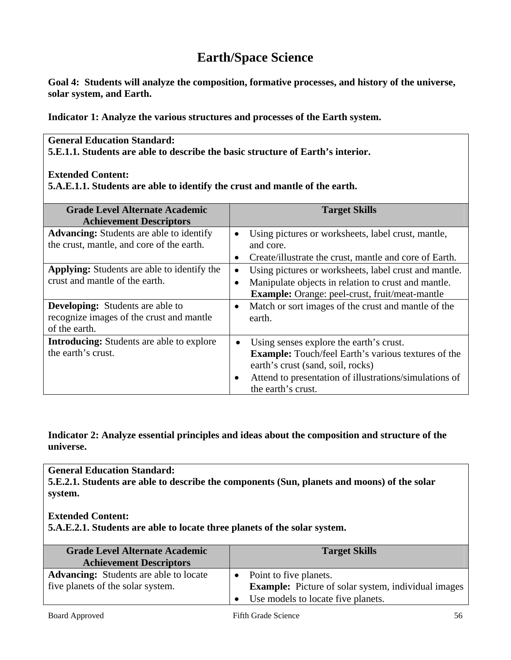# **Earth/Space Science**

**Goal 4: Students will analyze the composition, formative processes, and history of the universe, solar system, and Earth.** 

**Indicator 1: Analyze the various structures and processes of the Earth system.** 

#### **General Education Standard: 5.E.1.1. Students are able to describe the basic structure of Earth's interior.**

#### **Extended Content:**

**5.A.E.1.1. Students are able to identify the crust and mantle of the earth.** 

| <b>Grade Level Alternate Academic</b>              |           | <b>Target Skills</b>                                       |
|----------------------------------------------------|-----------|------------------------------------------------------------|
| <b>Achievement Descriptors</b>                     |           |                                                            |
| <b>Advancing:</b> Students are able to identify    | $\bullet$ | Using pictures or worksheets, label crust, mantle,         |
| the crust, mantle, and core of the earth.          |           | and core.                                                  |
|                                                    | $\bullet$ | Create/illustrate the crust, mantle and core of Earth.     |
| <b>Applying:</b> Students are able to identify the |           | Using pictures or worksheets, label crust and mantle.      |
| crust and mantle of the earth.                     |           | Manipulate objects in relation to crust and mantle.        |
|                                                    |           | <b>Example:</b> Orange: peel-crust, fruit/meat-mantle      |
| <b>Developing:</b> Students are able to            | $\bullet$ | Match or sort images of the crust and mantle of the        |
| recognize images of the crust and mantle           |           | earth.                                                     |
| of the earth.                                      |           |                                                            |
| <b>Introducing:</b> Students are able to explore   | $\bullet$ | Using senses explore the earth's crust.                    |
| the earth's crust.                                 |           | <b>Example:</b> Touch/feel Earth's various textures of the |
|                                                    |           | earth's crust (sand, soil, rocks)                          |
|                                                    | $\bullet$ | Attend to presentation of illustrations/simulations of     |
|                                                    |           | the earth's crust.                                         |

### **Indicator 2: Analyze essential principles and ideas about the composition and structure of the universe.**

#### **General Education Standard:**

**5.E.2.1. Students are able to describe the components (Sun, planets and moons) of the solar system.** 

#### **Extended Content:**

**5.A.E.2.1. Students are able to locate three planets of the solar system.** 

| <b>Grade Level Alternate Academic</b><br><b>Achievement Descriptors</b>            | <b>Target Skills</b>                                                                 |
|------------------------------------------------------------------------------------|--------------------------------------------------------------------------------------|
| <b>Advancing:</b> Students are able to locate<br>five planets of the solar system. | Point to five planets.<br><b>Example:</b> Picture of solar system, individual images |
|                                                                                    | Use models to locate five planets.                                                   |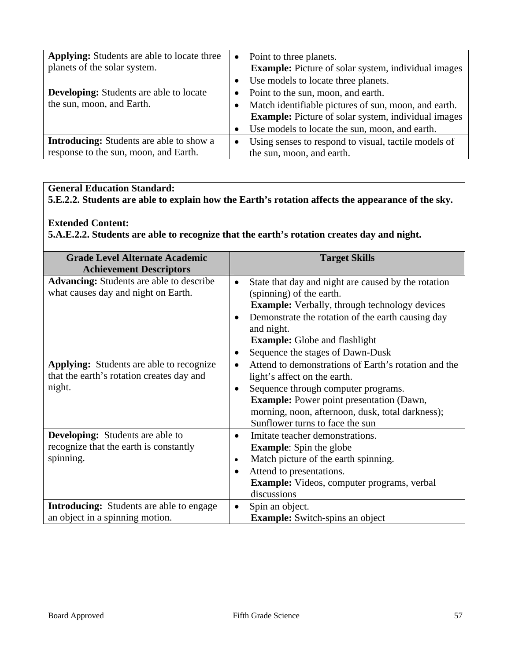| <b>Applying:</b> Students are able to locate three<br>planets of the solar system. | $\bullet$ | Point to three planets.<br><b>Example:</b> Picture of solar system, individual images |
|------------------------------------------------------------------------------------|-----------|---------------------------------------------------------------------------------------|
|                                                                                    |           | Use models to locate three planets.                                                   |
| <b>Developing:</b> Students are able to locate                                     |           | • Point to the sun, moon, and earth.                                                  |
| the sun, moon, and Earth.                                                          |           | Match identifiable pictures of sun, moon, and earth.                                  |
|                                                                                    |           | <b>Example:</b> Picture of solar system, individual images                            |
|                                                                                    |           | Use models to locate the sun, moon, and earth.                                        |
| <b>Introducing:</b> Students are able to show a                                    | $\bullet$ | Using senses to respond to visual, tactile models of                                  |
| response to the sun, moon, and Earth.                                              |           | the sun, moon, and earth.                                                             |

**5.E.2.2. Students are able to explain how the Earth's rotation affects the appearance of the sky.** 

### **Extended Content:**

**5.A.E.2.2. Students are able to recognize that the earth's rotation creates day and night.**

| <b>Grade Level Alternate Academic</b><br><b>Achievement Descriptors</b>                                | <b>Target Skills</b>                                                                                                                                                                                                                                                                                                   |
|--------------------------------------------------------------------------------------------------------|------------------------------------------------------------------------------------------------------------------------------------------------------------------------------------------------------------------------------------------------------------------------------------------------------------------------|
| <b>Advancing:</b> Students are able to describe<br>what causes day and night on Earth.                 | State that day and night are caused by the rotation<br>$\bullet$<br>(spinning) of the earth.<br><b>Example:</b> Verbally, through technology devices<br>Demonstrate the rotation of the earth causing day<br>$\bullet$<br>and night.<br><b>Example:</b> Globe and flashlight                                           |
| <b>Applying:</b> Students are able to recognize<br>that the earth's rotation creates day and<br>night. | Sequence the stages of Dawn-Dusk<br>Attend to demonstrations of Earth's rotation and the<br>$\bullet$<br>light's affect on the earth.<br>Sequence through computer programs.<br><b>Example:</b> Power point presentation (Dawn,<br>morning, noon, afternoon, dusk, total darkness);<br>Sunflower turns to face the sun |
| <b>Developing:</b> Students are able to<br>recognize that the earth is constantly<br>spinning.         | Imitate teacher demonstrations.<br>$\bullet$<br><b>Example:</b> Spin the globe<br>Match picture of the earth spinning.<br>$\bullet$<br>Attend to presentations.<br>$\bullet$<br><b>Example:</b> Videos, computer programs, verbal<br>discussions                                                                       |
| <b>Introducing:</b> Students are able to engage<br>an object in a spinning motion.                     | Spin an object.<br><b>Example:</b> Switch-spins an object                                                                                                                                                                                                                                                              |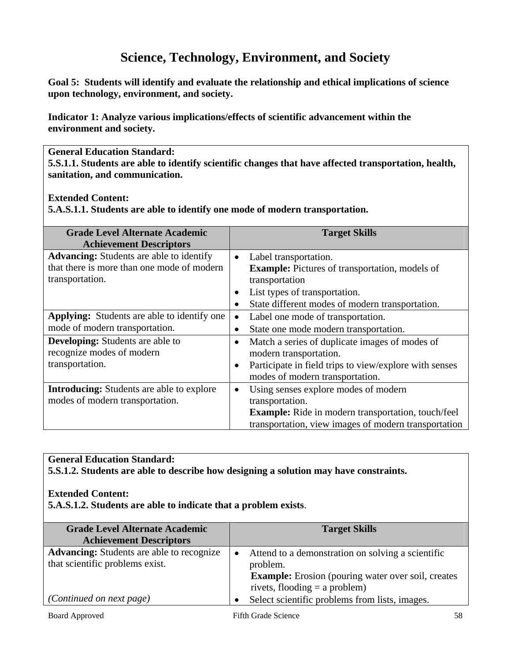# **Science, Technology, Environment, and Society**

**Goal 5: Students will identify and evaluate the relationship and ethical implications of science upon technology, environment, and society.** 

**Indicator 1: Analyze various implications/effects of scientific advancement within the environment and society.** 

### **General Education Standard:**

**5.S.1.1. Students are able to identify scientific changes that have affected transportation, health, sanitation, and communication.** 

## **Extended Content:**

**5.A.S.1.1. Students are able to identify one mode of modern transportation.** 

| <b>Grade Level Alternate Academic</b>            |           | <b>Target Skills</b>                                      |
|--------------------------------------------------|-----------|-----------------------------------------------------------|
| <b>Achievement Descriptors</b>                   |           |                                                           |
| <b>Advancing:</b> Students are able to identify  | $\bullet$ | Label transportation.                                     |
| that there is more than one mode of modern       |           | <b>Example:</b> Pictures of transportation, models of     |
| transportation.                                  |           | transportation                                            |
|                                                  | $\bullet$ | List types of transportation.                             |
|                                                  | $\bullet$ | State different modes of modern transportation.           |
| Applying: Students are able to identify one      |           | Label one mode of transportation.                         |
| mode of modern transportation.                   | $\bullet$ | State one mode modern transportation.                     |
| <b>Developing:</b> Students are able to          | $\bullet$ | Match a series of duplicate images of modes of            |
| recognize modes of modern                        |           | modern transportation.                                    |
| transportation.                                  | $\bullet$ | Participate in field trips to view/explore with senses    |
|                                                  |           | modes of modern transportation.                           |
| <b>Introducing:</b> Students are able to explore | $\bullet$ | Using senses explore modes of modern                      |
| modes of modern transportation.                  |           | transportation.                                           |
|                                                  |           | <b>Example:</b> Ride in modern transportation, touch/feel |
|                                                  |           | transportation, view images of modern transportation      |

## **General Education Standard:**

**5.S.1.2. Students are able to describe how designing a solution may have constraints.** 

## **Extended Content:**

**5.A.S.1.2. Students are able to indicate that a problem exists**.

| <b>Grade Level Alternate Academic</b><br><b>Achievement Descriptors</b>             | <b>Target Skills</b>                                                                                                                                          |
|-------------------------------------------------------------------------------------|---------------------------------------------------------------------------------------------------------------------------------------------------------------|
| <b>Advancing:</b> Students are able to recognize<br>that scientific problems exist. | Attend to a demonstration on solving a scientific<br>problem.<br><b>Example:</b> Erosion (pouring water over soil, creates<br>rivets, flooding $=$ a problem) |
| (Continued on next page)                                                            | Select scientific problems from lists, images.                                                                                                                |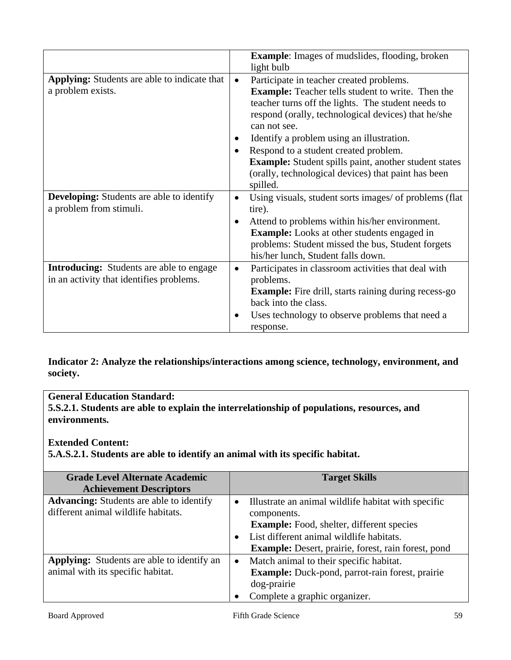|                                                     |           | <b>Example:</b> Images of mudslides, flooding, broken        |
|-----------------------------------------------------|-----------|--------------------------------------------------------------|
|                                                     |           | light bulb                                                   |
| <b>Applying:</b> Students are able to indicate that | $\bullet$ | Participate in teacher created problems.                     |
| a problem exists.                                   |           | <b>Example:</b> Teacher tells student to write. Then the     |
|                                                     |           | teacher turns off the lights. The student needs to           |
|                                                     |           | respond (orally, technological devices) that he/she          |
|                                                     |           | can not see.                                                 |
|                                                     |           | Identify a problem using an illustration.                    |
|                                                     |           | Respond to a student created problem.                        |
|                                                     |           | <b>Example:</b> Student spills paint, another student states |
|                                                     |           | (orally, technological devices) that paint has been          |
|                                                     |           | spilled.                                                     |
| <b>Developing:</b> Students are able to identify    | $\bullet$ | Using visuals, student sorts images/ of problems (flat)      |
| a problem from stimuli.                             |           | tire).                                                       |
|                                                     | $\bullet$ | Attend to problems within his/her environment.               |
|                                                     |           | <b>Example:</b> Looks at other students engaged in           |
|                                                     |           | problems: Student missed the bus, Student forgets            |
|                                                     |           | his/her lunch, Student falls down.                           |
| <b>Introducing:</b> Students are able to engage     | $\bullet$ | Participates in classroom activities that deal with          |
| in an activity that identifies problems.            |           | problems.                                                    |
|                                                     |           | <b>Example:</b> Fire drill, starts raining during recess-go  |
|                                                     |           | back into the class.                                         |
|                                                     | ٠         | Uses technology to observe problems that need a              |
|                                                     |           | response.                                                    |

**Indicator 2: Analyze the relationships/interactions among science, technology, environment, and society.** 

**General Education Standard: 5.S.2.1. Students are able to explain the interrelationship of populations, resources, and environments.** 

## **Extended Content:**

**5.A.S.2.1. Students are able to identify an animal with its specific habitat.**

| <b>Grade Level Alternate Academic</b>             |           | <b>Target Skills</b>                                       |
|---------------------------------------------------|-----------|------------------------------------------------------------|
| <b>Achievement Descriptors</b>                    |           |                                                            |
| <b>Advancing:</b> Students are able to identify   | $\bullet$ | Illustrate an animal wildlife habitat with specific        |
| different animal wildlife habitats.               |           | components.                                                |
|                                                   |           | <b>Example:</b> Food, shelter, different species           |
|                                                   |           | List different animal wildlife habitats.                   |
|                                                   |           | <b>Example:</b> Desert, prairie, forest, rain forest, pond |
| <b>Applying:</b> Students are able to identify an | $\bullet$ | Match animal to their specific habitat.                    |
| animal with its specific habitat.                 |           | Example: Duck-pond, parrot-rain forest, prairie            |
|                                                   |           | dog-prairie                                                |
|                                                   |           | Complete a graphic organizer.                              |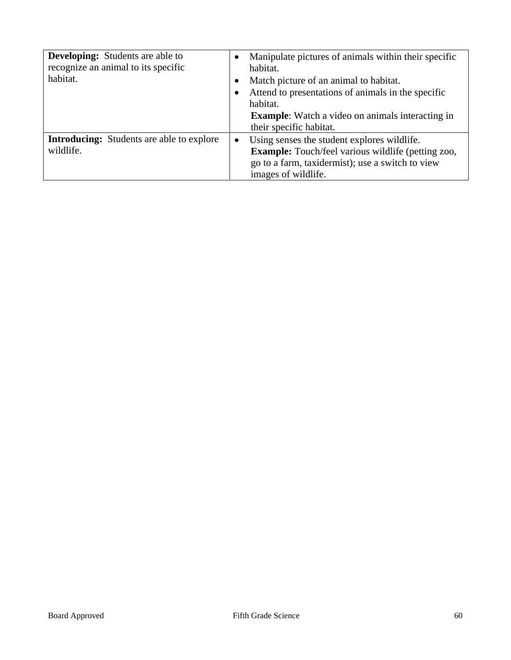| <b>Developing:</b> Students are able to<br>recognize an animal to its specific<br>habitat. |           | Manipulate pictures of animals within their specific<br>habitat.<br>Match picture of an animal to habitat.<br>Attend to presentations of animals in the specific<br>habitat.<br><b>Example:</b> Watch a video on animals interacting in<br>their specific habitat. |
|--------------------------------------------------------------------------------------------|-----------|--------------------------------------------------------------------------------------------------------------------------------------------------------------------------------------------------------------------------------------------------------------------|
| <b>Introducing:</b> Students are able to explore<br>wildlife.                              | $\bullet$ | Using senses the student explores wildlife.<br><b>Example:</b> Touch/feel various wildlife (petting zoo,<br>go to a farm, taxidermist); use a switch to view<br>images of wildlife.                                                                                |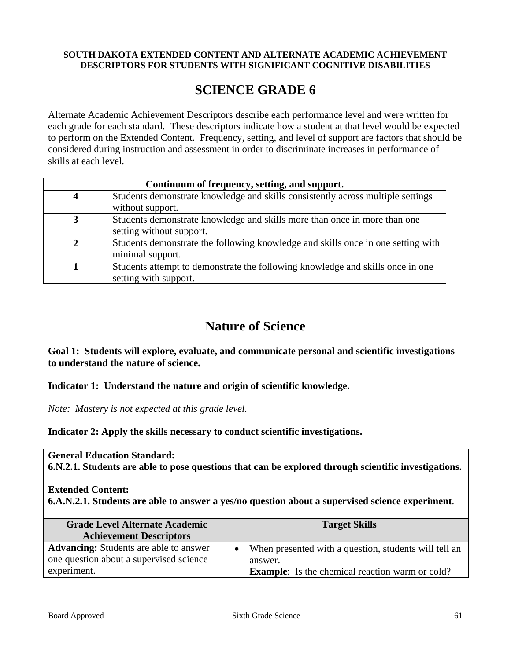#### **SOUTH DAKOTA EXTENDED CONTENT AND ALTERNATE ACADEMIC ACHIEVEMENT DESCRIPTORS FOR STUDENTS WITH SIGNIFICANT COGNITIVE DISABILITIES**

# **SCIENCE GRADE 6**

Alternate Academic Achievement Descriptors describe each performance level and were written for each grade for each standard. These descriptors indicate how a student at that level would be expected to perform on the Extended Content. Frequency, setting, and level of support are factors that should be considered during instruction and assessment in order to discriminate increases in performance of skills at each level.

| Continuum of frequency, setting, and support. |                                                                                  |  |  |
|-----------------------------------------------|----------------------------------------------------------------------------------|--|--|
|                                               | Students demonstrate knowledge and skills consistently across multiple settings  |  |  |
|                                               | without support.                                                                 |  |  |
|                                               | Students demonstrate knowledge and skills more than once in more than one        |  |  |
|                                               | setting without support.                                                         |  |  |
|                                               | Students demonstrate the following knowledge and skills once in one setting with |  |  |
|                                               | minimal support.                                                                 |  |  |
|                                               | Students attempt to demonstrate the following knowledge and skills once in one   |  |  |
|                                               | setting with support.                                                            |  |  |

# **Nature of Science**

**Goal 1: Students will explore, evaluate, and communicate personal and scientific investigations to understand the nature of science.** 

**Indicator 1: Understand the nature and origin of scientific knowledge.** 

*Note: Mastery is not expected at this grade level.* 

**Indicator 2: Apply the skills necessary to conduct scientific investigations.** 

**General Education Standard:** 

**6.N.2.1. Students are able to pose questions that can be explored through scientific investigations.** 

#### **Extended Content:**

**6.A.N.2.1. Students are able to answer a yes/no question about a supervised science experiment**.

| <b>Grade Level Alternate Academic</b><br><b>Achievement Descriptors</b> | <b>Target Skills</b>                                               |
|-------------------------------------------------------------------------|--------------------------------------------------------------------|
| <b>Advancing:</b> Students are able to answer                           | When presented with a question, students will tell an<br>$\bullet$ |
| one question about a supervised science                                 | answer.                                                            |
| experiment.                                                             | <b>Example:</b> Is the chemical reaction warm or cold?             |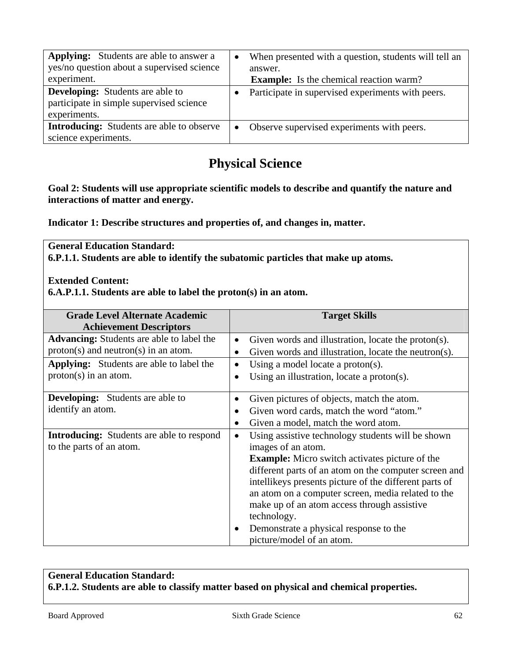| <b>Applying:</b> Students are able to answer a<br>yes/no question about a supervised science<br>experiment. |           | When presented with a question, students will tell an<br>answer.<br><b>Example:</b> Is the chemical reaction warm? |
|-------------------------------------------------------------------------------------------------------------|-----------|--------------------------------------------------------------------------------------------------------------------|
| <b>Developing:</b> Students are able to<br>participate in simple supervised science<br>experiments.         |           | Participate in supervised experiments with peers.                                                                  |
| <b>Introducing:</b> Students are able to observe<br>science experiments.                                    | $\bullet$ | Observe supervised experiments with peers.                                                                         |

# **Physical Science**

**Goal 2: Students will use appropriate scientific models to describe and quantify the nature and interactions of matter and energy.** 

**Indicator 1: Describe structures and properties of, and changes in, matter.** 

**General Education Standard: 6.P.1.1. Students are able to identify the subatomic particles that make up atoms.** 

**Extended Content:** 

**6.A.P.1.1. Students are able to label the proton(s) in an atom.** 

| <b>Grade Level Alternate Academic</b><br><b>Achievement Descriptors</b> |           | <b>Target Skills</b>                                                                                            |
|-------------------------------------------------------------------------|-----------|-----------------------------------------------------------------------------------------------------------------|
| <b>Advancing:</b> Students are able to label the                        |           | Given words and illustration, locate the proton(s).                                                             |
| $proton(s)$ and neutron(s) in an atom.                                  | $\bullet$ | Given words and illustration, locate the neutron(s).                                                            |
| <b>Applying:</b> Students are able to label the                         | $\bullet$ | Using a model locate a proton(s).                                                                               |
| $proton(s)$ in an atom.                                                 | $\bullet$ | Using an illustration, locate a proton(s).                                                                      |
| <b>Developing:</b> Students are able to                                 | ٠         | Given pictures of objects, match the atom.                                                                      |
| identify an atom.                                                       | $\bullet$ | Given word cards, match the word "atom."                                                                        |
|                                                                         |           | Given a model, match the word atom.                                                                             |
| <b>Introducing:</b> Students are able to respond                        | $\bullet$ | Using assistive technology students will be shown                                                               |
| to the parts of an atom.                                                |           | images of an atom.                                                                                              |
|                                                                         |           | <b>Example:</b> Micro switch activates picture of the                                                           |
|                                                                         |           | different parts of an atom on the computer screen and<br>intellikeys presents picture of the different parts of |
|                                                                         |           | an atom on a computer screen, media related to the                                                              |
|                                                                         |           | make up of an atom access through assistive                                                                     |
|                                                                         |           | technology.                                                                                                     |
|                                                                         | $\bullet$ | Demonstrate a physical response to the                                                                          |
|                                                                         |           | picture/model of an atom.                                                                                       |

## **General Education Standard: 6.P.1.2. Students are able to classify matter based on physical and chemical properties.**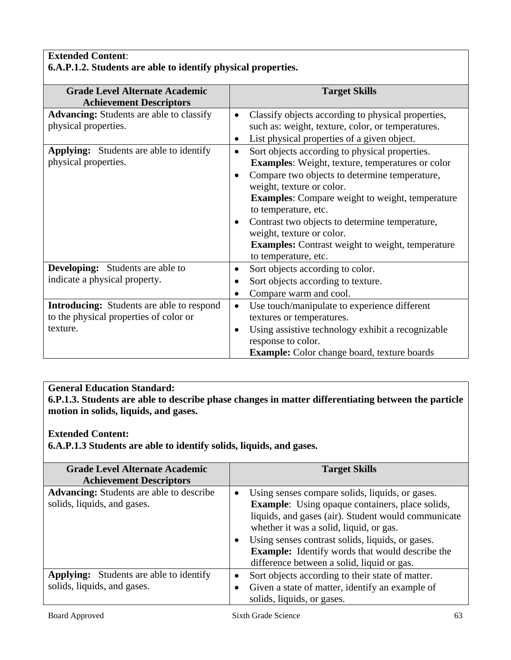## **Extended Content**: **6.A.P.1.2. Students are able to identify physical properties.**

| <b>Grade Level Alternate Academic</b>            | <b>Target Skills</b>                                            |
|--------------------------------------------------|-----------------------------------------------------------------|
| <b>Achievement Descriptors</b>                   |                                                                 |
| <b>Advancing:</b> Students are able to classify  | Classify objects according to physical properties,<br>$\bullet$ |
| physical properties.                             | such as: weight, texture, color, or temperatures.               |
|                                                  | List physical properties of a given object.                     |
| <b>Applying:</b> Students are able to identify   | Sort objects according to physical properties.<br>$\bullet$     |
| physical properties.                             | <b>Examples:</b> Weight, texture, temperatures or color         |
|                                                  | Compare two objects to determine temperature,<br>$\bullet$      |
|                                                  | weight, texture or color.                                       |
|                                                  | <b>Examples:</b> Compare weight to weight, temperature          |
|                                                  | to temperature, etc.                                            |
|                                                  | Contrast two objects to determine temperature,<br>$\bullet$     |
|                                                  | weight, texture or color.                                       |
|                                                  | <b>Examples:</b> Contrast weight to weight, temperature         |
|                                                  | to temperature, etc.                                            |
| <b>Developing:</b> Students are able to          | Sort objects according to color.<br>$\bullet$                   |
| indicate a physical property.                    | Sort objects according to texture.                              |
|                                                  | Compare warm and cool.<br>$\bullet$                             |
| <b>Introducing:</b> Students are able to respond | Use touch/manipulate to experience different<br>$\bullet$       |
| to the physical properties of color or           | textures or temperatures.                                       |
| texture.                                         | Using assistive technology exhibit a recognizable<br>$\bullet$  |
|                                                  | response to color.                                              |
|                                                  | <b>Example:</b> Color change board, texture boards              |

## **General Education Standard:**

**6.P.1.3. Students are able to describe phase changes in matter differentiating between the particle motion in solids, liquids, and gases.** 

## **Extended Content:**

**6.A.P.1.3 Students are able to identify solids, liquids, and gases.** 

| <b>Grade Level Alternate Academic</b>           |           | <b>Target Skills</b>                                   |
|-------------------------------------------------|-----------|--------------------------------------------------------|
| <b>Achievement Descriptors</b>                  |           |                                                        |
| <b>Advancing:</b> Students are able to describe | $\bullet$ | Using senses compare solids, liquids, or gases.        |
| solids, liquids, and gases.                     |           | <b>Example:</b> Using opaque containers, place solids, |
|                                                 |           | liquids, and gases (air). Student would communicate    |
|                                                 |           | whether it was a solid, liquid, or gas.                |
|                                                 | $\bullet$ | Using senses contrast solids, liquids, or gases.       |
|                                                 |           | <b>Example:</b> Identify words that would describe the |
|                                                 |           | difference between a solid, liquid or gas.             |
| <b>Applying:</b> Students are able to identify  | $\bullet$ | Sort objects according to their state of matter.       |
| solids, liquids, and gases.                     | $\bullet$ | Given a state of matter, identify an example of        |
|                                                 |           | solids, liquids, or gases.                             |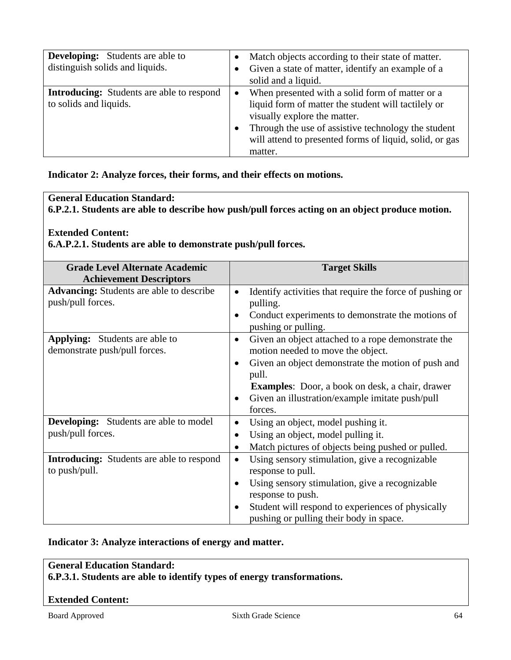| <b>Developing:</b> Students are able to<br>distinguish solids and liquids. |           | Match objects according to their state of matter.<br>Given a state of matter, identify an example of a<br>solid and a liquid.                                                                                                                                       |
|----------------------------------------------------------------------------|-----------|---------------------------------------------------------------------------------------------------------------------------------------------------------------------------------------------------------------------------------------------------------------------|
| <b>Introducing:</b> Students are able to respond<br>to solids and liquids. | $\bullet$ | When presented with a solid form of matter or a<br>liquid form of matter the student will tactilely or<br>visually explore the matter.<br>Through the use of assistive technology the student<br>will attend to presented forms of liquid, solid, or gas<br>matter. |

#### **Indicator 2: Analyze forces, their forms, and their effects on motions.**

## **General Education Standard:**

**6.P.2.1. Students are able to describe how push/pull forces acting on an object produce motion.** 

## **Extended Content:**

**6.A.P.2.1. Students are able to demonstrate push/pull forces.** 

| <b>Grade Level Alternate Academic</b><br><b>Achievement Descriptors</b> | <b>Target Skills</b>                                                                                 |
|-------------------------------------------------------------------------|------------------------------------------------------------------------------------------------------|
| <b>Advancing:</b> Students are able to describe<br>push/pull forces.    | Identify activities that require the force of pushing or<br>$\bullet$<br>pulling.                    |
|                                                                         | Conduct experiments to demonstrate the motions of<br>$\bullet$<br>pushing or pulling.                |
| <b>Applying:</b> Students are able to<br>demonstrate push/pull forces.  | Given an object attached to a rope demonstrate the<br>$\bullet$<br>motion needed to move the object. |
|                                                                         | Given an object demonstrate the motion of push and<br>pull.                                          |
|                                                                         | <b>Examples:</b> Door, a book on desk, a chair, drawer                                               |
|                                                                         | Given an illustration/example imitate push/pull<br>$\bullet$<br>forces.                              |
| <b>Developing:</b> Students are able to model                           | Using an object, model pushing it.<br>$\bullet$                                                      |
| push/pull forces.                                                       | Using an object, model pulling it.<br>$\bullet$                                                      |
|                                                                         | Match pictures of objects being pushed or pulled.                                                    |
| <b>Introducing:</b> Students are able to respond<br>to push/pull.       | Using sensory stimulation, give a recognizable<br>$\bullet$<br>response to pull.                     |
|                                                                         | Using sensory stimulation, give a recognizable<br>$\bullet$<br>response to push.                     |
|                                                                         | Student will respond to experiences of physically                                                    |
|                                                                         | pushing or pulling their body in space.                                                              |

## **Indicator 3: Analyze interactions of energy and matter.**

## **General Education Standard:**

**6.P.3.1. Students are able to identify types of energy transformations.** 

#### **Extended Content:**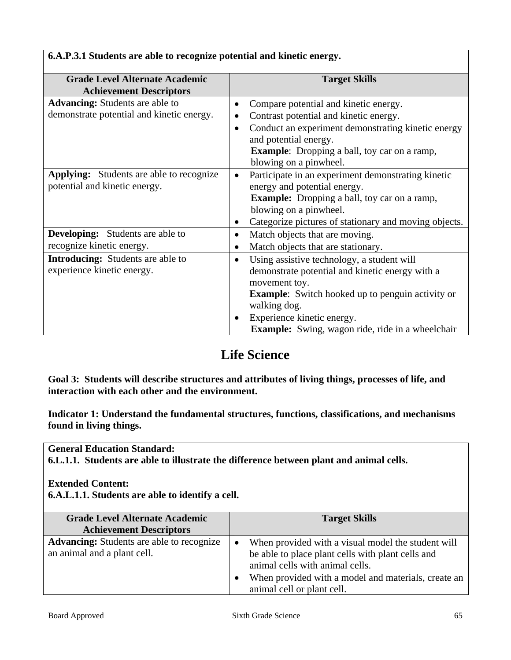| <b>Grade Level Alternate Academic</b><br><b>Achievement Descriptors</b>             | <b>Target Skills</b>                                                                                                                                                                                                                                                                            |
|-------------------------------------------------------------------------------------|-------------------------------------------------------------------------------------------------------------------------------------------------------------------------------------------------------------------------------------------------------------------------------------------------|
| <b>Advancing:</b> Students are able to<br>demonstrate potential and kinetic energy. | Compare potential and kinetic energy.<br>Contrast potential and kinetic energy.<br>٠<br>Conduct an experiment demonstrating kinetic energy<br>$\bullet$<br>and potential energy.<br><b>Example:</b> Dropping a ball, toy car on a ramp,<br>blowing on a pinwheel.                               |
| <b>Applying:</b> Students are able to recognize<br>potential and kinetic energy.    | Participate in an experiment demonstrating kinetic<br>$\bullet$<br>energy and potential energy.<br>Example: Dropping a ball, toy car on a ramp,<br>blowing on a pinwheel.<br>Categorize pictures of stationary and moving objects.                                                              |
| <b>Developing:</b> Students are able to<br>recognize kinetic energy.                | Match objects that are moving.<br>$\bullet$<br>Match objects that are stationary.                                                                                                                                                                                                               |
| <b>Introducing:</b> Students are able to<br>experience kinetic energy.              | Using assistive technology, a student will<br>$\bullet$<br>demonstrate potential and kinetic energy with a<br>movement toy.<br><b>Example:</b> Switch hooked up to penguin activity or<br>walking dog.<br>Experience kinetic energy.<br><b>Example:</b> Swing, wagon ride, ride in a wheelchair |

**6.A.P.3.1 Students are able to recognize potential and kinetic energy.** 

# **Life Science**

**Goal 3: Students will describe structures and attributes of living things, processes of life, and interaction with each other and the environment.** 

**Indicator 1: Understand the fundamental structures, functions, classifications, and mechanisms found in living things.** 

**General Education Standard:** 

**6.L.1.1. Students are able to illustrate the difference between plant and animal cells.** 

## **Extended Content:**

**6.A.L.1.1. Students are able to identify a cell.** 

| <b>Grade Level Alternate Academic</b><br><b>Achievement Descriptors</b>         | <b>Target Skills</b>                                                                                                                                                                                                                                      |
|---------------------------------------------------------------------------------|-----------------------------------------------------------------------------------------------------------------------------------------------------------------------------------------------------------------------------------------------------------|
| <b>Advancing:</b> Students are able to recognize<br>an animal and a plant cell. | When provided with a visual model the student will<br>$\bullet$<br>be able to place plant cells with plant cells and<br>animal cells with animal cells.<br>When provided with a model and materials, create an<br>$\bullet$<br>animal cell or plant cell. |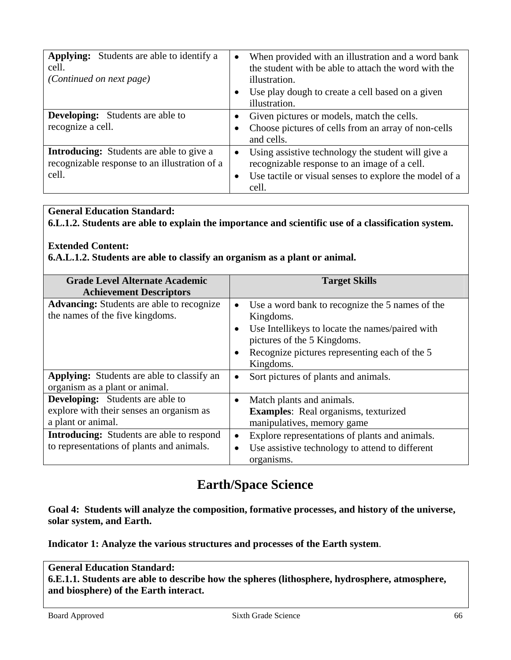| <b>Applying:</b> Students are able to identify a<br>cell.<br><i>(Continued on next page)</i>     | $\bullet$ | When provided with an illustration and a word bank<br>the student with be able to attach the word with the<br>illustration. |
|--------------------------------------------------------------------------------------------------|-----------|-----------------------------------------------------------------------------------------------------------------------------|
|                                                                                                  |           | Use play dough to create a cell based on a given<br>illustration.                                                           |
| <b>Developing:</b> Students are able to                                                          |           | Given pictures or models, match the cells.                                                                                  |
| recognize a cell.                                                                                |           | Choose pictures of cells from an array of non-cells<br>and cells.                                                           |
| <b>Introducing:</b> Students are able to give a<br>recognizable response to an illustration of a | $\bullet$ | Using assistive technology the student will give a<br>recognizable response to an image of a cell.                          |
| cell.                                                                                            | $\bullet$ | Use tactile or visual senses to explore the model of a<br>cell.                                                             |

**6.L.1.2. Students are able to explain the importance and scientific use of a classification system.** 

## **Extended Content:**

**6.A.L.1.2. Students are able to classify an organism as a plant or animal.** 

| <b>Grade Level Alternate Academic</b><br><b>Achievement Descriptors</b>                                                                                                                                    | <b>Target Skills</b>                                                                                                                                                                                                                               |
|------------------------------------------------------------------------------------------------------------------------------------------------------------------------------------------------------------|----------------------------------------------------------------------------------------------------------------------------------------------------------------------------------------------------------------------------------------------------|
| <b>Advancing:</b> Students are able to recognize<br>the names of the five kingdoms.                                                                                                                        | Use a word bank to recognize the 5 names of the<br>Kingdoms.<br>Use Intellikeys to locate the names/paired with<br>pictures of the 5 Kingdoms.<br>Recognize pictures representing each of the 5<br>Kingdoms.                                       |
| Applying: Students are able to classify an<br>organism as a plant or animal.                                                                                                                               | Sort pictures of plants and animals.<br>$\bullet$                                                                                                                                                                                                  |
| <b>Developing:</b> Students are able to<br>explore with their senses an organism as<br>a plant or animal.<br><b>Introducing:</b> Students are able to respond<br>to representations of plants and animals. | Match plants and animals.<br>$\bullet$<br><b>Examples:</b> Real organisms, texturized<br>manipulatives, memory game<br>Explore representations of plants and animals.<br>$\bullet$<br>Use assistive technology to attend to different<br>$\bullet$ |
|                                                                                                                                                                                                            | organisms.                                                                                                                                                                                                                                         |

# **Earth/Space Science**

**Goal 4: Students will analyze the composition, formative processes, and history of the universe, solar system, and Earth.** 

**Indicator 1: Analyze the various structures and processes of the Earth system**.

## **General Education Standard: 6.E.1.1. Students are able to describe how the spheres (lithosphere, hydrosphere, atmosphere, and biosphere) of the Earth interact.**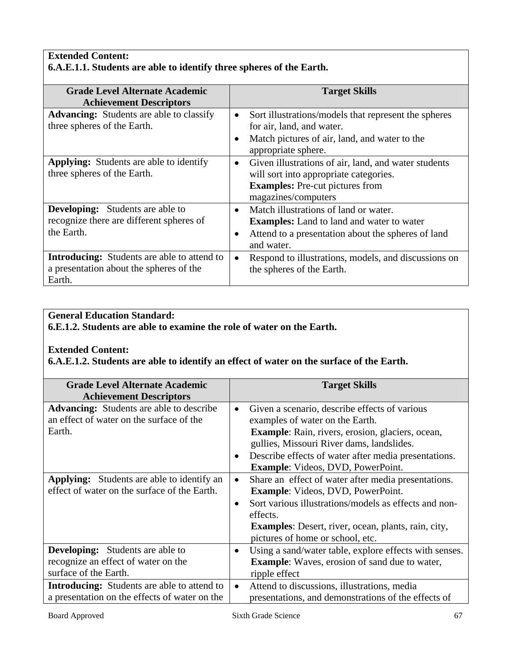## **Extended Content: 6.A.E.1.1. Students are able to identify three spheres of the Earth.**

| <b>Grade Level Alternate Academic</b>              | <b>Target Skills</b>                                              |
|----------------------------------------------------|-------------------------------------------------------------------|
| <b>Achievement Descriptors</b>                     |                                                                   |
| <b>Advancing:</b> Students are able to classify    | Sort illustrations/models that represent the spheres<br>$\bullet$ |
| three spheres of the Earth.                        | for air, land, and water.                                         |
|                                                    | Match pictures of air, land, and water to the<br>$\bullet$        |
|                                                    | appropriate sphere.                                               |
| <b>Applying:</b> Students are able to identify     | Given illustrations of air, land, and water students<br>$\bullet$ |
| three spheres of the Earth.                        | will sort into appropriate categories.                            |
|                                                    | <b>Examples:</b> Pre-cut pictures from                            |
|                                                    | magazines/computers                                               |
| <b>Developing:</b> Students are able to            | Match illustrations of land or water.<br>$\bullet$                |
| recognize there are different spheres of           | <b>Examples:</b> Land to land and water to water                  |
| the Earth.                                         | Attend to a presentation about the spheres of land<br>$\bullet$   |
|                                                    | and water.                                                        |
| <b>Introducing:</b> Students are able to attend to | Respond to illustrations, models, and discussions on<br>$\bullet$ |
| a presentation about the spheres of the            | the spheres of the Earth.                                         |
| Earth.                                             |                                                                   |

## **General Education Standard:**

**6.E.1.2. Students are able to examine the role of water on the Earth.** 

## **Extended Content:**

**6.A.E.1.2. Students are able to identify an effect of water on the surface of the Earth.** 

| <b>Grade Level Alternate Academic</b>              |           | <b>Target Skills</b>                                       |
|----------------------------------------------------|-----------|------------------------------------------------------------|
| <b>Achievement Descriptors</b>                     |           |                                                            |
| <b>Advancing:</b> Students are able to describe    |           | Given a scenario, describe effects of various              |
| an effect of water on the surface of the           |           | examples of water on the Earth.                            |
| Earth.                                             |           | Example: Rain, rivers, erosion, glaciers, ocean,           |
|                                                    |           | gullies, Missouri River dams, landslides.                  |
|                                                    |           | Describe effects of water after media presentations.       |
|                                                    |           | <b>Example:</b> Videos, DVD, PowerPoint.                   |
| <b>Applying:</b> Students are able to identify an  | $\bullet$ | Share an effect of water after media presentations.        |
| effect of water on the surface of the Earth.       |           | <b>Example:</b> Videos, DVD, PowerPoint.                   |
|                                                    | $\bullet$ | Sort various illustrations/models as effects and non-      |
|                                                    |           | effects.                                                   |
|                                                    |           | <b>Examples:</b> Desert, river, ocean, plants, rain, city, |
|                                                    |           | pictures of home or school, etc.                           |
| <b>Developing:</b> Students are able to            |           | Using a sand/water table, explore effects with senses.     |
| recognize an effect of water on the                |           | <b>Example:</b> Waves, erosion of sand due to water,       |
| surface of the Earth.                              |           | ripple effect                                              |
| <b>Introducing:</b> Students are able to attend to | $\bullet$ | Attend to discussions, illustrations, media                |
| a presentation on the effects of water on the      |           | presentations, and demonstrations of the effects of        |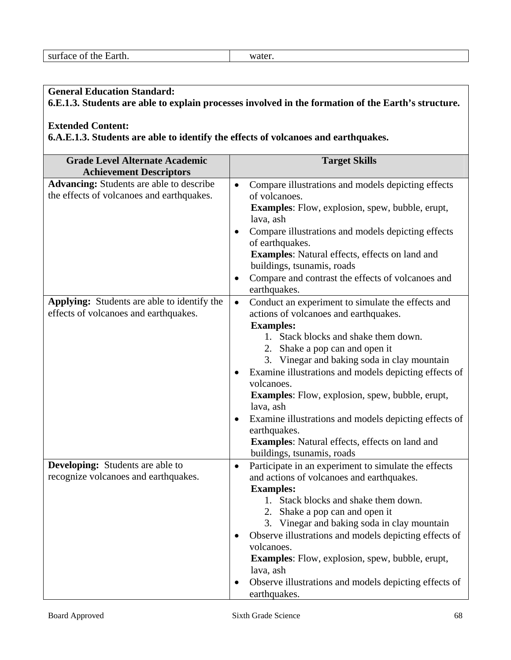**6.E.1.3. Students are able to explain processes involved in the formation of the Earth's structure.** 

#### **Extended Content:**

**6.A.E.1.3. Students are able to identify the effects of volcanoes and earthquakes.** 

| <b>Grade Level Alternate Academic</b>                                                                                          | <b>Target Skills</b>                                                                                                                                                                                                                                                                                                                                                                                                                                                                                                                                                                         |
|--------------------------------------------------------------------------------------------------------------------------------|----------------------------------------------------------------------------------------------------------------------------------------------------------------------------------------------------------------------------------------------------------------------------------------------------------------------------------------------------------------------------------------------------------------------------------------------------------------------------------------------------------------------------------------------------------------------------------------------|
| <b>Achievement Descriptors</b><br><b>Advancing:</b> Students are able to describe<br>the effects of volcanoes and earthquakes. | Compare illustrations and models depicting effects<br>$\bullet$<br>of volcanoes.<br><b>Examples:</b> Flow, explosion, spew, bubble, erupt,<br>lava, ash<br>Compare illustrations and models depicting effects<br>of earthquakes.<br><b>Examples:</b> Natural effects, effects on land and<br>buildings, tsunamis, roads<br>Compare and contrast the effects of volcanoes and<br>$\bullet$<br>earthquakes.                                                                                                                                                                                    |
| Applying: Students are able to identify the<br>effects of volcanoes and earthquakes.                                           | Conduct an experiment to simulate the effects and<br>$\bullet$<br>actions of volcanoes and earthquakes.<br><b>Examples:</b><br>1. Stack blocks and shake them down.<br>2. Shake a pop can and open it<br>3. Vinegar and baking soda in clay mountain<br>Examine illustrations and models depicting effects of<br>$\bullet$<br>volcanoes.<br><b>Examples:</b> Flow, explosion, spew, bubble, erupt,<br>lava, ash<br>Examine illustrations and models depicting effects of<br>$\bullet$<br>earthquakes.<br><b>Examples:</b> Natural effects, effects on land and<br>buildings, tsunamis, roads |
| <b>Developing:</b> Students are able to<br>recognize volcanoes and earthquakes.                                                | Participate in an experiment to simulate the effects<br>$\bullet$<br>and actions of volcanoes and earthquakes.<br><b>Examples:</b><br>1. Stack blocks and shake them down.<br>2. Shake a pop can and open it<br>3. Vinegar and baking soda in clay mountain<br>Observe illustrations and models depicting effects of<br>volcanoes.<br><b>Examples:</b> Flow, explosion, spew, bubble, erupt,<br>lava, ash<br>Observe illustrations and models depicting effects of<br>earthquakes.                                                                                                           |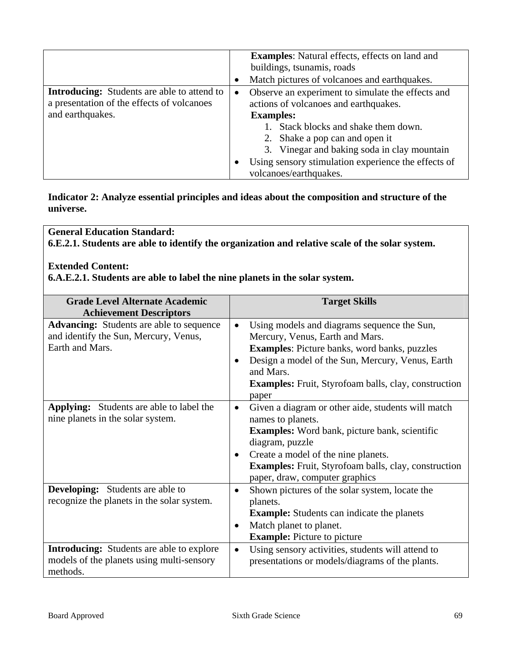|                                                                                                                      |           | <b>Examples:</b> Natural effects, effects on land and<br>buildings, tsunamis, roads<br>Match pictures of volcanoes and earthquakes.                                                                                                                                                                                      |
|----------------------------------------------------------------------------------------------------------------------|-----------|--------------------------------------------------------------------------------------------------------------------------------------------------------------------------------------------------------------------------------------------------------------------------------------------------------------------------|
| <b>Introducing:</b> Students are able to attend to<br>a presentation of the effects of volcanoes<br>and earthquakes. | $\bullet$ | Observe an experiment to simulate the effects and<br>actions of volcanoes and earthquakes.<br><b>Examples:</b><br>1. Stack blocks and shake them down.<br>2. Shake a pop can and open it<br>3. Vinegar and baking soda in clay mountain<br>Using sensory stimulation experience the effects of<br>volcanoes/earthquakes. |

**Indicator 2: Analyze essential principles and ideas about the composition and structure of the universe.** 

**General Education Standard: 6.E.2.1. Students are able to identify the organization and relative scale of the solar system.** 

#### **Extended Content:**

**6.A.E.2.1. Students are able to label the nine planets in the solar system.** 

| <b>Grade Level Alternate Academic</b>            |           | <b>Target Skills</b>                                        |
|--------------------------------------------------|-----------|-------------------------------------------------------------|
| <b>Achievement Descriptors</b>                   |           |                                                             |
| <b>Advancing:</b> Students are able to sequence  | $\bullet$ | Using models and diagrams sequence the Sun,                 |
| and identify the Sun, Mercury, Venus,            |           | Mercury, Venus, Earth and Mars.                             |
| Earth and Mars.                                  |           | <b>Examples:</b> Picture banks, word banks, puzzles         |
|                                                  | $\bullet$ | Design a model of the Sun, Mercury, Venus, Earth            |
|                                                  |           | and Mars.                                                   |
|                                                  |           | <b>Examples:</b> Fruit, Styrofoam balls, clay, construction |
|                                                  |           | paper                                                       |
| <b>Applying:</b> Students are able to label the  | $\bullet$ | Given a diagram or other aide, students will match          |
| nine planets in the solar system.                |           | names to planets.                                           |
|                                                  |           | <b>Examples:</b> Word bank, picture bank, scientific        |
|                                                  |           | diagram, puzzle                                             |
|                                                  | $\bullet$ | Create a model of the nine planets.                         |
|                                                  |           | <b>Examples:</b> Fruit, Styrofoam balls, clay, construction |
|                                                  |           | paper, draw, computer graphics                              |
| <b>Developing:</b> Students are able to          | $\bullet$ | Shown pictures of the solar system, locate the              |
| recognize the planets in the solar system.       |           | planets.                                                    |
|                                                  |           | <b>Example:</b> Students can indicate the planets           |
|                                                  |           | Match planet to planet.                                     |
|                                                  |           | <b>Example:</b> Picture to picture                          |
| <b>Introducing:</b> Students are able to explore | $\bullet$ | Using sensory activities, students will attend to           |
| models of the planets using multi-sensory        |           | presentations or models/diagrams of the plants.             |
| methods.                                         |           |                                                             |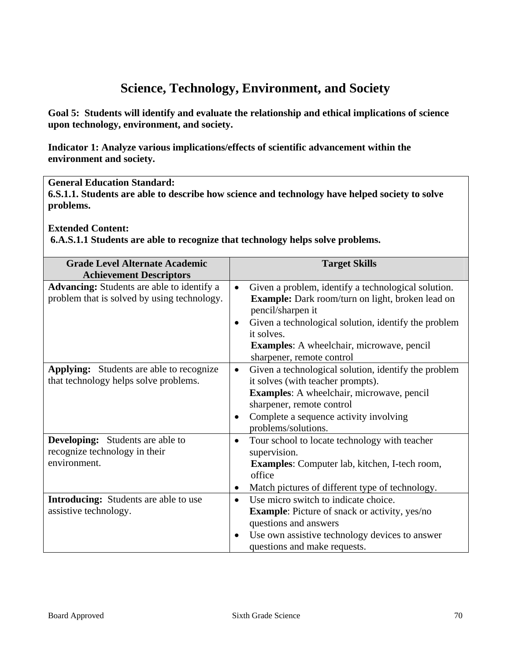# **Science, Technology, Environment, and Society**

**Goal 5: Students will identify and evaluate the relationship and ethical implications of science upon technology, environment, and society.** 

**Indicator 1: Analyze various implications/effects of scientific advancement within the environment and society.** 

### **General Education Standard:**

**6.S.1.1. Students are able to describe how science and technology have helped society to solve problems.** 

**Extended Content:** 

 **6.A.S.1.1 Students are able to recognize that technology helps solve problems.** 

| <b>Grade Level Alternate Academic</b>             | <b>Target Skills</b>                                              |
|---------------------------------------------------|-------------------------------------------------------------------|
| <b>Achievement Descriptors</b>                    |                                                                   |
| <b>Advancing:</b> Students are able to identify a | Given a problem, identify a technological solution.               |
| problem that is solved by using technology.       | <b>Example:</b> Dark room/turn on light, broken lead on           |
|                                                   | pencil/sharpen it                                                 |
|                                                   | Given a technological solution, identify the problem              |
|                                                   | it solves.                                                        |
|                                                   | <b>Examples:</b> A wheelchair, microwave, pencil                  |
|                                                   | sharpener, remote control                                         |
| <b>Applying:</b> Students are able to recognize   | Given a technological solution, identify the problem<br>$\bullet$ |
| that technology helps solve problems.             | it solves (with teacher prompts).                                 |
|                                                   | <b>Examples:</b> A wheelchair, microwave, pencil                  |
|                                                   | sharpener, remote control                                         |
|                                                   | Complete a sequence activity involving<br>$\bullet$               |
|                                                   | problems/solutions.                                               |
| <b>Developing:</b> Students are able to           | Tour school to locate technology with teacher<br>$\bullet$        |
| recognize technology in their                     | supervision.                                                      |
| environment.                                      | <b>Examples:</b> Computer lab, kitchen, I-tech room,              |
|                                                   | office                                                            |
|                                                   | Match pictures of different type of technology.                   |
| <b>Introducing:</b> Students are able to use      | Use micro switch to indicate choice.<br>$\bullet$                 |
| assistive technology.                             | <b>Example:</b> Picture of snack or activity, yes/no              |
|                                                   | questions and answers                                             |
|                                                   | Use own assistive technology devices to answer<br>$\bullet$       |
|                                                   | questions and make requests.                                      |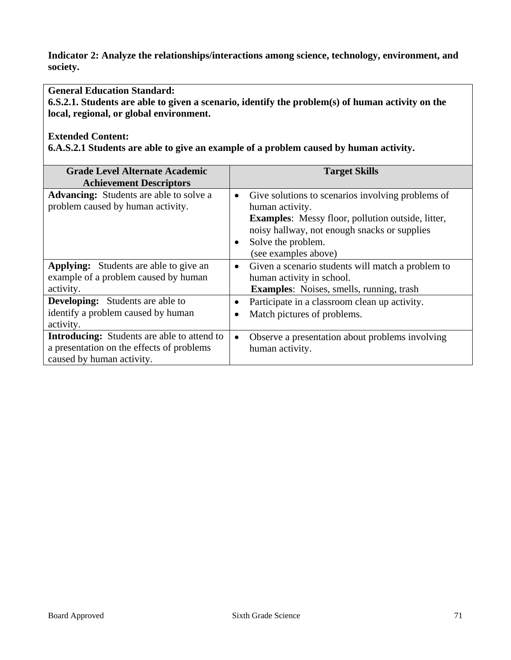**Indicator 2: Analyze the relationships/interactions among science, technology, environment, and society.** 

### **General Education Standard:**

**6.S.2.1. Students are able to given a scenario, identify the problem(s) of human activity on the local, regional, or global environment.** 

## **Extended Content:**

**6.A.S.2.1 Students are able to give an example of a problem caused by human activity.** 

| <b>Grade Level Alternate Academic</b><br><b>Achievement Descriptors</b>                                                      | <b>Target Skills</b>                                                                                                                                                                                                                                     |
|------------------------------------------------------------------------------------------------------------------------------|----------------------------------------------------------------------------------------------------------------------------------------------------------------------------------------------------------------------------------------------------------|
| <b>Advancing:</b> Students are able to solve a<br>problem caused by human activity.                                          | Give solutions to scenarios involving problems of<br>$\bullet$<br>human activity.<br><b>Examples:</b> Messy floor, pollution outside, litter,<br>noisy hallway, not enough snacks or supplies<br>Solve the problem.<br>$\bullet$<br>(see examples above) |
| <b>Applying:</b> Students are able to give an<br>example of a problem caused by human<br>activity.                           | Given a scenario students will match a problem to<br>$\bullet$<br>human activity in school.<br><b>Examples:</b> Noises, smells, running, trash                                                                                                           |
| <b>Developing:</b> Students are able to<br>identify a problem caused by human<br>activity.                                   | Participate in a classroom clean up activity.<br>$\bullet$<br>Match pictures of problems.                                                                                                                                                                |
| <b>Introducing:</b> Students are able to attend to<br>a presentation on the effects of problems<br>caused by human activity. | Observe a presentation about problems involving<br>$\bullet$<br>human activity.                                                                                                                                                                          |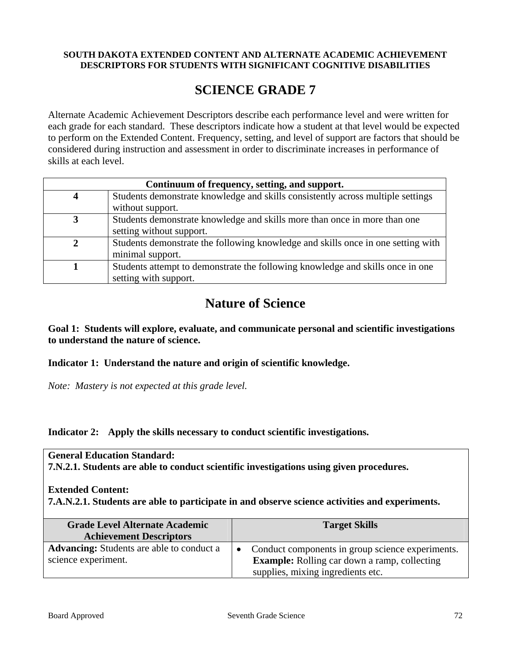#### **SOUTH DAKOTA EXTENDED CONTENT AND ALTERNATE ACADEMIC ACHIEVEMENT DESCRIPTORS FOR STUDENTS WITH SIGNIFICANT COGNITIVE DISABILITIES**

## **SCIENCE GRADE 7**

Alternate Academic Achievement Descriptors describe each performance level and were written for each grade for each standard. These descriptors indicate how a student at that level would be expected to perform on the Extended Content. Frequency, setting, and level of support are factors that should be considered during instruction and assessment in order to discriminate increases in performance of skills at each level.

| Continuum of frequency, setting, and support. |                                                                                  |  |
|-----------------------------------------------|----------------------------------------------------------------------------------|--|
|                                               | Students demonstrate knowledge and skills consistently across multiple settings  |  |
|                                               | without support.                                                                 |  |
|                                               | Students demonstrate knowledge and skills more than once in more than one        |  |
|                                               | setting without support.                                                         |  |
|                                               | Students demonstrate the following knowledge and skills once in one setting with |  |
|                                               | minimal support.                                                                 |  |
|                                               | Students attempt to demonstrate the following knowledge and skills once in one   |  |
|                                               | setting with support.                                                            |  |

# **Nature of Science**

**Goal 1: Students will explore, evaluate, and communicate personal and scientific investigations to understand the nature of science.** 

**Indicator 1: Understand the nature and origin of scientific knowledge.** 

*Note: Mastery is not expected at this grade level.* 

**Indicator 2: Apply the skills necessary to conduct scientific investigations.** 

## **General Education Standard:**

**7.N.2.1. Students are able to conduct scientific investigations using given procedures.** 

**Extended Content:**

**7.A.N.2.1. Students are able to participate in and observe science activities and experiments.** 

| <b>Grade Level Alternate Academic</b><br><b>Achievement Descriptors</b> |           | <b>Target Skills</b>                                                                                    |
|-------------------------------------------------------------------------|-----------|---------------------------------------------------------------------------------------------------------|
| <b>Advancing:</b> Students are able to conduct a<br>science experiment. | $\bullet$ | Conduct components in group science experiments.<br><b>Example:</b> Rolling car down a ramp, collecting |
|                                                                         |           | supplies, mixing ingredients etc.                                                                       |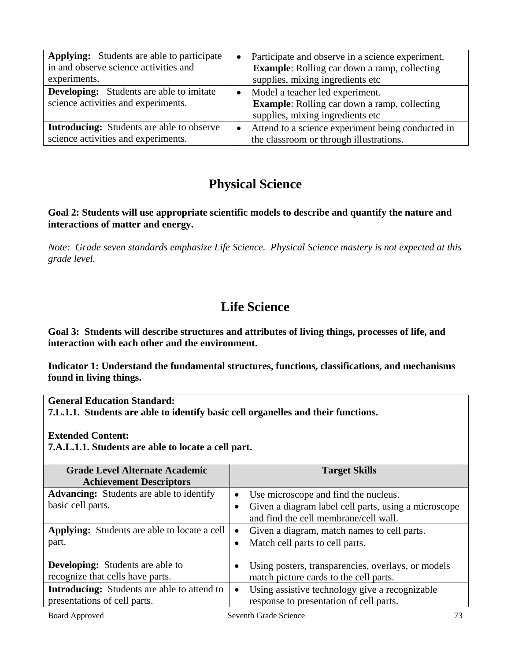| <b>Applying:</b> Students are able to participate<br>in and observe science activities and<br>experiments. | $\bullet$ | Participate and observe in a science experiment.<br><b>Example:</b> Rolling car down a ramp, collecting<br>supplies, mixing ingredients etc |
|------------------------------------------------------------------------------------------------------------|-----------|---------------------------------------------------------------------------------------------------------------------------------------------|
| <b>Developing:</b> Students are able to imitate<br>science activities and experiments.                     | $\bullet$ | Model a teacher led experiment.<br><b>Example:</b> Rolling car down a ramp, collecting<br>supplies, mixing ingredients etc                  |
| <b>Introducing:</b> Students are able to observe<br>science activities and experiments.                    |           | Attend to a science experiment being conducted in<br>the classroom or through illustrations.                                                |

# **Physical Science**

### **Goal 2: Students will use appropriate scientific models to describe and quantify the nature and interactions of matter and energy.**

*Note: Grade seven standards emphasize Life Science. Physical Science mastery is not expected at this grade level.* 

# **Life Science**

**Goal 3: Students will describe structures and attributes of living things, processes of life, and interaction with each other and the environment.** 

**Indicator 1: Understand the fundamental structures, functions, classifications, and mechanisms found in living things.** 

**General Education Standard:** 

**7.L.1.1. Students are able to identify basic cell organelles and their functions.** 

**Extended Content:** 

**7.A.L.1.1. Students are able to locate a cell part.** 

| <b>Grade Level Alternate Academic</b><br><b>Achievement Descriptors</b>            | <b>Target Skills</b>                                                                                                                               |
|------------------------------------------------------------------------------------|----------------------------------------------------------------------------------------------------------------------------------------------------|
| <b>Advancing:</b> Students are able to identify<br>basic cell parts.               | Use microscope and find the nucleus.<br>$\bullet$<br>Given a diagram label cell parts, using a microscope<br>and find the cell membrane/cell wall. |
| <b>Applying:</b> Students are able to locate a cell<br>part.                       | Given a diagram, match names to cell parts.<br>$\bullet$<br>Match cell parts to cell parts.                                                        |
| <b>Developing:</b> Students are able to<br>recognize that cells have parts.        | Using posters, transparencies, overlays, or models<br>match picture cards to the cell parts.                                                       |
| <b>Introducing:</b> Students are able to attend to<br>presentations of cell parts. | Using assistive technology give a recognizable<br>$\bullet$<br>response to presentation of cell parts.                                             |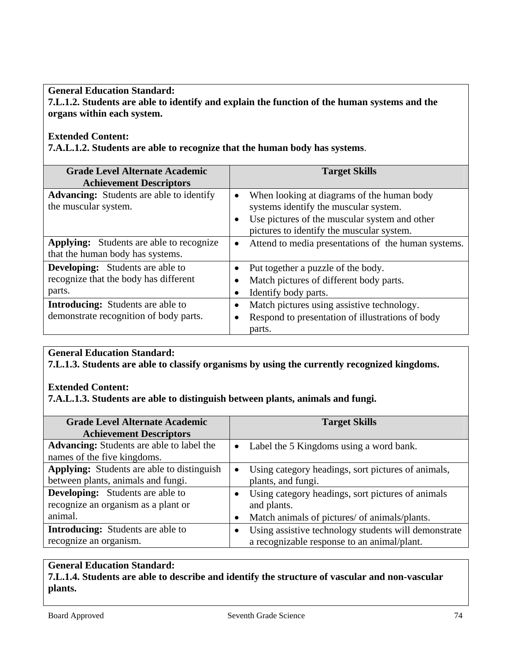**General Education Standard: 7.L.1.2. Students are able to identify and explain the function of the human systems and the organs within each system.** 

#### **Extended Content:**

**7.A.L.1.2. Students are able to recognize that the human body has systems**.

| <b>Grade Level Alternate Academic</b><br><b>Achievement Descriptors</b>                    | <b>Target Skills</b>                                                                                                                                                                           |
|--------------------------------------------------------------------------------------------|------------------------------------------------------------------------------------------------------------------------------------------------------------------------------------------------|
| <b>Advancing:</b> Students are able to identify<br>the muscular system.                    | When looking at diagrams of the human body<br>$\bullet$<br>systems identify the muscular system.<br>Use pictures of the muscular system and other<br>pictures to identify the muscular system. |
| <b>Applying:</b> Students are able to recognize<br>that the human body has systems.        | Attend to media presentations of the human systems.<br>$\bullet$                                                                                                                               |
| <b>Developing:</b> Students are able to<br>recognize that the body has different<br>parts. | Put together a puzzle of the body.<br>Match pictures of different body parts.<br>Identify body parts.                                                                                          |
| <b>Introducing:</b> Students are able to<br>demonstrate recognition of body parts.         | Match pictures using assistive technology.<br>Respond to presentation of illustrations of body<br>parts.                                                                                       |

## **General Education Standard:**

**7.L.1.3. Students are able to classify organisms by using the currently recognized kingdoms.** 

### **Extended Content:**

**7.A.L.1.3. Students are able to distinguish between plants, animals and fungi.** 

| <b>Grade Level Alternate Academic</b><br><b>Achievement Descriptors</b>                 |           | <b>Target Skills</b>                                                                                |
|-----------------------------------------------------------------------------------------|-----------|-----------------------------------------------------------------------------------------------------|
| <b>Advancing:</b> Students are able to label the<br>names of the five kingdoms.         | $\bullet$ | Label the 5 Kingdoms using a word bank.                                                             |
| <b>Applying:</b> Students are able to distinguish<br>between plants, animals and fungi. | $\bullet$ | Using category headings, sort pictures of animals,<br>plants, and fungi.                            |
| <b>Developing:</b> Students are able to<br>recognize an organism as a plant or          |           | Using category headings, sort pictures of animals<br>and plants.                                    |
| animal.                                                                                 |           | Match animals of pictures/ of animals/plants.                                                       |
| <b>Introducing:</b> Students are able to<br>recognize an organism.                      |           | Using assistive technology students will demonstrate<br>a recognizable response to an animal/plant. |

## **General Education Standard: 7.L.1.4. Students are able to describe and identify the structure of vascular and non-vascular plants.**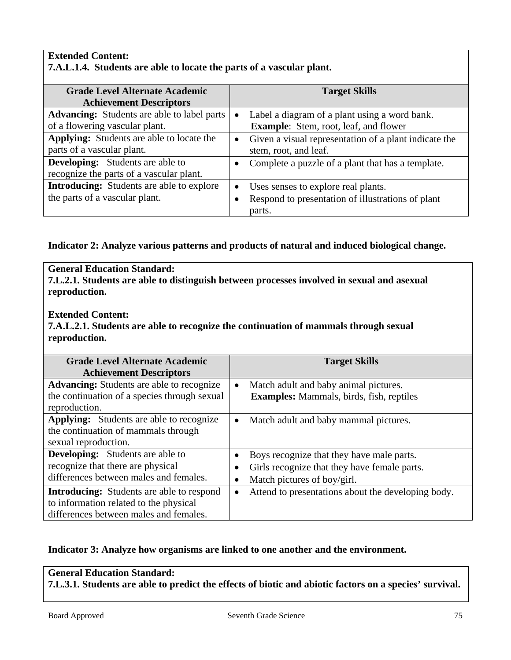#### **Extended Content: 7.A.L.1.4. Students are able to locate the parts of a vascular plant.**

| <b>Grade Level Alternate Academic</b>              |  | <b>Target Skills</b>                                  |
|----------------------------------------------------|--|-------------------------------------------------------|
| <b>Achievement Descriptors</b>                     |  |                                                       |
| <b>Advancing:</b> Students are able to label parts |  | Label a diagram of a plant using a word bank.         |
| of a flowering vascular plant.                     |  | <b>Example:</b> Stem, root, leaf, and flower          |
| <b>Applying:</b> Students are able to locate the   |  | Given a visual representation of a plant indicate the |
| parts of a vascular plant.                         |  | stem, root, and leaf.                                 |
| <b>Developing:</b> Students are able to            |  | Complete a puzzle of a plant that has a template.     |
| recognize the parts of a vascular plant.           |  |                                                       |
| <b>Introducing:</b> Students are able to explore   |  | Uses senses to explore real plants.                   |
| the parts of a vascular plant.                     |  | Respond to presentation of illustrations of plant     |
|                                                    |  | parts.                                                |

### **Indicator 2: Analyze various patterns and products of natural and induced biological change.**

# **General Education Standard: 7.L.2.1. Students are able to distinguish between processes involved in sexual and asexual reproduction. Extended Content:**

**7.A.L.2.1. Students are able to recognize the continuation of mammals through sexual reproduction.** 

| <b>Grade Level Alternate Academic</b><br><b>Achievement Descriptors</b>                                                              | <b>Target Skills</b>                                                                                                                                    |
|--------------------------------------------------------------------------------------------------------------------------------------|---------------------------------------------------------------------------------------------------------------------------------------------------------|
| <b>Advancing:</b> Students are able to recognize<br>the continuation of a species through sexual<br>reproduction.                    | Match adult and baby animal pictures.<br>$\bullet$<br><b>Examples:</b> Mammals, birds, fish, reptiles                                                   |
| <b>Applying:</b> Students are able to recognize<br>the continuation of mammals through<br>sexual reproduction.                       | Match adult and baby mammal pictures.<br>$\bullet$                                                                                                      |
| <b>Developing:</b> Students are able to<br>recognize that there are physical<br>differences between males and females.               | Boys recognize that they have male parts.<br>٠<br>Girls recognize that they have female parts.<br>$\bullet$<br>Match pictures of boy/girl.<br>$\bullet$ |
| <b>Introducing:</b> Students are able to respond<br>to information related to the physical<br>differences between males and females. | Attend to presentations about the developing body.<br>$\bullet$                                                                                         |

## **Indicator 3: Analyze how organisms are linked to one another and the environment.**

## **General Education Standard:**

**7.L.3.1. Students are able to predict the effects of biotic and abiotic factors on a species' survival.**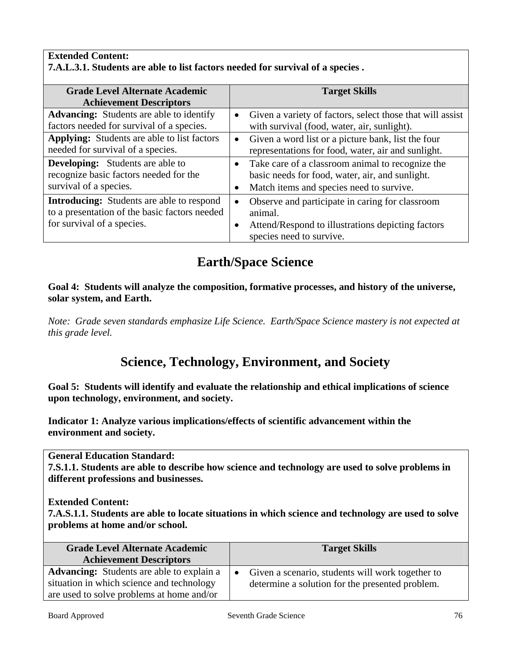#### **Extended Content: 7.A.L.3.1. Students are able to list factors needed for survival of a species .**

| <b>Grade Level Alternate Academic</b>                                                   |           | <b>Target Skills</b>                                                                                       |
|-----------------------------------------------------------------------------------------|-----------|------------------------------------------------------------------------------------------------------------|
| <b>Achievement Descriptors</b>                                                          |           |                                                                                                            |
| <b>Advancing:</b> Students are able to identify                                         | $\bullet$ | Given a variety of factors, select those that will assist                                                  |
| factors needed for survival of a species.                                               |           | with survival (food, water, air, sunlight).                                                                |
| <b>Applying:</b> Students are able to list factors<br>needed for survival of a species. |           | • Given a word list or a picture bank, list the four<br>representations for food, water, air and sunlight. |
|                                                                                         |           |                                                                                                            |
| <b>Developing:</b> Students are able to                                                 |           | • Take care of a classroom animal to recognize the                                                         |
| recognize basic factors needed for the                                                  |           | basic needs for food, water, air, and sunlight.                                                            |
| survival of a species.                                                                  |           | Match items and species need to survive.                                                                   |
| <b>Introducing:</b> Students are able to respond                                        | $\bullet$ | Observe and participate in caring for classroom                                                            |
| to a presentation of the basic factors needed                                           |           | animal.                                                                                                    |
| for survival of a species.                                                              |           | Attend/Respond to illustrations depicting factors                                                          |
|                                                                                         |           | species need to survive.                                                                                   |

# **Earth/Space Science**

### **Goal 4: Students will analyze the composition, formative processes, and history of the universe, solar system, and Earth.**

*Note: Grade seven standards emphasize Life Science. Earth/Space Science mastery is not expected at this grade level.* 

# **Science, Technology, Environment, and Society**

**Goal 5: Students will identify and evaluate the relationship and ethical implications of science upon technology, environment, and society.** 

**Indicator 1: Analyze various implications/effects of scientific advancement within the environment and society.** 

**General Education Standard:** 

**7.S.1.1. Students are able to describe how science and technology are used to solve problems in different professions and businesses.** 

### **Extended Content:**

**7.A.S.1.1. Students are able to locate situations in which science and technology are used to solve problems at home and/or school.** 

| <b>Target Skills</b>                                                                                  |
|-------------------------------------------------------------------------------------------------------|
| • Given a scenario, students will work together to<br>determine a solution for the presented problem. |
|                                                                                                       |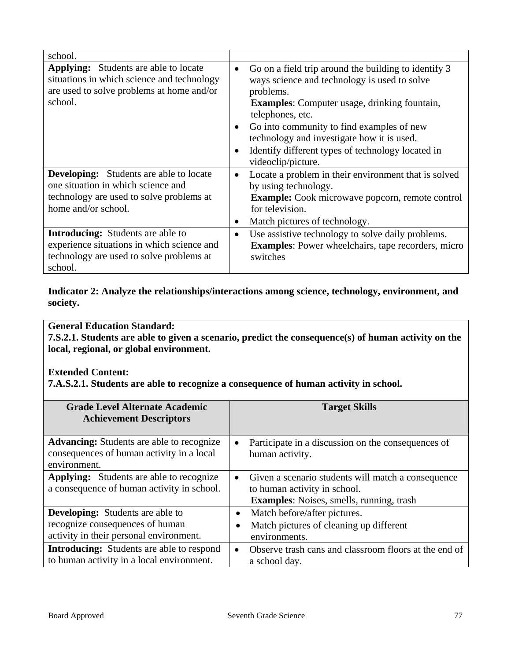| school.                                                                                                                                                 |                                     |                                                                                                                                                                                                                                                                                                                                                                    |
|---------------------------------------------------------------------------------------------------------------------------------------------------------|-------------------------------------|--------------------------------------------------------------------------------------------------------------------------------------------------------------------------------------------------------------------------------------------------------------------------------------------------------------------------------------------------------------------|
| <b>Applying:</b> Students are able to locate<br>situations in which science and technology<br>are used to solve problems at home and/or<br>school.      | $\bullet$<br>$\bullet$<br>$\bullet$ | Go on a field trip around the building to identify 3<br>ways science and technology is used to solve<br>problems.<br><b>Examples:</b> Computer usage, drinking fountain,<br>telephones, etc.<br>Go into community to find examples of new<br>technology and investigate how it is used.<br>Identify different types of technology located in<br>videoclip/picture. |
| <b>Developing:</b> Students are able to locate<br>one situation in which science and<br>technology are used to solve problems at<br>home and/or school. | $\bullet$<br>٠                      | Locate a problem in their environment that is solved<br>by using technology.<br><b>Example:</b> Cook microwave popcorn, remote control<br>for television.<br>Match pictures of technology.                                                                                                                                                                         |
| <b>Introducing:</b> Students are able to<br>experience situations in which science and<br>technology are used to solve problems at<br>school.           | $\bullet$                           | Use assistive technology to solve daily problems.<br><b>Examples:</b> Power wheelchairs, tape recorders, micro<br>switches                                                                                                                                                                                                                                         |

**Indicator 2: Analyze the relationships/interactions among science, technology, environment, and society.** 

## **General Education Standard:**

**7.S.2.1. Students are able to given a scenario, predict the consequence(s) of human activity on the local, regional, or global environment.** 

## **Extended Content:**

**7.A.S.2.1. Students are able to recognize a consequence of human activity in school.** 

| <b>Grade Level Alternate Academic</b><br><b>Achievement Descriptors</b>                                               | <b>Target Skills</b>                                                                                                                               |  |
|-----------------------------------------------------------------------------------------------------------------------|----------------------------------------------------------------------------------------------------------------------------------------------------|--|
| <b>Advancing:</b> Students are able to recognize<br>consequences of human activity in a local<br>environment.         | Participate in a discussion on the consequences of<br>$\bullet$<br>human activity.                                                                 |  |
| <b>Applying:</b> Students are able to recognize<br>a consequence of human activity in school.                         | Given a scenario students will match a consequence<br>$\bullet$<br>to human activity in school.<br><b>Examples:</b> Noises, smells, running, trash |  |
| <b>Developing:</b> Students are able to<br>recognize consequences of human<br>activity in their personal environment. | Match before/after pictures.<br>٠<br>Match pictures of cleaning up different<br>environments.                                                      |  |
| <b>Introducing:</b> Students are able to respond<br>to human activity in a local environment.                         | Observe trash cans and classroom floors at the end of<br>$\bullet$<br>a school day.                                                                |  |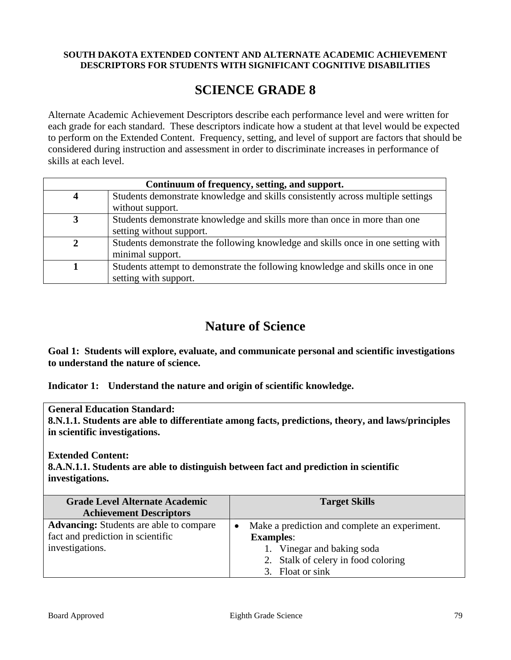#### **SOUTH DAKOTA EXTENDED CONTENT AND ALTERNATE ACADEMIC ACHIEVEMENT DESCRIPTORS FOR STUDENTS WITH SIGNIFICANT COGNITIVE DISABILITIES**

## **SCIENCE GRADE 8**

Alternate Academic Achievement Descriptors describe each performance level and were written for each grade for each standard. These descriptors indicate how a student at that level would be expected to perform on the Extended Content. Frequency, setting, and level of support are factors that should be considered during instruction and assessment in order to discriminate increases in performance of skills at each level.

| Continuum of frequency, setting, and support. |                                                                                  |  |  |
|-----------------------------------------------|----------------------------------------------------------------------------------|--|--|
|                                               | Students demonstrate knowledge and skills consistently across multiple settings  |  |  |
|                                               | without support.                                                                 |  |  |
|                                               | Students demonstrate knowledge and skills more than once in more than one        |  |  |
|                                               | setting without support.                                                         |  |  |
|                                               | Students demonstrate the following knowledge and skills once in one setting with |  |  |
|                                               | minimal support.                                                                 |  |  |
|                                               | Students attempt to demonstrate the following knowledge and skills once in one   |  |  |
|                                               | setting with support.                                                            |  |  |

## **Nature of Science**

**Goal 1: Students will explore, evaluate, and communicate personal and scientific investigations to understand the nature of science.** 

**Indicator 1: Understand the nature and origin of scientific knowledge.** 

**General Education Standard:** 

**8.N.1.1. Students are able to differentiate among facts, predictions, theory, and laws/principles in scientific investigations.** 

**Extended Content:**

**8.A.N.1.1. Students are able to distinguish between fact and prediction in scientific investigations.** 

| <b>Grade Level Alternate Academic</b><br><b>Achievement Descriptors</b>             | <b>Target Skills</b>                                              |
|-------------------------------------------------------------------------------------|-------------------------------------------------------------------|
| <b>Advancing:</b> Students are able to compare<br>fact and prediction in scientific | Make a prediction and complete an experiment.<br><b>Examples:</b> |
| investigations.                                                                     | 1. Vinegar and baking soda                                        |
|                                                                                     | 2. Stalk of celery in food coloring<br>3. Float or sink           |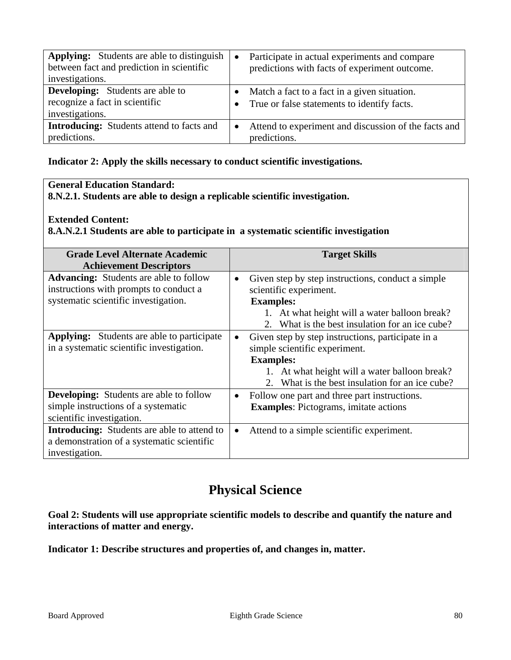| <b>Applying:</b> Students are able to distinguish<br>between fact and prediction in scientific<br>investigations. | $\bullet$ | Participate in actual experiments and compare<br>predictions with facts of experiment outcome. |
|-------------------------------------------------------------------------------------------------------------------|-----------|------------------------------------------------------------------------------------------------|
| <b>Developing:</b> Students are able to<br>recognize a fact in scientific<br>investigations.                      |           | Match a fact to a fact in a given situation.<br>True or false statements to identify facts.    |
| <b>Introducing:</b> Students attend to facts and<br>predictions.                                                  |           | Attend to experiment and discussion of the facts and<br>predictions.                           |

#### **Indicator 2: Apply the skills necessary to conduct scientific investigations.**

## **General Education Standard:**

**8.N.2.1. Students are able to design a replicable scientific investigation.** 

#### **Extended Content:**

**8.A.N.2.1 Students are able to participate in a systematic scientific investigation** 

| <b>Grade Level Alternate Academic</b>              |           | <b>Target Skills</b>                                        |
|----------------------------------------------------|-----------|-------------------------------------------------------------|
| <b>Achievement Descriptors</b>                     |           |                                                             |
| <b>Advancing:</b> Students are able to follow      | $\bullet$ | Given step by step instructions, conduct a simple           |
| instructions with prompts to conduct a             |           | scientific experiment.                                      |
| systematic scientific investigation.               |           | <b>Examples:</b>                                            |
|                                                    |           | 1. At what height will a water balloon break?               |
|                                                    |           | What is the best insulation for an ice cube?<br>$2^{\circ}$ |
| <b>Applying:</b> Students are able to participate  | $\bullet$ | Given step by step instructions, participate in a           |
| in a systematic scientific investigation.          |           | simple scientific experiment.                               |
|                                                    |           | <b>Examples:</b>                                            |
|                                                    |           | 1. At what height will a water balloon break?               |
|                                                    |           | 2. What is the best insulation for an ice cube?             |
| <b>Developing:</b> Students are able to follow     | $\bullet$ | Follow one part and three part instructions.                |
| simple instructions of a systematic                |           | <b>Examples:</b> Pictograms, imitate actions                |
| scientific investigation.                          |           |                                                             |
| <b>Introducing:</b> Students are able to attend to |           | Attend to a simple scientific experiment.                   |
| a demonstration of a systematic scientific         |           |                                                             |
| investigation.                                     |           |                                                             |

## **Physical Science**

**Goal 2: Students will use appropriate scientific models to describe and quantify the nature and interactions of matter and energy.** 

**Indicator 1: Describe structures and properties of, and changes in, matter.**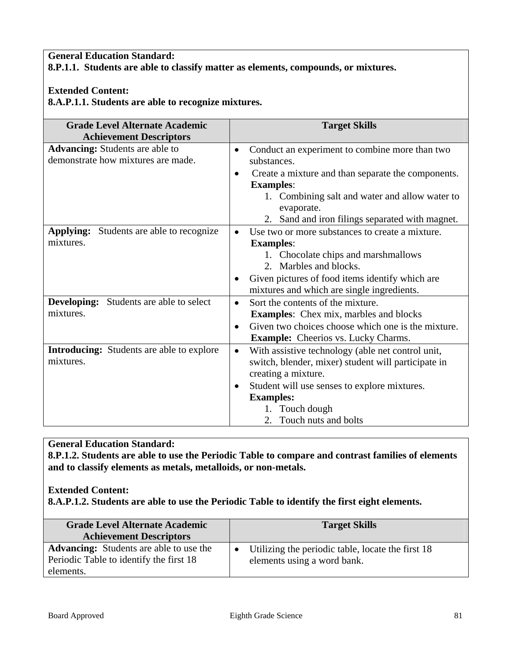## **General Education Standard: 8.P.1.1. Students are able to classify matter as elements, compounds, or mixtures.**

### **Extended Content:**

**8.A.P.1.1. Students are able to recognize mixtures.** 

| <b>Grade Level Alternate Academic</b><br><b>Achievement Descriptors</b>      | <b>Target Skills</b>                                                                |
|------------------------------------------------------------------------------|-------------------------------------------------------------------------------------|
| <b>Advancing:</b> Students are able to<br>demonstrate how mixtures are made. | Conduct an experiment to combine more than two<br>$\bullet$<br>substances.          |
|                                                                              | Create a mixture and than separate the components.<br>$\bullet$<br><b>Examples:</b> |
|                                                                              | 1. Combining salt and water and allow water to<br>evaporate.                        |
|                                                                              | 2. Sand and iron filings separated with magnet.                                     |
| <b>Applying:</b> Students are able to recognize                              | Use two or more substances to create a mixture.                                     |
| mixtures.                                                                    | <b>Examples:</b>                                                                    |
|                                                                              | 1. Chocolate chips and marshmallows                                                 |
|                                                                              | 2. Marbles and blocks.                                                              |
|                                                                              | Given pictures of food items identify which are                                     |
|                                                                              | mixtures and which are single ingredients.                                          |
| <b>Developing:</b> Students are able to select                               | Sort the contents of the mixture.<br>$\bullet$                                      |
| mixtures.                                                                    | <b>Examples:</b> Chex mix, marbles and blocks                                       |
|                                                                              | Given two choices choose which one is the mixture.<br>$\bullet$                     |
|                                                                              | <b>Example:</b> Cheerios vs. Lucky Charms.                                          |
| <b>Introducing:</b> Students are able to explore                             | With assistive technology (able net control unit,<br>$\bullet$                      |
| mixtures.                                                                    | switch, blender, mixer) student will participate in                                 |
|                                                                              | creating a mixture.                                                                 |
|                                                                              | Student will use senses to explore mixtures.<br>$\bullet$                           |
|                                                                              | <b>Examples:</b>                                                                    |
|                                                                              | 1. Touch dough                                                                      |
|                                                                              | 2. Touch nuts and bolts                                                             |

## **General Education Standard:**

**8.P.1.2. Students are able to use the Periodic Table to compare and contrast families of elements and to classify elements as metals, metalloids, or non-metals.** 

#### **Extended Content: 8.A.P.1.2. Students are able to use the Periodic Table to identify the first eight elements.**

| <b>Grade Level Alternate Academic</b><br><b>Achievement Descriptors</b>                   | <b>Target Skills</b>                                                                          |  |  |
|-------------------------------------------------------------------------------------------|-----------------------------------------------------------------------------------------------|--|--|
| <b>Advancing:</b> Students are able to use the<br>Periodic Table to identify the first 18 | Utilizing the periodic table, locate the first 18<br>$\bullet$<br>elements using a word bank. |  |  |
| elements.                                                                                 |                                                                                               |  |  |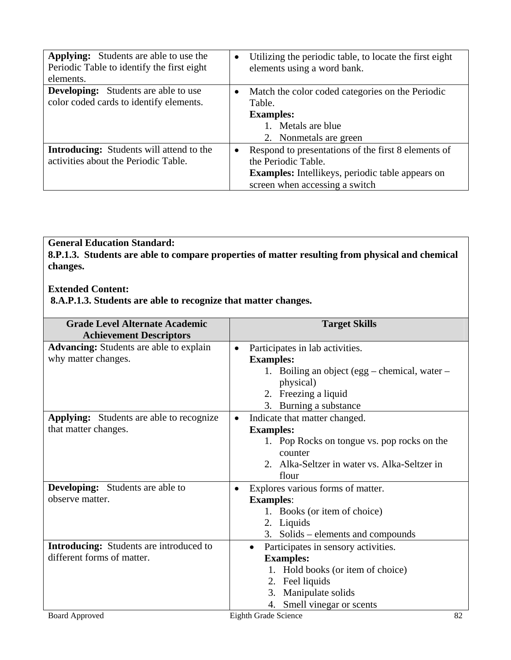| <b>Applying:</b> Students are able to use the<br>Periodic Table to identify the first eight<br>elements. | $\bullet$ | Utilizing the periodic table, to locate the first eight<br>elements using a word bank.                                                                                  |
|----------------------------------------------------------------------------------------------------------|-----------|-------------------------------------------------------------------------------------------------------------------------------------------------------------------------|
| <b>Developing:</b> Students are able to use<br>color coded cards to identify elements.                   | $\bullet$ | Match the color coded categories on the Periodic<br>Table.<br><b>Examples:</b><br>1. Metals are blue<br>2. Nonmetals are green                                          |
| <b>Introducing:</b> Students will attend to the<br>activities about the Periodic Table.                  |           | Respond to presentations of the first 8 elements of<br>the Periodic Table.<br><b>Examples:</b> Intellikeys, periodic table appears on<br>screen when accessing a switch |

**8.P.1.3. Students are able to compare properties of matter resulting from physical and chemical changes.** 

## **Extended Content:**

 **8.A.P.1.3. Students are able to recognize that matter changes.** 

| <b>Grade Level Alternate Academic</b>          | <b>Target Skills</b>                             |
|------------------------------------------------|--------------------------------------------------|
| <b>Achievement Descriptors</b>                 |                                                  |
| <b>Advancing:</b> Students are able to explain | Participates in lab activities.<br>$\bullet$     |
| why matter changes.                            | <b>Examples:</b>                                 |
|                                                | 1. Boiling an object (egg – chemical, water –    |
|                                                | physical)                                        |
|                                                | 2. Freezing a liquid                             |
|                                                | 3. Burning a substance                           |
| Applying: Students are able to recognize       | Indicate that matter changed.<br>$\bullet$       |
| that matter changes.                           | <b>Examples:</b>                                 |
|                                                | 1. Pop Rocks on tongue vs. pop rocks on the      |
|                                                | counter                                          |
|                                                | 2. Alka-Seltzer in water vs. Alka-Seltzer in     |
|                                                | flour                                            |
| <b>Developing:</b> Students are able to        | Explores various forms of matter.<br>$\bullet$   |
| observe matter.                                | <b>Examples:</b>                                 |
|                                                | 1. Books (or item of choice)                     |
|                                                | 2. Liquids                                       |
|                                                | 3. Solids – elements and compounds               |
| <b>Introducing:</b> Students are introduced to | Participates in sensory activities.<br>$\bullet$ |
| different forms of matter.                     | <b>Examples:</b>                                 |
|                                                | 1. Hold books (or item of choice)                |
|                                                | Feel liquids<br>2.                               |
|                                                | Manipulate solids<br>3.                          |
|                                                | Smell vinegar or scents<br>4.                    |
| <b>Board Approved</b>                          | <b>Eighth Grade Science</b><br>82                |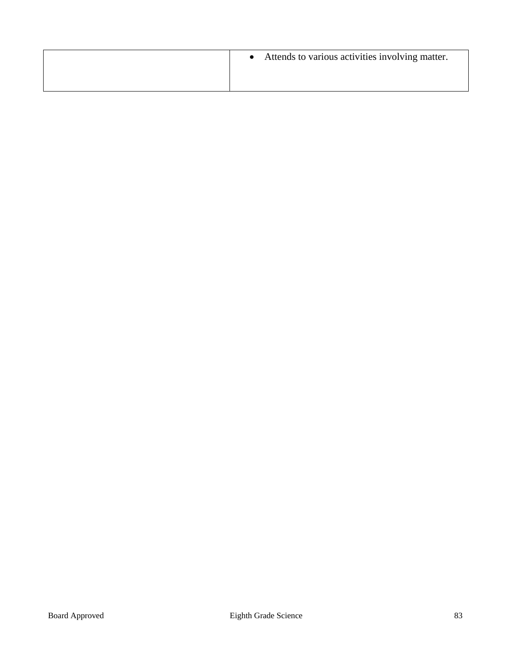| Attends to various activities involving matter. |
|-------------------------------------------------|
|                                                 |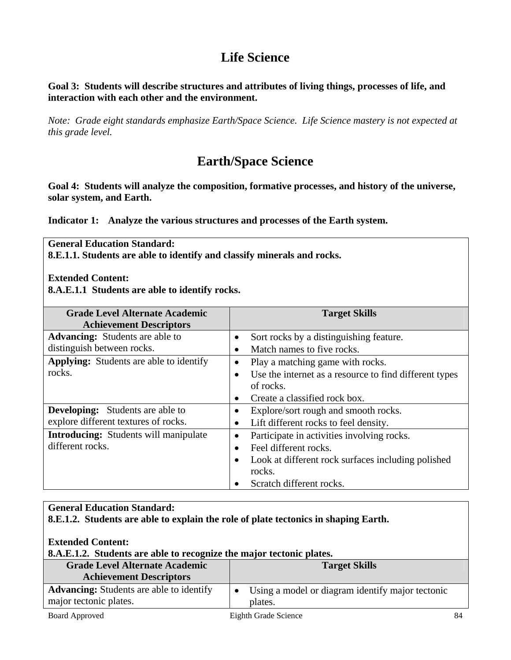# **Life Science**

**Goal 3: Students will describe structures and attributes of living things, processes of life, and interaction with each other and the environment.** 

*Note: Grade eight standards emphasize Earth/Space Science. Life Science mastery is not expected at this grade level.* 

# **Earth/Space Science**

**Goal 4: Students will analyze the composition, formative processes, and history of the universe, solar system, and Earth.** 

**[Indicator 1:](http://www.state.sd.us/deca/OCTA/contentstandards/science/techguide/k2g4.htm#Indicator 1:#Indicator 1:) Analyze the various structures and processes of the Earth system.** 

**General Education Standard: 8.E.1.1. Students are able to identify and classify minerals and rocks.** 

**Extended Content:** 

**8.A.E.1.1 Students are able to identify rocks.** 

| <b>Grade Level Alternate Academic</b><br><b>Achievement Descriptors</b> | <b>Target Skills</b>                                                |  |  |
|-------------------------------------------------------------------------|---------------------------------------------------------------------|--|--|
| <b>Advancing:</b> Students are able to                                  | Sort rocks by a distinguishing feature.<br>$\bullet$                |  |  |
| distinguish between rocks.                                              | Match names to five rocks.<br>$\bullet$                             |  |  |
| <b>Applying:</b> Students are able to identify                          | Play a matching game with rocks.<br>$\bullet$                       |  |  |
| rocks.                                                                  | Use the internet as a resource to find different types<br>$\bullet$ |  |  |
|                                                                         | of rocks.                                                           |  |  |
|                                                                         | Create a classified rock box.<br>$\bullet$                          |  |  |
| <b>Developing:</b> Students are able to                                 | Explore/sort rough and smooth rocks.<br>$\bullet$                   |  |  |
| explore different textures of rocks.                                    | Lift different rocks to feel density.<br>$\bullet$                  |  |  |
| <b>Introducing:</b> Students will manipulate                            | Participate in activities involving rocks.<br>$\bullet$             |  |  |
| different rocks.                                                        | Feel different rocks.<br>$\bullet$                                  |  |  |
|                                                                         | Look at different rock surfaces including polished<br>$\bullet$     |  |  |
|                                                                         | rocks.                                                              |  |  |
|                                                                         | Scratch different rocks.                                            |  |  |

## **General Education Standard: 8.E.1.2. Students are able to explain the role of plate tectonics in shaping Earth.**

**Extended Content:** 

## **8.A.E.1.2. Students are able to recognize the major tectonic plates.**

| <b>Grade Level Alternate Academic</b>                                     | <b>Target Skills</b>                                                        |  |
|---------------------------------------------------------------------------|-----------------------------------------------------------------------------|--|
| <b>Achievement Descriptors</b>                                            |                                                                             |  |
| <b>Advancing:</b> Students are able to identify<br>major tectonic plates. | Using a model or diagram identify major tectonic<br>$\mathbf{1}$<br>plates. |  |
| <b>Board Approved</b>                                                     | Eighth Grade Science                                                        |  |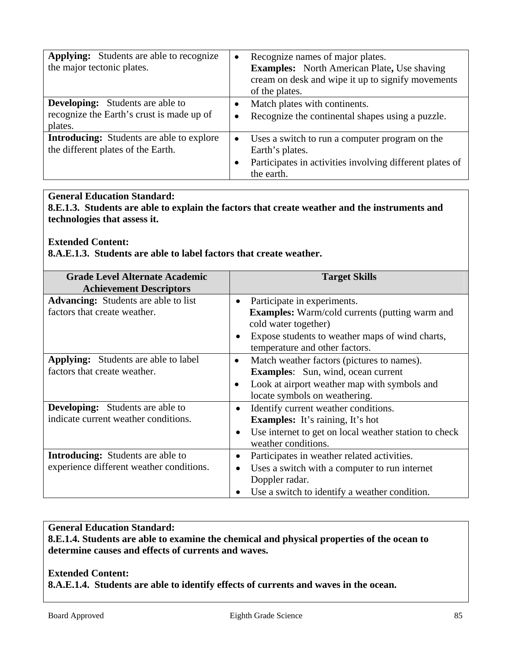| <b>Applying:</b> Students are able to recognize<br>the major tectonic plates.                   | $\bullet$              | Recognize names of major plates.<br><b>Examples:</b> North American Plate, Use shaving<br>cream on desk and wipe it up to signify movements<br>of the plates. |
|-------------------------------------------------------------------------------------------------|------------------------|---------------------------------------------------------------------------------------------------------------------------------------------------------------|
| <b>Developing:</b> Students are able to<br>recognize the Earth's crust is made up of<br>plates. | $\bullet$<br>$\bullet$ | Match plates with continents.<br>Recognize the continental shapes using a puzzle.                                                                             |
| <b>Introducing:</b> Students are able to explore<br>the different plates of the Earth.          | $\bullet$<br>$\bullet$ | Uses a switch to run a computer program on the<br>Earth's plates.<br>Participates in activities involving different plates of<br>the earth.                   |

**8.E.1.3. Students are able to explain the factors that create weather and the instruments and technologies that assess it.** 

**Extended Content:** 

**8.A.E.1.3. Students are able to label factors that create weather.** 

| <b>Grade Level Alternate Academic</b><br><b>Achievement Descriptors</b> |           | <b>Target Skills</b>                                  |
|-------------------------------------------------------------------------|-----------|-------------------------------------------------------|
| <b>Advancing:</b> Students are able to list                             | $\bullet$ | Participate in experiments.                           |
| factors that create weather.                                            |           | <b>Examples:</b> Warm/cold currents (putting warm and |
|                                                                         |           | cold water together)                                  |
|                                                                         |           | Expose students to weather maps of wind charts,       |
|                                                                         |           | temperature and other factors.                        |
| <b>Applying:</b> Students are able to label                             | $\bullet$ | Match weather factors (pictures to names).            |
| factors that create weather.                                            |           | <b>Examples:</b> Sun, wind, ocean current             |
|                                                                         | $\bullet$ | Look at airport weather map with symbols and          |
|                                                                         |           | locate symbols on weathering.                         |
| <b>Developing:</b> Students are able to                                 | $\bullet$ | Identify current weather conditions.                  |
| indicate current weather conditions.                                    |           | <b>Examples:</b> It's raining, It's hot               |
|                                                                         | $\bullet$ | Use internet to get on local weather station to check |
|                                                                         |           | weather conditions.                                   |
| <b>Introducing:</b> Students are able to                                |           | Participates in weather related activities.           |
| experience different weather conditions.                                | $\bullet$ | Uses a switch with a computer to run internet         |
|                                                                         |           | Doppler radar.                                        |
|                                                                         |           | Use a switch to identify a weather condition.         |

#### **General Education Standard:**

**8.E.1.4. Students are able to examine the chemical and physical properties of the ocean to determine causes and effects of currents and waves.** 

**Extended Content: 8.A.E.1.4. Students are able to identify effects of currents and waves in the ocean.**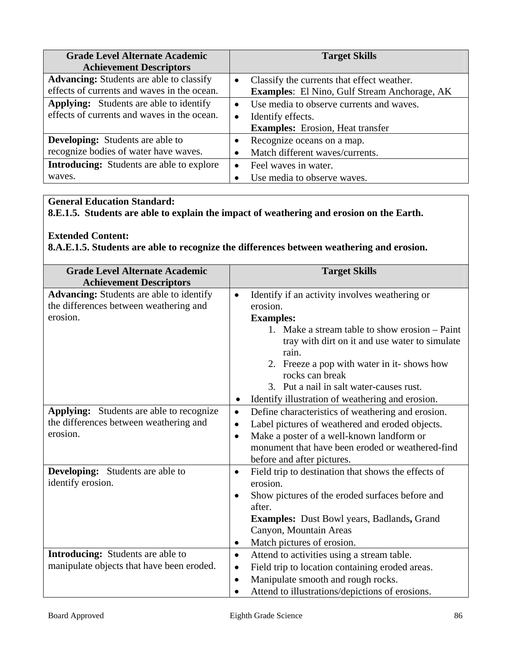| <b>Grade Level Alternate Academic</b><br><b>Achievement Descriptors</b>                        |                        | <b>Target Skills</b>                                                                                     |
|------------------------------------------------------------------------------------------------|------------------------|----------------------------------------------------------------------------------------------------------|
| <b>Advancing:</b> Students are able to classify<br>effects of currents and waves in the ocean. | $\bullet$              | Classify the currents that effect weather.<br><b>Examples:</b> El Nino, Gulf Stream Anchorage, AK        |
| <b>Applying:</b> Students are able to identify<br>effects of currents and waves in the ocean.  | $\bullet$<br>$\bullet$ | Use media to observe currents and waves.<br>Identify effects.<br><b>Examples:</b> Erosion, Heat transfer |
| <b>Developing:</b> Students are able to<br>recognize bodies of water have waves.               |                        | Recognize oceans on a map.<br>Match different waves/currents.                                            |
| <b>Introducing:</b> Students are able to explore<br>waves.                                     | $\bullet$              | Feel waves in water.<br>Use media to observe waves.                                                      |

**8.E.1.5. Students are able to explain the impact of weathering and erosion on the Earth.** 

### **Extended Content:**

**8.A.E.1.5. Students are able to recognize the differences between weathering and erosion.** 

| <b>Grade Level Alternate Academic</b>                                                                 | <b>Target Skills</b>                                                                                                                                                                                                                                                                                                                                                                   |
|-------------------------------------------------------------------------------------------------------|----------------------------------------------------------------------------------------------------------------------------------------------------------------------------------------------------------------------------------------------------------------------------------------------------------------------------------------------------------------------------------------|
| <b>Achievement Descriptors</b>                                                                        |                                                                                                                                                                                                                                                                                                                                                                                        |
| <b>Advancing:</b> Students are able to identify<br>the differences between weathering and<br>erosion. | Identify if an activity involves weathering or<br>$\bullet$<br>erosion.<br><b>Examples:</b><br>1. Make a stream table to show erosion – Paint<br>tray with dirt on it and use water to simulate<br>rain.<br>2. Freeze a pop with water in it-shows how<br>rocks can break<br>3. Put a nail in salt water-causes rust.<br>Identify illustration of weathering and erosion.<br>$\bullet$ |
| Applying: Students are able to recognize<br>the differences between weathering and<br>erosion.        | Define characteristics of weathering and erosion.<br>$\bullet$<br>Label pictures of weathered and eroded objects.<br>$\bullet$<br>Make a poster of a well-known landform or<br>$\bullet$<br>monument that have been eroded or weathered-find<br>before and after pictures.                                                                                                             |
| <b>Developing:</b> Students are able to<br>identify erosion.                                          | Field trip to destination that shows the effects of<br>$\bullet$<br>erosion.<br>Show pictures of the eroded surfaces before and<br>after.<br><b>Examples:</b> Dust Bowl years, Badlands, Grand<br>Canyon, Mountain Areas<br>Match pictures of erosion.<br>$\bullet$                                                                                                                    |
| <b>Introducing:</b> Students are able to<br>manipulate objects that have been eroded.                 | Attend to activities using a stream table.<br>$\bullet$<br>Field trip to location containing eroded areas.<br>$\bullet$<br>Manipulate smooth and rough rocks.<br>$\bullet$<br>Attend to illustrations/depictions of erosions.                                                                                                                                                          |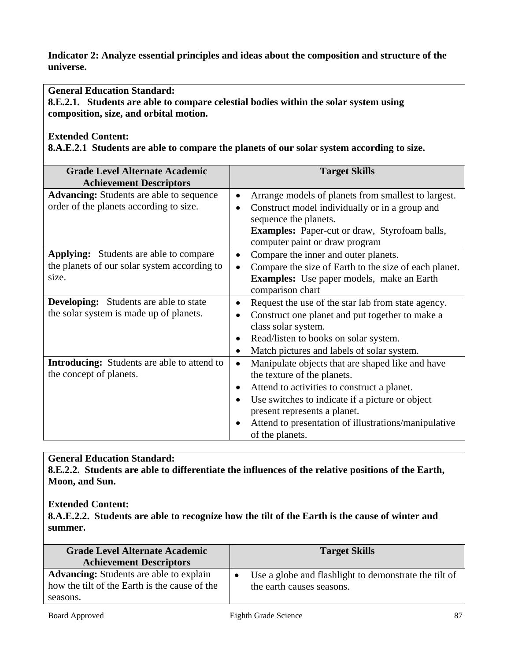**Indicator 2: Analyze essential principles and ideas about the composition and structure of the universe.** 

**General Education Standard:** 

**8.E.2.1. Students are able to compare celestial bodies within the solar system using composition, size, and orbital motion.** 

#### **Extended Content:**

**8.A.E.2.1 Students are able to compare the planets of our solar system according to size.** 

| <b>Grade Level Alternate Academic</b><br><b>Achievement Descriptors</b>                                | <b>Target Skills</b>                                                                                                                                                                                                                                                                                                                |
|--------------------------------------------------------------------------------------------------------|-------------------------------------------------------------------------------------------------------------------------------------------------------------------------------------------------------------------------------------------------------------------------------------------------------------------------------------|
| <b>Advancing:</b> Students are able to sequence<br>order of the planets according to size.             | Arrange models of planets from smallest to largest.<br>$\bullet$<br>Construct model individually or in a group and<br>$\bullet$<br>sequence the planets.<br>Examples: Paper-cut or draw, Styrofoam balls,<br>computer paint or draw program                                                                                         |
| <b>Applying:</b> Students are able to compare<br>the planets of our solar system according to<br>size. | Compare the inner and outer planets.<br>٠<br>Compare the size of Earth to the size of each planet.<br>$\bullet$<br><b>Examples:</b> Use paper models, make an Earth<br>comparison chart                                                                                                                                             |
| <b>Developing:</b> Students are able to state<br>the solar system is made up of planets.               | Request the use of the star lab from state agency.<br>$\bullet$<br>Construct one planet and put together to make a<br>$\bullet$<br>class solar system.<br>Read/listen to books on solar system.<br>$\bullet$<br>Match pictures and labels of solar system.<br>$\bullet$                                                             |
| <b>Introducing:</b> Students are able to attend to<br>the concept of planets.                          | Manipulate objects that are shaped like and have<br>$\bullet$<br>the texture of the planets.<br>Attend to activities to construct a planet.<br>$\bullet$<br>Use switches to indicate if a picture or object<br>$\bullet$<br>present represents a planet.<br>Attend to presentation of illustrations/manipulative<br>of the planets. |

### **General Education Standard:**

**8.E.2.2. Students are able to differentiate the influences of the relative positions of the Earth, Moon, and Sun.** 

#### **Extended Content:**

**8.A.E.2.2. Students are able to recognize how the tilt of the Earth is the cause of winter and summer.**

| <b>Grade Level Alternate Academic</b>          | <b>Target Skills</b>                                  |
|------------------------------------------------|-------------------------------------------------------|
| <b>Achievement Descriptors</b>                 |                                                       |
| <b>Advancing:</b> Students are able to explain | Use a globe and flashlight to demonstrate the tilt of |
| how the tilt of the Earth is the cause of the  | the earth causes seasons.                             |
| seasons.                                       |                                                       |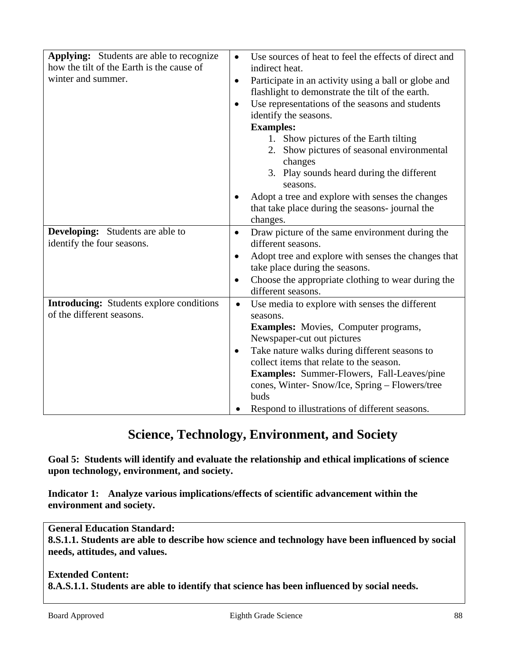| Applying: Students are able to recognize<br>how the tilt of the Earth is the cause of<br>winter and summer. | Use sources of heat to feel the effects of direct and<br>$\bullet$<br>indirect heat.<br>Participate in an activity using a ball or globe and<br>٠<br>flashlight to demonstrate the tilt of the earth. |
|-------------------------------------------------------------------------------------------------------------|-------------------------------------------------------------------------------------------------------------------------------------------------------------------------------------------------------|
|                                                                                                             | Use representations of the seasons and students                                                                                                                                                       |
|                                                                                                             | identify the seasons.                                                                                                                                                                                 |
|                                                                                                             | <b>Examples:</b>                                                                                                                                                                                      |
|                                                                                                             | 1. Show pictures of the Earth tilting                                                                                                                                                                 |
|                                                                                                             | 2. Show pictures of seasonal environmental                                                                                                                                                            |
|                                                                                                             | changes                                                                                                                                                                                               |
|                                                                                                             | 3. Play sounds heard during the different<br>seasons.                                                                                                                                                 |
|                                                                                                             | Adopt a tree and explore with senses the changes                                                                                                                                                      |
|                                                                                                             | that take place during the seasons-journal the                                                                                                                                                        |
|                                                                                                             | changes.                                                                                                                                                                                              |
| <b>Developing:</b> Students are able to                                                                     | Draw picture of the same environment during the<br>$\bullet$                                                                                                                                          |
| identify the four seasons.                                                                                  | different seasons.                                                                                                                                                                                    |
|                                                                                                             | Adopt tree and explore with senses the changes that<br>$\bullet$                                                                                                                                      |
|                                                                                                             | take place during the seasons.                                                                                                                                                                        |
|                                                                                                             | Choose the appropriate clothing to wear during the<br>$\bullet$                                                                                                                                       |
|                                                                                                             | different seasons.                                                                                                                                                                                    |
| <b>Introducing:</b> Students explore conditions<br>of the different seasons.                                | Use media to explore with senses the different<br>$\bullet$                                                                                                                                           |
|                                                                                                             | seasons.                                                                                                                                                                                              |
|                                                                                                             | <b>Examples:</b> Movies, Computer programs,                                                                                                                                                           |
|                                                                                                             | Newspaper-cut out pictures                                                                                                                                                                            |
|                                                                                                             | Take nature walks during different seasons to<br>$\bullet$<br>collect items that relate to the season.                                                                                                |
|                                                                                                             | <b>Examples:</b> Summer-Flowers, Fall-Leaves/pine                                                                                                                                                     |
|                                                                                                             | cones, Winter- Snow/Ice, Spring - Flowers/tree                                                                                                                                                        |
|                                                                                                             | buds                                                                                                                                                                                                  |
|                                                                                                             | Respond to illustrations of different seasons.                                                                                                                                                        |

# **Science, Technology, Environment, and Society**

**Goal 5: Students will identify and evaluate the relationship and ethical implications of science upon technology, environment, and society.** 

**[Indicator 1:](http://www.state.sd.us/deca/OCTA/contentstandards/science/techguide/k2g5.htm#Indicator 1:#Indicator 1:) Analyze various implications/effects of scientific advancement within the environment and society.** 

### **General Education Standard:**

**8.S.1.1. Students are able to describe how science and technology have been influenced by social needs, attitudes, and values.** 

### **Extended Content: 8.A.S.1.1. Students are able to identify that science has been influenced by social needs.**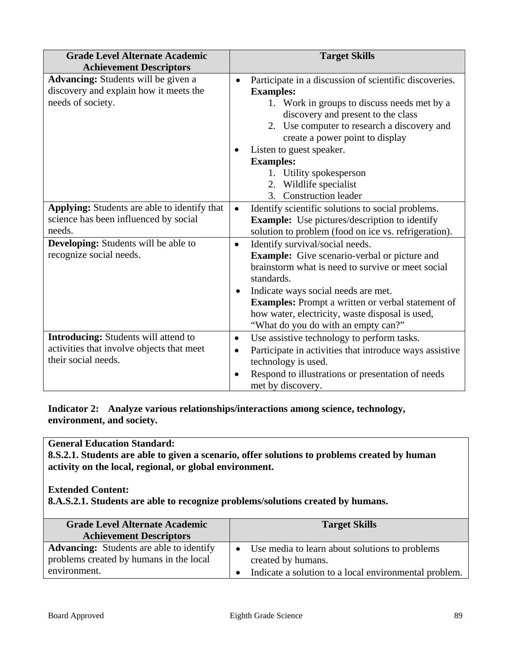| <b>Grade Level Alternate Academic</b><br><b>Achievement Descriptors</b>                                         | <b>Target Skills</b>                                                                                                                                                                                                                                                                                                                                                                |
|-----------------------------------------------------------------------------------------------------------------|-------------------------------------------------------------------------------------------------------------------------------------------------------------------------------------------------------------------------------------------------------------------------------------------------------------------------------------------------------------------------------------|
| Advancing: Students will be given a<br>discovery and explain how it meets the<br>needs of society.              | Participate in a discussion of scientific discoveries.<br>$\bullet$<br><b>Examples:</b><br>1. Work in groups to discuss needs met by a<br>discovery and present to the class<br>2. Use computer to research a discovery and<br>create a power point to display<br>Listen to guest speaker.<br>$\bullet$<br><b>Examples:</b><br>1. Utility spokesperson<br>Wildlife specialist<br>2. |
| <b>Applying:</b> Students are able to identify that<br>science has been influenced by social<br>needs.          | <b>Construction leader</b><br>3.<br>Identify scientific solutions to social problems.<br>$\bullet$<br><b>Example:</b> Use pictures/description to identify<br>solution to problem (food on ice vs. refrigeration).                                                                                                                                                                  |
| <b>Developing:</b> Students will be able to<br>recognize social needs.                                          | Identify survival/social needs.<br>$\bullet$<br><b>Example:</b> Give scenario-verbal or picture and<br>brainstorm what is need to survive or meet social<br>standards.<br>Indicate ways social needs are met.<br>$\bullet$<br><b>Examples:</b> Prompt a written or verbal statement of<br>how water, electricity, waste disposal is used,<br>"What do you do with an empty can?"    |
| <b>Introducing:</b> Students will attend to<br>activities that involve objects that meet<br>their social needs. | Use assistive technology to perform tasks.<br>$\bullet$<br>Participate in activities that introduce ways assistive<br>$\bullet$<br>technology is used.<br>Respond to illustrations or presentation of needs<br>met by discovery.                                                                                                                                                    |

**[Indicator 2:](http://www.state.sd.us/deca/OCTA/contentstandards/science/techguide/k2g5.htm#Indicator 1:#Indicator 1:) Analyze various relationships/interactions among science, technology, environment, and society.** 

## **General Education Standard:**

**8.S.2.1. Students are able to given a scenario, offer solutions to problems created by human activity on the local, regional, or global environment.** 

### **Extended Content:**

**8.A.S.2.1. Students are able to recognize problems/solutions created by humans.** 

| <b>Grade Level Alternate Academic</b><br><b>Achievement Descriptors</b>                                    | <b>Target Skills</b>                                                                                                                       |
|------------------------------------------------------------------------------------------------------------|--------------------------------------------------------------------------------------------------------------------------------------------|
| <b>Advancing:</b> Students are able to identify<br>problems created by humans in the local<br>environment. | Use media to learn about solutions to problems<br>$\bullet$<br>created by humans.<br>Indicate a solution to a local environmental problem. |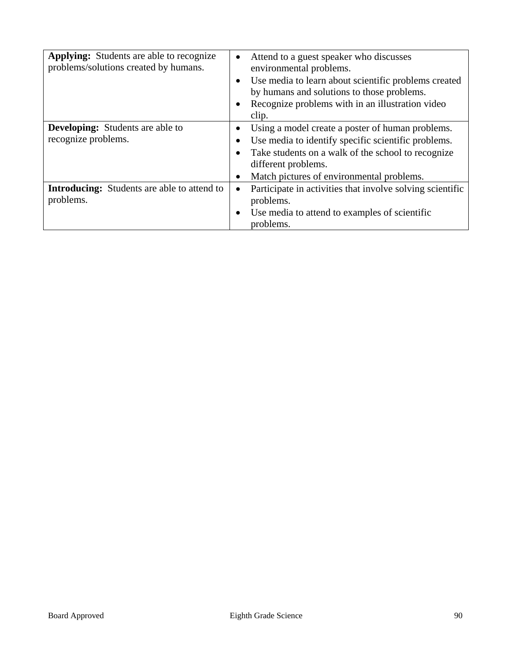| <b>Applying:</b> Students are able to recognize<br>problems/solutions created by humans. | Attend to a guest speaker who discusses<br>environmental problems.<br>Use media to learn about scientific problems created<br>٠<br>by humans and solutions to those problems.<br>Recognize problems with in an illustration video<br>clip. |
|------------------------------------------------------------------------------------------|--------------------------------------------------------------------------------------------------------------------------------------------------------------------------------------------------------------------------------------------|
| <b>Developing:</b> Students are able to<br>recognize problems.                           | Using a model create a poster of human problems.<br>Use media to identify specific scientific problems.<br>Take students on a walk of the school to recognize<br>different problems.<br>Match pictures of environmental problems.<br>٠     |
| <b>Introducing:</b> Students are able to attend to<br>problems.                          | Participate in activities that involve solving scientific<br>$\bullet$<br>problems.<br>Use media to attend to examples of scientific<br>٠<br>problems.                                                                                     |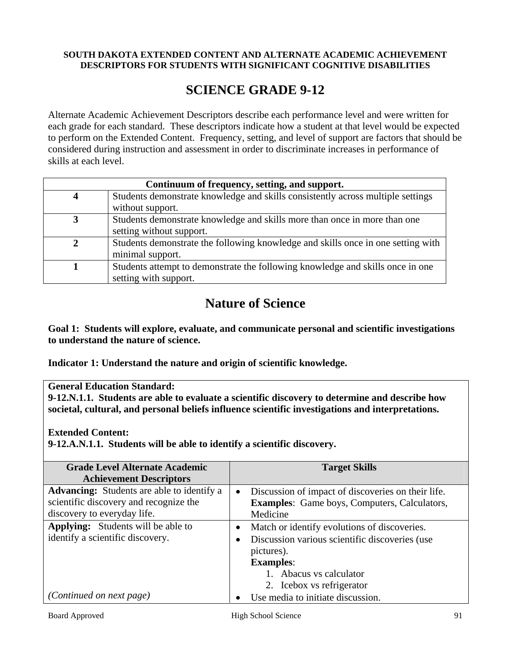#### **SOUTH DAKOTA EXTENDED CONTENT AND ALTERNATE ACADEMIC ACHIEVEMENT DESCRIPTORS FOR STUDENTS WITH SIGNIFICANT COGNITIVE DISABILITIES**

## **SCIENCE GRADE 9-12**

Alternate Academic Achievement Descriptors describe each performance level and were written for each grade for each standard. These descriptors indicate how a student at that level would be expected to perform on the Extended Content. Frequency, setting, and level of support are factors that should be considered during instruction and assessment in order to discriminate increases in performance of skills at each level.

| Continuum of frequency, setting, and support. |                                                                                  |  |
|-----------------------------------------------|----------------------------------------------------------------------------------|--|
|                                               | Students demonstrate knowledge and skills consistently across multiple settings  |  |
|                                               | without support.                                                                 |  |
|                                               | Students demonstrate knowledge and skills more than once in more than one        |  |
|                                               | setting without support.                                                         |  |
|                                               | Students demonstrate the following knowledge and skills once in one setting with |  |
|                                               | minimal support.                                                                 |  |
|                                               | Students attempt to demonstrate the following knowledge and skills once in one   |  |
|                                               | setting with support.                                                            |  |

# **Nature of Science**

**Goal 1: Students will explore, evaluate, and communicate personal and scientific investigations to understand the nature of science.** 

**Indicator 1: Understand the nature and origin of scientific knowledge.** 

**General Education Standard:** 

**9-12.N.1.1. Students are able to evaluate a scientific discovery to determine and describe how societal, cultural, and personal beliefs influence scientific investigations and interpretations.** 

**Extended Content:** 

**9-12.A.N.1.1. Students will be able to identify a scientific discovery.** 

| <b>Grade Level Alternate Academic</b><br><b>Achievement Descriptors</b>                                                    | <b>Target Skills</b>                                                                                                                                                                     |
|----------------------------------------------------------------------------------------------------------------------------|------------------------------------------------------------------------------------------------------------------------------------------------------------------------------------------|
| <b>Advancing:</b> Students are able to identify a<br>scientific discovery and recognize the<br>discovery to everyday life. | Discussion of impact of discoveries on their life.<br>$\bullet$<br><b>Examples:</b> Game boys, Computers, Calculators,<br>Medicine                                                       |
| <b>Applying:</b> Students will be able to<br>identify a scientific discovery.                                              | Match or identify evolutions of discoveries.<br>Discussion various scientific discoveries (use<br>pictures).<br><b>Examples:</b><br>1. Abacus vs calculator<br>2. Icebox vs refrigerator |
| (Continued on next page)                                                                                                   | Use media to initiate discussion.                                                                                                                                                        |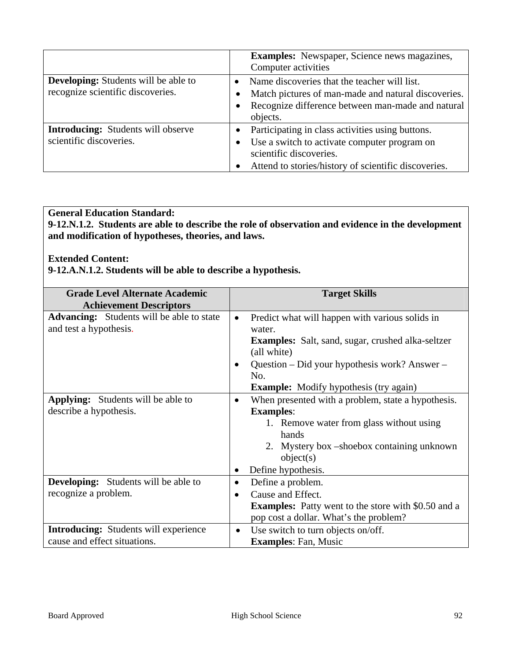|                                                                                  | <b>Examples:</b> Newspaper, Science news magazines,<br>Computer activities                                                                                                          |  |
|----------------------------------------------------------------------------------|-------------------------------------------------------------------------------------------------------------------------------------------------------------------------------------|--|
| <b>Developing:</b> Students will be able to<br>recognize scientific discoveries. | Name discoveries that the teacher will list.<br>Match pictures of man-made and natural discoveries.<br>Recognize difference between man-made and natural<br>$\bullet$<br>objects.   |  |
| <b>Introducing:</b> Students will observe<br>scientific discoveries.             | Participating in class activities using buttons.<br>Use a switch to activate computer program on<br>scientific discoveries.<br>Attend to stories/history of scientific discoveries. |  |

**9-12.N.1.2. Students are able to describe the role of observation and evidence in the development and modification of hypotheses, theories, and laws.** 

### **Extended Content:**

**9-12.A.N.1.2. Students will be able to describe a hypothesis.** 

| <b>Grade Level Alternate Academic</b>            | <b>Target Skills</b> |                                                            |
|--------------------------------------------------|----------------------|------------------------------------------------------------|
| <b>Achievement Descriptors</b>                   |                      |                                                            |
| <b>Advancing:</b> Students will be able to state | $\bullet$            | Predict what will happen with various solids in            |
| and test a hypothesis.                           |                      | water.                                                     |
|                                                  |                      | <b>Examples:</b> Salt, sand, sugar, crushed alka-seltzer   |
|                                                  |                      | (all white)                                                |
|                                                  | $\bullet$            | Question – Did your hypothesis work? Answer –              |
|                                                  |                      | No.                                                        |
|                                                  |                      | <b>Example:</b> Modify hypothesis (try again)              |
| <b>Applying:</b> Students will be able to        | $\bullet$            | When presented with a problem, state a hypothesis.         |
| describe a hypothesis.                           |                      | <b>Examples:</b>                                           |
|                                                  |                      | 1. Remove water from glass without using                   |
|                                                  |                      | hands                                                      |
|                                                  |                      | 2. Mystery box -shoebox containing unknown                 |
|                                                  |                      | object(s)                                                  |
|                                                  |                      | Define hypothesis.                                         |
| <b>Developing:</b> Students will be able to      | $\bullet$            | Define a problem.                                          |
| recognize a problem.                             | $\bullet$            | Cause and Effect.                                          |
|                                                  |                      | <b>Examples:</b> Patty went to the store with \$0.50 and a |
|                                                  |                      | pop cost a dollar. What's the problem?                     |
| <b>Introducing:</b> Students will experience     | $\bullet$            | Use switch to turn objects on/off.                         |
| cause and effect situations.                     |                      | <b>Examples:</b> Fan, Music                                |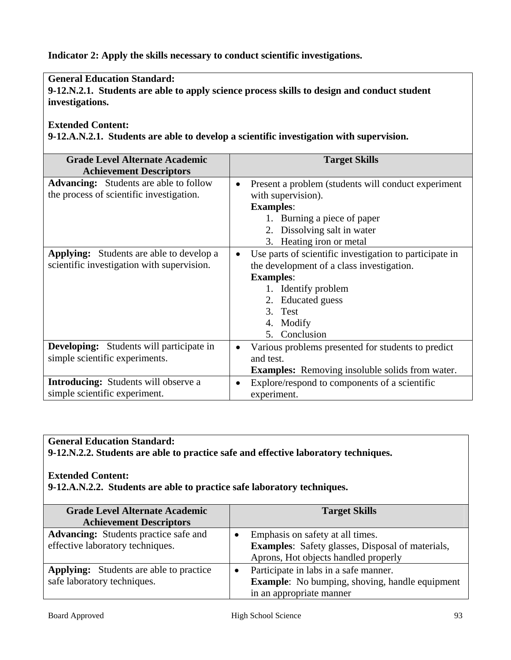**Indicator 2: Apply the skills necessary to conduct scientific investigations.** 

## **General Education Standard:**

**9-12.N.2.1. Students are able to apply science process skills to design and conduct student investigations.** 

### **Extended Content:**

**9-12.A.N.2.1. Students are able to develop a scientific investigation with supervision.** 

| <b>Grade Level Alternate Academic</b><br><b>Achievement Descriptors</b>                       | <b>Target Skills</b>                                                                                                                                                                                                       |
|-----------------------------------------------------------------------------------------------|----------------------------------------------------------------------------------------------------------------------------------------------------------------------------------------------------------------------------|
| <b>Advancing:</b> Students are able to follow<br>the process of scientific investigation.     | Present a problem (students will conduct experiment<br>$\bullet$<br>with supervision).<br><b>Examples:</b><br>1. Burning a piece of paper<br>2. Dissolving salt in water<br>3. Heating iron or metal                       |
| <b>Applying:</b> Students are able to develop a<br>scientific investigation with supervision. | Use parts of scientific investigation to participate in<br>$\bullet$<br>the development of a class investigation.<br><b>Examples:</b><br>1. Identify problem<br>2. Educated guess<br>3. Test<br>4. Modify<br>5. Conclusion |
| <b>Developing:</b> Students will participate in<br>simple scientific experiments.             | Various problems presented for students to predict<br>and test.<br><b>Examples:</b> Removing insoluble solids from water.                                                                                                  |
| <b>Introducing:</b> Students will observe a<br>simple scientific experiment.                  | Explore/respond to components of a scientific<br>$\bullet$<br>experiment.                                                                                                                                                  |

### **General Education Standard:**

**9-12.N.2.2. Students are able to practice safe and effective laboratory techniques.** 

#### **Extended Content:**

**9-12.A.N.2.2. Students are able to practice safe laboratory techniques.** 

| <b>Grade Level Alternate Academic</b><br><b>Achievement Descriptors</b>          | <b>Target Skills</b>                                                                                                                |
|----------------------------------------------------------------------------------|-------------------------------------------------------------------------------------------------------------------------------------|
| <b>Advancing:</b> Students practice safe and<br>effective laboratory techniques. | Emphasis on safety at all times.<br><b>Examples:</b> Safety glasses, Disposal of materials,<br>Aprons, Hot objects handled properly |
| <b>Applying:</b> Students are able to practice<br>safe laboratory techniques.    | Participate in labs in a safe manner.<br><b>Example:</b> No bumping, shoving, handle equipment<br>in an appropriate manner          |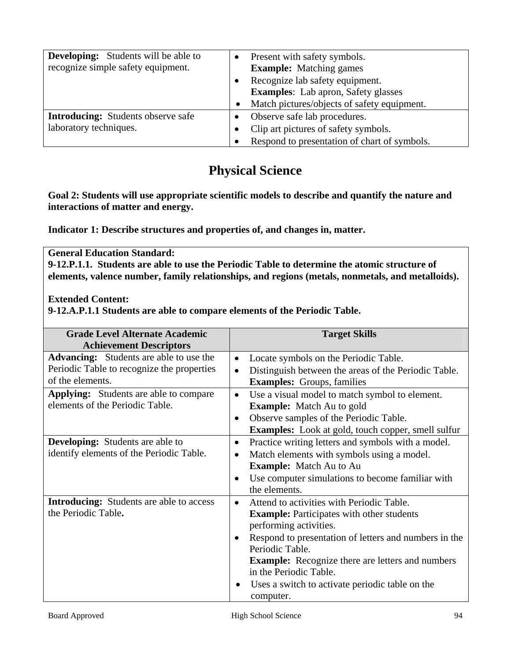| <b>Developing:</b> Students will be able to<br>recognize simple safety equipment. | Present with safety symbols.<br><b>Example:</b> Matching games                |
|-----------------------------------------------------------------------------------|-------------------------------------------------------------------------------|
|                                                                                   | Recognize lab safety equipment.<br><b>Examples:</b> Lab apron, Safety glasses |
|                                                                                   | Match pictures/objects of safety equipment.                                   |
| <b>Introducing:</b> Students observe safe                                         | Observe safe lab procedures.                                                  |
| laboratory techniques.                                                            | Clip art pictures of safety symbols.                                          |
|                                                                                   | Respond to presentation of chart of symbols.                                  |

# **Physical Science**

**Goal 2: Students will use appropriate scientific models to describe and quantify the nature and interactions of matter and energy.** 

**Indicator 1: Describe structures and properties of, and changes in, matter.** 

**General Education Standard: 9-12.P.1.1. Students are able to use the Periodic Table to determine the atomic structure of elements, valence number, family relationships, and regions (metals, nonmetals, and metalloids).** 

**Extended Content:** 

**9-12.A.P.1.1 Students are able to compare elements of the Periodic Table.** 

| <b>Target Skills</b>                                                                                                                                                                                                                                                                                                                                                               |
|------------------------------------------------------------------------------------------------------------------------------------------------------------------------------------------------------------------------------------------------------------------------------------------------------------------------------------------------------------------------------------|
| Locate symbols on the Periodic Table.<br>$\bullet$<br>Distinguish between the areas of the Periodic Table.<br>$\bullet$<br><b>Examples:</b> Groups, families                                                                                                                                                                                                                       |
| Use a visual model to match symbol to element.<br>$\bullet$<br><b>Example:</b> Match Au to gold<br>Observe samples of the Periodic Table.<br>$\bullet$<br><b>Examples:</b> Look at gold, touch copper, smell sulfur                                                                                                                                                                |
| Practice writing letters and symbols with a model.<br>$\bullet$<br>Match elements with symbols using a model.<br>$\bullet$<br><b>Example:</b> Match Au to Au<br>Use computer simulations to become familiar with<br>$\bullet$<br>the elements.                                                                                                                                     |
| Attend to activities with Periodic Table.<br>$\bullet$<br><b>Example:</b> Participates with other students<br>performing activities.<br>Respond to presentation of letters and numbers in the<br>$\bullet$<br>Periodic Table.<br><b>Example:</b> Recognize there are letters and numbers<br>in the Periodic Table.<br>Uses a switch to activate periodic table on the<br>$\bullet$ |
|                                                                                                                                                                                                                                                                                                                                                                                    |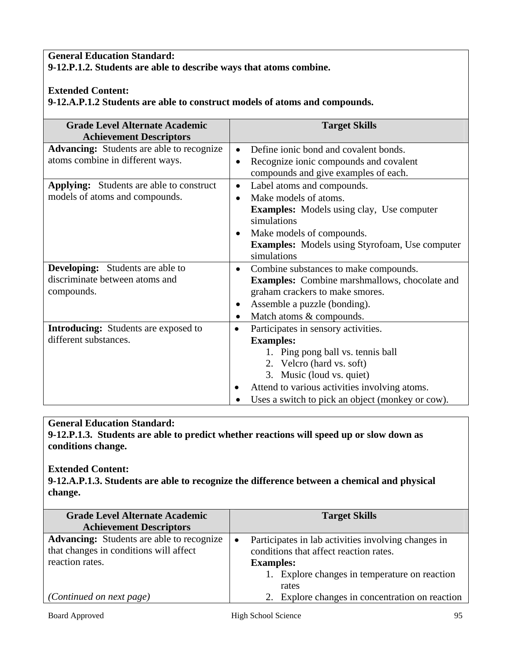## **General Education Standard: 9-12.P.1.2. Students are able to describe ways that atoms combine.**

## **Extended Content: 9-12.A.P.1.2 Students are able to construct models of atoms and compounds.**

| <b>Grade Level Alternate Academic</b><br><b>Achievement Descriptors</b> | <b>Target Skills</b>                                       |
|-------------------------------------------------------------------------|------------------------------------------------------------|
| <b>Advancing:</b> Students are able to recognize                        | Define ionic bond and covalent bonds.                      |
| atoms combine in different ways.                                        | Recognize ionic compounds and covalent                     |
|                                                                         | compounds and give examples of each.                       |
| <b>Applying:</b> Students are able to construct                         | Label atoms and compounds.<br>$\bullet$                    |
| models of atoms and compounds.                                          | Make models of atoms.<br>$\bullet$                         |
|                                                                         | <b>Examples:</b> Models using clay, Use computer           |
|                                                                         | simulations                                                |
|                                                                         | Make models of compounds.<br>$\bullet$                     |
|                                                                         | <b>Examples:</b> Models using Styrofoam, Use computer      |
|                                                                         | simulations                                                |
| <b>Developing:</b> Students are able to                                 | Combine substances to make compounds.<br>$\bullet$         |
| discriminate between atoms and                                          | <b>Examples:</b> Combine marshmallows, chocolate and       |
| compounds.                                                              | graham crackers to make smores.                            |
|                                                                         | Assemble a puzzle (bonding).<br>٠                          |
|                                                                         | Match atoms & compounds.<br>$\bullet$                      |
| <b>Introducing:</b> Students are exposed to                             | Participates in sensory activities.<br>$\bullet$           |
| different substances.                                                   | <b>Examples:</b>                                           |
|                                                                         | 1. Ping pong ball vs. tennis ball                          |
|                                                                         | 2. Velcro (hard vs. soft)                                  |
|                                                                         | 3. Music (loud vs. quiet)                                  |
|                                                                         | Attend to various activities involving atoms.<br>$\bullet$ |
|                                                                         | Uses a switch to pick an object (monkey or cow).           |

## **General Education Standard:**

**9-12.P.1.3. Students are able to predict whether reactions will speed up or slow down as conditions change.** 

### **Extended Content:**

**9-12.A.P.1.3. Students are able to recognize the difference between a chemical and physical change.** 

| <b>Grade Level Alternate Academic</b><br><b>Achievement Descriptors</b>                                       | <b>Target Skills</b>                                                                                                                                               |
|---------------------------------------------------------------------------------------------------------------|--------------------------------------------------------------------------------------------------------------------------------------------------------------------|
| <b>Advancing:</b> Students are able to recognize<br>that changes in conditions will affect<br>reaction rates. | Participates in lab activities involving changes in<br>conditions that affect reaction rates.<br><b>Examples:</b><br>1. Explore changes in temperature on reaction |
| <i>(Continued on next page)</i>                                                                               | rates<br>2. Explore changes in concentration on reaction                                                                                                           |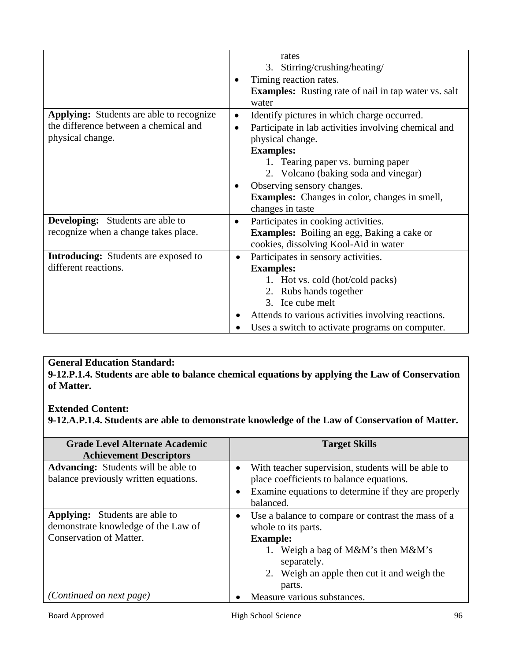|                                                                                                              |                        | rates<br>3. Stirring/crushing/heating/<br>Timing reaction rates.<br><b>Examples:</b> Rusting rate of nail in tap water vs. salt<br>water                                                                                                                                                                                            |
|--------------------------------------------------------------------------------------------------------------|------------------------|-------------------------------------------------------------------------------------------------------------------------------------------------------------------------------------------------------------------------------------------------------------------------------------------------------------------------------------|
| <b>Applying:</b> Students are able to recognize<br>the difference between a chemical and<br>physical change. | $\bullet$<br>$\bullet$ | Identify pictures in which charge occurred.<br>Participate in lab activities involving chemical and<br>physical change.<br><b>Examples:</b><br>1. Tearing paper vs. burning paper<br>2. Volcano (baking soda and vinegar)<br>Observing sensory changes.<br><b>Examples:</b> Changes in color, changes in smell,<br>changes in taste |
| <b>Developing:</b> Students are able to<br>recognize when a change takes place.                              | $\bullet$              | Participates in cooking activities.<br><b>Examples:</b> Boiling an egg, Baking a cake or<br>cookies, dissolving Kool-Aid in water                                                                                                                                                                                                   |
| <b>Introducing:</b> Students are exposed to<br>different reactions.                                          | $\bullet$              | Participates in sensory activities.<br><b>Examples:</b><br>1. Hot vs. cold (hot/cold packs)<br>2. Rubs hands together<br>3. Ice cube melt<br>Attends to various activities involving reactions.<br>Uses a switch to activate programs on computer.                                                                                  |

**9-12.P.1.4. Students are able to balance chemical equations by applying the Law of Conservation of Matter.** 

### **Extended Content:**

**9-12.A.P.1.4. Students are able to demonstrate knowledge of the Law of Conservation of Matter.** 

| <b>Grade Level Alternate Academic</b><br><b>Achievement Descriptors</b>                                        | <b>Target Skills</b>                                                                                                                                                                                       |
|----------------------------------------------------------------------------------------------------------------|------------------------------------------------------------------------------------------------------------------------------------------------------------------------------------------------------------|
| <b>Advancing:</b> Students will be able to<br>balance previously written equations.                            | With teacher supervision, students will be able to<br>$\bullet$<br>place coefficients to balance equations.<br>Examine equations to determine if they are properly<br>$\bullet$<br>balanced.               |
| <b>Applying:</b> Students are able to<br>demonstrate knowledge of the Law of<br><b>Conservation of Matter.</b> | Use a balance to compare or contrast the mass of a<br>whole to its parts.<br><b>Example:</b><br>1. Weigh a bag of M&M's then M&M's<br>separately.<br>2. Weigh an apple then cut it and weigh the<br>parts. |
| <i>(Continued on next page)</i>                                                                                | Measure various substances.                                                                                                                                                                                |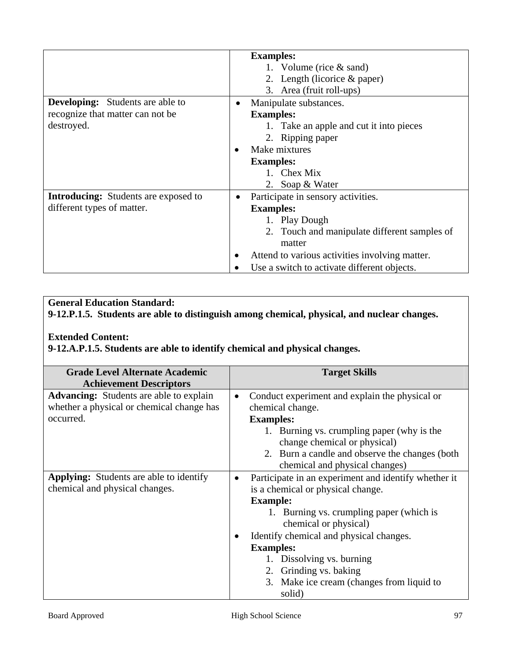|                                             | <b>Examples:</b>                               |
|---------------------------------------------|------------------------------------------------|
|                                             | 1. Volume (rice $&$ sand)                      |
|                                             | 2. Length (licorice $&$ paper)                 |
|                                             | 3. Area (fruit roll-ups)                       |
| <b>Developing:</b> Students are able to     | Manipulate substances.                         |
| recognize that matter can not be            | <b>Examples:</b>                               |
| destroyed.                                  | 1. Take an apple and cut it into pieces        |
|                                             | 2. Ripping paper                               |
|                                             | Make mixtures                                  |
|                                             | <b>Examples:</b>                               |
|                                             | 1. Chex Mix                                    |
|                                             | 2. Soap & Water                                |
| <b>Introducing:</b> Students are exposed to | Participate in sensory activities.             |
| different types of matter.                  | <b>Examples:</b>                               |
|                                             | 1. Play Dough                                  |
|                                             | 2. Touch and manipulate different samples of   |
|                                             | matter                                         |
|                                             | Attend to various activities involving matter. |
|                                             | Use a switch to activate different objects.    |

**9-12.P.1.5. Students are able to distinguish among chemical, physical, and nuclear changes.** 

#### **Extended Content:**

**9-12.A.P.1.5. Students are able to identify chemical and physical changes.**

| <b>Grade Level Alternate Academic</b>          |           | <b>Target Skills</b>                                 |
|------------------------------------------------|-----------|------------------------------------------------------|
| <b>Achievement Descriptors</b>                 |           |                                                      |
| <b>Advancing:</b> Students are able to explain | $\bullet$ | Conduct experiment and explain the physical or       |
| whether a physical or chemical change has      |           | chemical change.                                     |
| occurred.                                      |           | <b>Examples:</b>                                     |
|                                                |           | 1. Burning vs. crumpling paper (why is the           |
|                                                |           | change chemical or physical)                         |
|                                                |           | 2. Burn a candle and observe the changes (both       |
|                                                |           | chemical and physical changes)                       |
| Applying: Students are able to identify        | $\bullet$ | Participate in an experiment and identify whether it |
| chemical and physical changes.                 |           | is a chemical or physical change.                    |
|                                                |           | <b>Example:</b>                                      |
|                                                |           | 1. Burning vs. crumpling paper (which is             |
|                                                |           | chemical or physical)                                |
|                                                |           | Identify chemical and physical changes.              |
|                                                |           | <b>Examples:</b>                                     |
|                                                |           | 1. Dissolving vs. burning                            |
|                                                |           | 2. Grinding vs. baking                               |
|                                                |           | 3. Make ice cream (changes from liquid to            |
|                                                |           | solid)                                               |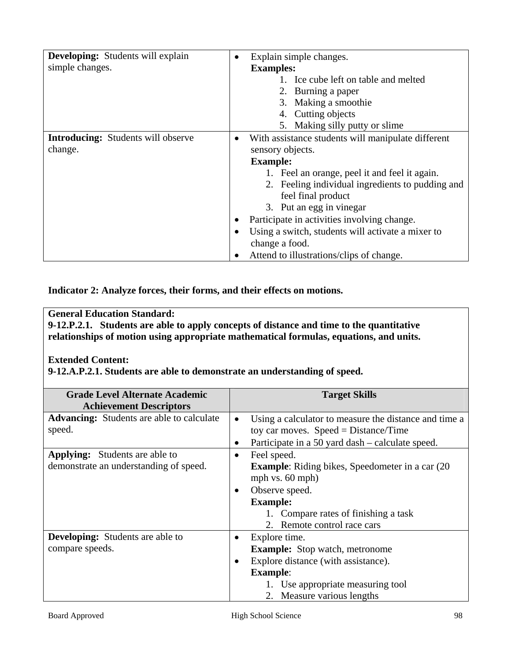| <b>Developing:</b> Students will explain<br>simple changes. | Explain simple changes.<br>$\bullet$<br><b>Examples:</b><br>1. Ice cube left on table and melted<br>2. Burning a paper<br>3. Making a smoothie<br>4. Cutting objects<br>5. Making silly putty or slime                                                                                                                                                                                                                          |
|-------------------------------------------------------------|---------------------------------------------------------------------------------------------------------------------------------------------------------------------------------------------------------------------------------------------------------------------------------------------------------------------------------------------------------------------------------------------------------------------------------|
| <b>Introducing:</b> Students will observe<br>change.        | With assistance students will manipulate different<br>$\bullet$<br>sensory objects.<br><b>Example:</b><br>1. Feel an orange, peel it and feel it again.<br>2. Feeling individual ingredients to pudding and<br>feel final product<br>3. Put an egg in vinegar<br>Participate in activities involving change.<br>Using a switch, students will activate a mixer to<br>change a food.<br>Attend to illustrations/clips of change. |

**Indicator 2: Analyze forces, their forms, and their effects on motions.** 

## **General Education Standard:**

**9-12.P.2.1. Students are able to apply concepts of distance and time to the quantitative relationships of motion using appropriate mathematical formulas, equations, and units.** 

### **Extended Content:**

**9-12.A.P.2.1. Students are able to demonstrate an understanding of speed.** 

| <b>Grade Level Alternate Academic</b>            | <b>Target Skills</b>                                               |
|--------------------------------------------------|--------------------------------------------------------------------|
| <b>Achievement Descriptors</b>                   |                                                                    |
| <b>Advancing:</b> Students are able to calculate | Using a calculator to measure the distance and time a<br>$\bullet$ |
| speed.                                           | toy car moves. $Speed = Distance/Time$                             |
|                                                  |                                                                    |
|                                                  | Participate in a 50 yard dash – calculate speed.                   |
| <b>Applying:</b> Students are able to            | Feel speed.<br>$\bullet$                                           |
| demonstrate an understanding of speed.           | <b>Example:</b> Riding bikes, Speedometer in a car (20)            |
|                                                  | mph vs. 60 mph)                                                    |
|                                                  | Observe speed.<br>$\bullet$                                        |
|                                                  |                                                                    |
|                                                  | <b>Example:</b>                                                    |
|                                                  | 1. Compare rates of finishing a task                               |
|                                                  | 2. Remote control race cars                                        |
| <b>Developing:</b> Students are able to          | Explore time.<br>$\bullet$                                         |
| compare speeds.                                  | <b>Example:</b> Stop watch, metronome                              |
|                                                  |                                                                    |
|                                                  | Explore distance (with assistance).<br>$\bullet$                   |
|                                                  | <b>Example:</b>                                                    |
|                                                  | 1. Use appropriate measuring tool                                  |
|                                                  | 2. Measure various lengths                                         |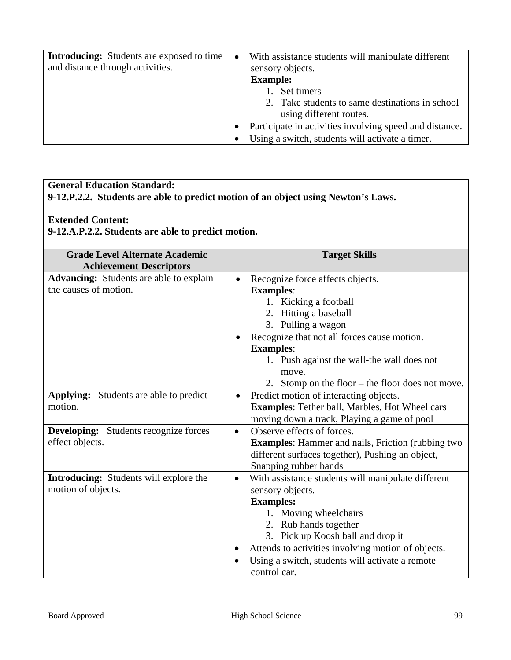| <b>Introducing:</b> Students are exposed to time<br>and distance through activities. | $\bullet$ | With assistance students will manipulate different<br>sensory objects.<br><b>Example:</b><br>1. Set timers<br>2. Take students to same destinations in school<br>using different routes. |
|--------------------------------------------------------------------------------------|-----------|------------------------------------------------------------------------------------------------------------------------------------------------------------------------------------------|
|                                                                                      |           | Participate in activities involving speed and distance.                                                                                                                                  |
|                                                                                      |           | Using a switch, students will activate a timer.                                                                                                                                          |

## **9-12.P.2.2. Students are able to predict motion of an object using Newton's Laws.**

#### **Extended Content:**

## **9-12.A.P.2.2. Students are able to predict motion.**

| <b>Grade Level Alternate Academic</b><br><b>Achievement Descriptors</b> | <b>Target Skills</b>                                                                                                                                                                                                                                                                                                                 |
|-------------------------------------------------------------------------|--------------------------------------------------------------------------------------------------------------------------------------------------------------------------------------------------------------------------------------------------------------------------------------------------------------------------------------|
| <b>Advancing:</b> Students are able to explain<br>the causes of motion. | Recognize force affects objects.<br>$\bullet$<br><b>Examples:</b><br>1. Kicking a football<br>2. Hitting a baseball<br>3. Pulling a wagon<br>Recognize that not all forces cause motion.<br><b>Examples:</b><br>1. Push against the wall-the wall does not<br>move.<br>2. Stomp on the floor $-$ the floor does not move.            |
| <b>Applying:</b> Students are able to predict<br>motion.                | Predict motion of interacting objects.<br>$\bullet$<br><b>Examples:</b> Tether ball, Marbles, Hot Wheel cars<br>moving down a track, Playing a game of pool                                                                                                                                                                          |
| <b>Developing:</b> Students recognize forces<br>effect objects.         | Observe effects of forces.<br>$\bullet$<br><b>Examples:</b> Hammer and nails, Friction (rubbing two<br>different surfaces together), Pushing an object,<br>Snapping rubber bands                                                                                                                                                     |
| Introducing: Students will explore the<br>motion of objects.            | With assistance students will manipulate different<br>$\bullet$<br>sensory objects.<br><b>Examples:</b><br>1. Moving wheelchairs<br>2. Rub hands together<br>3. Pick up Koosh ball and drop it<br>Attends to activities involving motion of objects.<br>$\bullet$<br>Using a switch, students will activate a remote<br>control car. |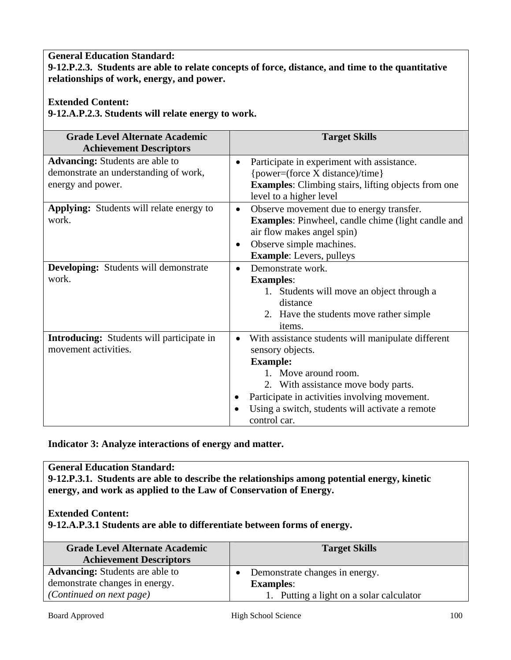**9-12.P.2.3. Students are able to relate concepts of force, distance, and time to the quantitative relationships of work, energy, and power.** 

## **Extended Content:**

**9-12.A.P.2.3. Students will relate energy to work.** 

| <b>Grade Level Alternate Academic</b>                                                                | <b>Target Skills</b>                                                                                                                                                                                                                                                                           |
|------------------------------------------------------------------------------------------------------|------------------------------------------------------------------------------------------------------------------------------------------------------------------------------------------------------------------------------------------------------------------------------------------------|
| <b>Achievement Descriptors</b>                                                                       |                                                                                                                                                                                                                                                                                                |
| <b>Advancing:</b> Students are able to<br>demonstrate an understanding of work,<br>energy and power. | Participate in experiment with assistance.<br>$\bullet$<br>{power=(force X distance)/time}<br><b>Examples:</b> Climbing stairs, lifting objects from one<br>level to a higher level                                                                                                            |
| <b>Applying:</b> Students will relate energy to<br>work.                                             | Observe movement due to energy transfer.<br>$\bullet$<br><b>Examples:</b> Pinwheel, candle chime (light candle and<br>air flow makes angel spin)<br>Observe simple machines.<br>٠<br><b>Example:</b> Levers, pulleys                                                                           |
| <b>Developing:</b> Students will demonstrate<br>work.                                                | Demonstrate work.<br>$\bullet$<br><b>Examples:</b><br>1. Students will move an object through a<br>distance<br>2. Have the students move rather simple<br><i>items.</i>                                                                                                                        |
| <b>Introducing:</b> Students will participate in<br>movement activities.                             | With assistance students will manipulate different<br>٠<br>sensory objects.<br><b>Example:</b><br>1. Move around room.<br>2. With assistance move body parts.<br>Participate in activities involving movement.<br>Using a switch, students will activate a remote<br>$\bullet$<br>control car. |

**Indicator 3: Analyze interactions of energy and matter.** 

#### **General Education Standard:**

**9-12.P.3.1. Students are able to describe the relationships among potential energy, kinetic energy, and work as applied to the Law of Conservation of Energy.** 

#### **Extended Content:**

**9-12.A.P.3.1 Students are able to differentiate between forms of energy.** 

| <b>Grade Level Alternate Academic</b><br><b>Achievement Descriptors</b> | <b>Target Skills</b>                     |
|-------------------------------------------------------------------------|------------------------------------------|
| <b>Advancing:</b> Students are able to                                  | Demonstrate changes in energy.           |
| demonstrate changes in energy.                                          | <b>Examples:</b>                         |
| (Continued on next page)                                                | 1. Putting a light on a solar calculator |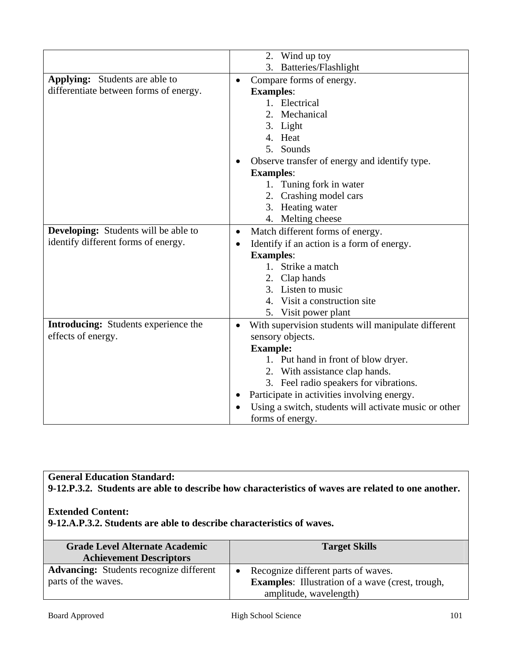|                                             | 2. Wind up toy                                                   |
|---------------------------------------------|------------------------------------------------------------------|
|                                             | Batteries/Flashlight<br>3.                                       |
| <b>Applying:</b> Students are able to       | Compare forms of energy.<br>$\bullet$                            |
| differentiate between forms of energy.      | <b>Examples:</b>                                                 |
|                                             | 1. Electrical                                                    |
|                                             | 2. Mechanical                                                    |
|                                             | 3. Light                                                         |
|                                             | 4. Heat                                                          |
|                                             | 5. Sounds                                                        |
|                                             | Observe transfer of energy and identify type.                    |
|                                             | <b>Examples:</b>                                                 |
|                                             | 1. Tuning fork in water                                          |
|                                             | 2. Crashing model cars                                           |
|                                             | 3. Heating water                                                 |
|                                             | 4. Melting cheese                                                |
| <b>Developing:</b> Students will be able to | Match different forms of energy.<br>$\bullet$                    |
| identify different forms of energy.         | Identify if an action is a form of energy.<br>٠                  |
|                                             | <b>Examples:</b>                                                 |
|                                             | 1. Strike a match                                                |
|                                             | 2. Clap hands                                                    |
|                                             | 3. Listen to music                                               |
|                                             | 4. Visit a construction site                                     |
|                                             | 5. Visit power plant                                             |
| <b>Introducing:</b> Students experience the | With supervision students will manipulate different<br>$\bullet$ |
| effects of energy.                          | sensory objects.                                                 |
|                                             | <b>Example:</b>                                                  |
|                                             | 1. Put hand in front of blow dryer.                              |
|                                             | 2. With assistance clap hands.                                   |
|                                             | 3. Feel radio speakers for vibrations.                           |
|                                             | Participate in activities involving energy.<br>$\bullet$         |
|                                             | Using a switch, students will activate music or other            |
|                                             | forms of energy.                                                 |

**9-12.P.3.2. Students are able to describe how characteristics of waves are related to one another.** 

#### **Extended Content:**

**9-12.A.P.3.2. Students are able to describe characteristics of waves.** 

| <b>Grade Level Alternate Academic</b><br><b>Achievement Descriptors</b> | <b>Target Skills</b>                                                                           |
|-------------------------------------------------------------------------|------------------------------------------------------------------------------------------------|
| <b>Advancing:</b> Students recognize different<br>parts of the waves.   | Recognize different parts of waves.<br><b>Examples:</b> Illustration of a wave (crest, trough, |
|                                                                         | amplitude, wavelength)                                                                         |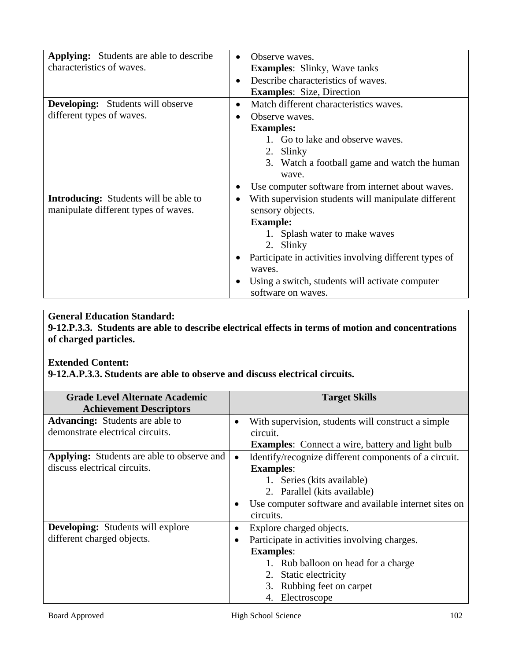| <b>Applying:</b> Students are able to describe<br>characteristics of waves.          | Observe waves.<br>$\bullet$<br><b>Examples:</b> Slinky, Wave tanks<br>Describe characteristics of waves.<br>$\bullet$<br><b>Examples:</b> Size, Direction                                                                                                                    |
|--------------------------------------------------------------------------------------|------------------------------------------------------------------------------------------------------------------------------------------------------------------------------------------------------------------------------------------------------------------------------|
| <b>Developing:</b> Students will observe<br>different types of waves.                | Match different characteristics waves.<br>$\bullet$<br>Observe waves.<br>$\bullet$<br><b>Examples:</b><br>1. Go to lake and observe waves.<br>2. Slinky<br>3. Watch a football game and watch the human<br>wave.                                                             |
|                                                                                      | Use computer software from internet about waves.                                                                                                                                                                                                                             |
| <b>Introducing:</b> Students will be able to<br>manipulate different types of waves. | With supervision students will manipulate different<br>$\bullet$<br>sensory objects.<br><b>Example:</b><br>1. Splash water to make waves<br>2. Slinky<br>Participate in activities involving different types of<br>waves.<br>Using a switch, students will activate computer |

**9-12.P.3.3. Students are able to describe electrical effects in terms of motion and concentrations of charged particles.** 

#### **Extended Content:**

**9-12.A.P.3.3. Students are able to observe and discuss electrical circuits.** 

| <b>Grade Level Alternate Academic</b>             |           | <b>Target Skills</b>                                    |
|---------------------------------------------------|-----------|---------------------------------------------------------|
| <b>Achievement Descriptors</b>                    |           |                                                         |
| <b>Advancing:</b> Students are able to            | $\bullet$ | With supervision, students will construct a simple.     |
| demonstrate electrical circuits.                  |           | circuit.                                                |
|                                                   |           | <b>Examples:</b> Connect a wire, battery and light bulb |
| <b>Applying:</b> Students are able to observe and | $\bullet$ | Identify/recognize different components of a circuit.   |
| discuss electrical circuits.                      |           | <b>Examples:</b>                                        |
|                                                   |           | 1. Series (kits available)                              |
|                                                   |           | 2. Parallel (kits available)                            |
|                                                   |           | Use computer software and available internet sites on   |
|                                                   |           | circuits.                                               |
| <b>Developing:</b> Students will explore          | $\bullet$ | Explore charged objects.                                |
| different charged objects.                        | $\bullet$ | Participate in activities involving charges.            |
|                                                   |           | <b>Examples:</b>                                        |
|                                                   |           | 1. Rub balloon on head for a charge                     |
|                                                   |           | 2. Static electricity                                   |
|                                                   |           | 3. Rubbing feet on carpet                               |
|                                                   |           | 4. Electroscope                                         |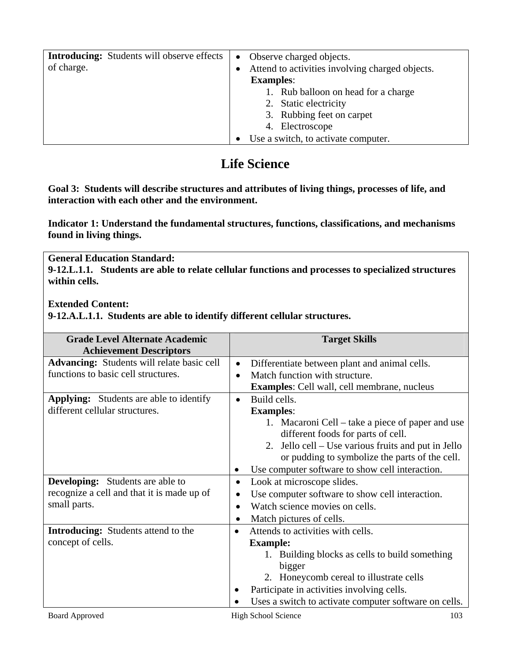| <b>Introducing:</b> Students will observe effects<br>of charge. | Observe charged objects.<br>$\bullet$<br>Attend to activities involving charged objects.<br><b>Examples:</b> |
|-----------------------------------------------------------------|--------------------------------------------------------------------------------------------------------------|
|                                                                 | 1. Rub balloon on head for a charge<br>2. Static electricity<br>3. Rubbing feet on carpet<br>4. Electroscope |
|                                                                 | Use a switch, to activate computer.                                                                          |

# **Life Science**

**Goal 3: Students will describe structures and attributes of living things, processes of life, and interaction with each other and the environment.** 

**Indicator 1: Understand the fundamental structures, functions, classifications, and mechanisms found in living things.** 

**General Education Standard: 9-12.L.1.1. Students are able to relate cellular functions and processes to specialized structures within cells.**

**Extended Content:** 

**9-12.A.L.1.1. Students are able to identify different cellular structures.** 

| <b>Grade Level Alternate Academic</b>             |           | <b>Target Skills</b>                                  |
|---------------------------------------------------|-----------|-------------------------------------------------------|
| <b>Achievement Descriptors</b>                    |           |                                                       |
| <b>Advancing:</b> Students will relate basic cell | $\bullet$ | Differentiate between plant and animal cells.         |
| functions to basic cell structures.               | $\bullet$ | Match function with structure.                        |
|                                                   |           | <b>Examples:</b> Cell wall, cell membrane, nucleus    |
| <b>Applying:</b> Students are able to identify    | $\bullet$ | Build cells.                                          |
| different cellular structures.                    |           | <b>Examples:</b>                                      |
|                                                   |           | 1. Macaroni Cell – take a piece of paper and use      |
|                                                   |           | different foods for parts of cell.                    |
|                                                   |           | 2. Jello cell – Use various fruits and put in Jello   |
|                                                   |           | or pudding to symbolize the parts of the cell.        |
|                                                   |           | Use computer software to show cell interaction.       |
| <b>Developing:</b> Students are able to           | $\bullet$ | Look at microscope slides.                            |
| recognize a cell and that it is made up of        |           | Use computer software to show cell interaction.       |
| small parts.                                      | $\bullet$ | Watch science movies on cells.                        |
|                                                   |           | Match pictures of cells.                              |
| <b>Introducing:</b> Students attend to the        |           | Attends to activities with cells.                     |
| concept of cells.                                 |           | <b>Example:</b>                                       |
|                                                   |           | 1. Building blocks as cells to build something        |
|                                                   |           | bigger                                                |
|                                                   |           | 2. Honeycomb cereal to illustrate cells               |
|                                                   |           | Participate in activities involving cells.            |
|                                                   |           | Uses a switch to activate computer software on cells. |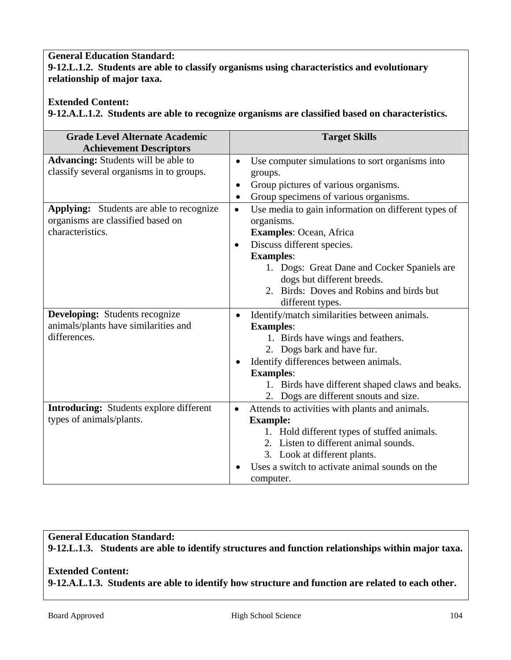#### **General Education Standard: 9-12.L.1.2. Students are able to classify organisms using characteristics and evolutionary relationship of major taxa.**

## **Extended Content:**

**9-12.A.L.1.2. Students are able to recognize organisms are classified based on characteristics.** 

| <b>Grade Level Alternate Academic</b><br><b>Achievement Descriptors</b> | <b>Target Skills</b>                                             |
|-------------------------------------------------------------------------|------------------------------------------------------------------|
| Advancing: Students will be able to                                     | Use computer simulations to sort organisms into<br>$\bullet$     |
| classify several organisms in to groups.                                | groups.                                                          |
|                                                                         | Group pictures of various organisms.<br>$\bullet$                |
|                                                                         | Group specimens of various organisms.<br>$\bullet$               |
| <b>Applying:</b> Students are able to recognize                         | Use media to gain information on different types of<br>$\bullet$ |
| organisms are classified based on                                       | organisms.                                                       |
| characteristics.                                                        | Examples: Ocean, Africa                                          |
|                                                                         | Discuss different species.<br>$\bullet$                          |
|                                                                         | <b>Examples:</b>                                                 |
|                                                                         | 1. Dogs: Great Dane and Cocker Spaniels are                      |
|                                                                         | dogs but different breeds.                                       |
|                                                                         | 2. Birds: Doves and Robins and birds but                         |
|                                                                         | different types.                                                 |
| <b>Developing:</b> Students recognize                                   | Identify/match similarities between animals.                     |
| animals/plants have similarities and                                    | <b>Examples:</b>                                                 |
| differences.                                                            | 1. Birds have wings and feathers.                                |
|                                                                         | 2. Dogs bark and have fur.                                       |
|                                                                         | Identify differences between animals.                            |
|                                                                         | <b>Examples:</b>                                                 |
|                                                                         | 1. Birds have different shaped claws and beaks.                  |
|                                                                         | 2. Dogs are different snouts and size.                           |
| <b>Introducing:</b> Students explore different                          | Attends to activities with plants and animals.<br>$\bullet$      |
| types of animals/plants.                                                | <b>Example:</b>                                                  |
|                                                                         | 1. Hold different types of stuffed animals.                      |
|                                                                         | 2. Listen to different animal sounds.                            |
|                                                                         | 3. Look at different plants.                                     |
|                                                                         | Uses a switch to activate animal sounds on the                   |
|                                                                         | computer.                                                        |

# **General Education Standard: 9-12.L.1.3. Students are able to identify structures and function relationships within major taxa.**

## **Extended Content:**

**9-12.A.L.1.3. Students are able to identify how structure and function are related to each other.**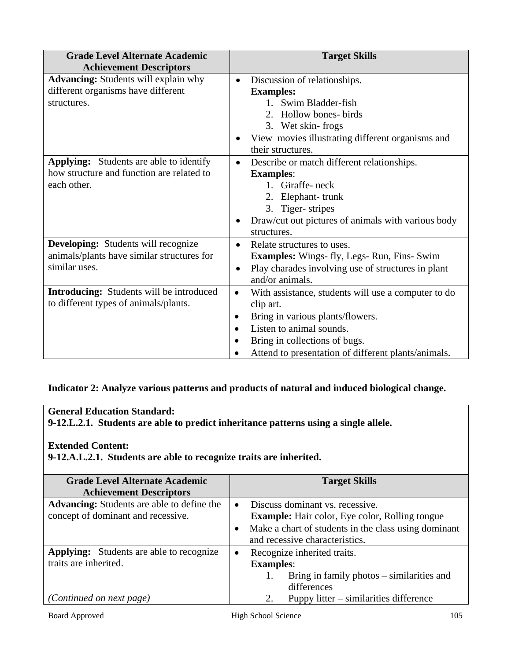| <b>Grade Level Alternate Academic</b><br><b>Achievement Descriptors</b>                                    | <b>Target Skills</b>                                                                                                                                                                                                                                                         |
|------------------------------------------------------------------------------------------------------------|------------------------------------------------------------------------------------------------------------------------------------------------------------------------------------------------------------------------------------------------------------------------------|
| <b>Advancing:</b> Students will explain why<br>different organisms have different<br>structures.           | Discussion of relationships.<br>$\bullet$<br><b>Examples:</b><br>1. Swim Bladder-fish<br>2. Hollow bones-birds<br>3. Wet skin-frogs<br>View movies illustrating different organisms and<br>their structures.                                                                 |
| <b>Applying:</b> Students are able to identify<br>how structure and function are related to<br>each other. | Describe or match different relationships.<br>$\bullet$<br><b>Examples:</b><br>1. Giraffe-neck<br>2. Elephant-trunk<br>3. Tiger-stripes<br>Draw/cut out pictures of animals with various body<br>٠<br>structures.                                                            |
| <b>Developing:</b> Students will recognize<br>animals/plants have similar structures for<br>similar uses.  | Relate structures to uses.<br>$\bullet$<br><b>Examples:</b> Wings- fly, Legs- Run, Fins- Swim<br>Play charades involving use of structures in plant<br>$\bullet$<br>and/or animals.                                                                                          |
| <b>Introducing:</b> Students will be introduced<br>to different types of animals/plants.                   | With assistance, students will use a computer to do<br>$\bullet$<br>clip art.<br>Bring in various plants/flowers.<br>$\bullet$<br>Listen to animal sounds.<br>$\bullet$<br>Bring in collections of bugs.<br>$\bullet$<br>Attend to presentation of different plants/animals. |

## **Indicator 2: Analyze various patterns and products of natural and induced biological change.**

## **General Education Standard:**

**9-12.L.2.1. Students are able to predict inheritance patterns using a single allele.** 

### **Extended Content:**

**9-12.A.L.2.1. Students are able to recognize traits are inherited.** 

| <b>Grade Level Alternate Academic</b>             | <b>Target Skills</b>                                  |
|---------------------------------------------------|-------------------------------------------------------|
| <b>Achievement Descriptors</b>                    |                                                       |
| <b>Advancing:</b> Students are able to define the | Discuss dominant vs. recessive.                       |
| concept of dominant and recessive.                | <b>Example:</b> Hair color, Eye color, Rolling tongue |
|                                                   | Make a chart of students in the class using dominant  |
|                                                   | and recessive characteristics.                        |
| <b>Applying:</b> Students are able to recognize   | Recognize inherited traits.<br>$\bullet$              |
| traits are inherited.                             | <b>Examples:</b>                                      |
|                                                   | Bring in family photos – similarities and             |
|                                                   | differences                                           |
| <i>(Continued on next page)</i>                   | Puppy litter – similarities difference<br>2.          |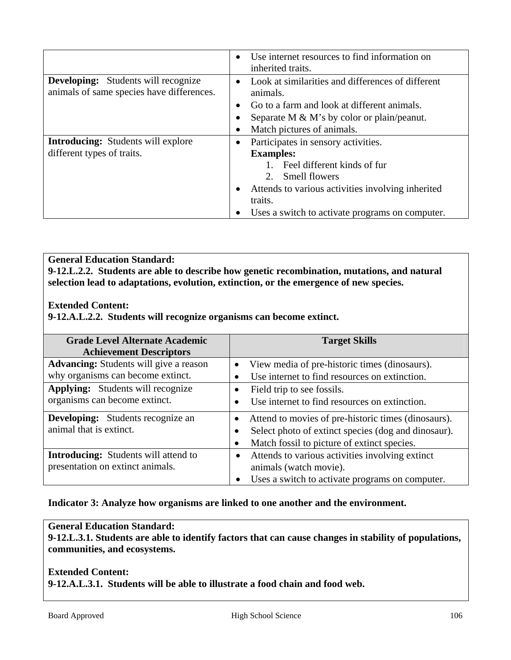|                                                                                         | Use internet resources to find information on<br>inherited traits.                                                                                                                                                                                     |
|-----------------------------------------------------------------------------------------|--------------------------------------------------------------------------------------------------------------------------------------------------------------------------------------------------------------------------------------------------------|
| <b>Developing:</b> Students will recognize<br>animals of same species have differences. | Look at similarities and differences of different<br>animals.<br>Go to a farm and look at different animals.<br>$\bullet$                                                                                                                              |
|                                                                                         | Separate M $\&$ M's by color or plain/peanut.<br>Match pictures of animals.                                                                                                                                                                            |
| <b>Introducing:</b> Students will explore<br>different types of traits.                 | Participates in sensory activities.<br>$\bullet$<br><b>Examples:</b><br>Feel different kinds of fur<br>$2^{\circ}$<br>Smell flowers<br>Attends to various activities involving inherited<br>traits.<br>Uses a switch to activate programs on computer. |

**General Education Standard: 9-12.L.2.2. Students are able to describe how genetic recombination, mutations, and natural selection lead to adaptations, evolution, extinction, or the emergence of new species.** 

#### **Extended Content:**

**9-12.A.L.2.2. Students will recognize organisms can become extinct.** 

| <b>Grade Level Alternate Academic</b><br><b>Achievement Descriptors</b>            | <b>Target Skills</b>                                                                                                                                      |
|------------------------------------------------------------------------------------|-----------------------------------------------------------------------------------------------------------------------------------------------------------|
| <b>Advancing:</b> Students will give a reason<br>why organisms can become extinct. | View media of pre-historic times (dinosaurs).<br>$\bullet$<br>Use internet to find resources on extinction.                                               |
| <b>Applying:</b> Students will recognize<br>organisms can become extinct.          | Field trip to see fossils.<br>$\bullet$<br>Use internet to find resources on extinction.                                                                  |
| <b>Developing:</b> Students recognize an<br>animal that is extinct.                | Attend to movies of pre-historic times (dinosaurs).<br>Select photo of extinct species (dog and dinosaur).<br>Match fossil to picture of extinct species. |
| <b>Introducing:</b> Students will attend to<br>presentation on extinct animals.    | Attends to various activities involving extinct<br>$\bullet$<br>animals (watch movie).<br>Uses a switch to activate programs on computer.                 |

#### **Indicator 3: Analyze how organisms are linked to one another and the environment.**

#### **General Education Standard:**

**9-12.L.3.1. Students are able to identify factors that can cause changes in stability of populations, communities, and ecosystems.** 

**Extended Content: 9-12.A.L.3.1. Students will be able to illustrate a food chain and food web.**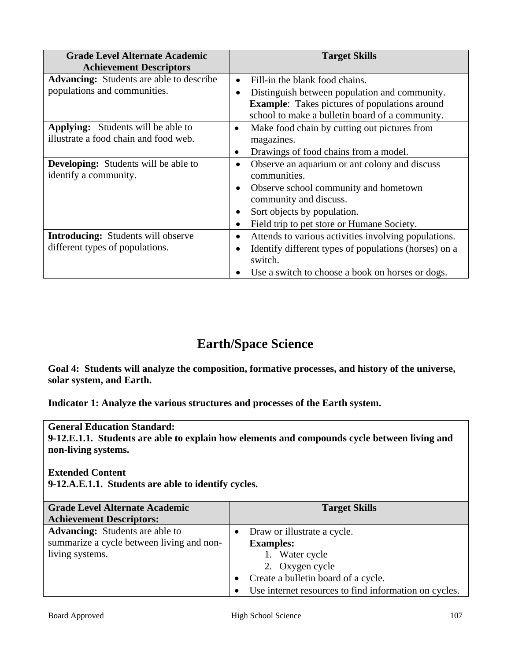| <b>Grade Level Alternate Academic</b><br><b>Achievement Descriptors</b> | <b>Target Skills</b>                                                                                    |
|-------------------------------------------------------------------------|---------------------------------------------------------------------------------------------------------|
| <b>Advancing:</b> Students are able to describe                         | Fill-in the blank food chains.<br>$\bullet$                                                             |
| populations and communities.                                            | Distinguish between population and community.<br>٠                                                      |
|                                                                         | <b>Example:</b> Takes pictures of populations around<br>school to make a bulletin board of a community. |
| <b>Applying:</b> Students will be able to                               | Make food chain by cutting out pictures from<br>$\bullet$                                               |
| illustrate a food chain and food web.                                   | magazines.                                                                                              |
|                                                                         | Drawings of food chains from a model.<br>$\bullet$                                                      |
| <b>Developing:</b> Students will be able to<br>identify a community.    | Observe an aquarium or ant colony and discuss<br>$\bullet$<br>communities.                              |
|                                                                         | Observe school community and hometown<br>$\bullet$<br>community and discuss.                            |
|                                                                         | Sort objects by population.                                                                             |
|                                                                         | Field trip to pet store or Humane Society.<br>$\bullet$                                                 |
| <b>Introducing:</b> Students will observe                               | Attends to various activities involving populations.                                                    |
| different types of populations.                                         | Identify different types of populations (horses) on a                                                   |
|                                                                         | switch.                                                                                                 |
|                                                                         | Use a switch to choose a book on horses or dogs.                                                        |

# **Earth/Space Science**

**Goal 4: Students will analyze the composition, formative processes, and history of the universe, solar system, and Earth.** 

**Indicator 1: Analyze the various structures and processes of the Earth system.** 

**General Education Standard: 9-12.E.1.1. Students are able to explain how elements and compounds cycle between living and non-living systems.** 

**Extended Content** 

**9-12.A.E.1.1. Students are able to identify cycles.** 

| <b>Grade Level Alternate Academic</b>     | <b>Target Skills</b>                                  |
|-------------------------------------------|-------------------------------------------------------|
| <b>Achievement Descriptors:</b>           |                                                       |
| <b>Advancing:</b> Students are able to    | Draw or illustrate a cycle.<br>$\bullet$              |
| summarize a cycle between living and non- | <b>Examples:</b>                                      |
| living systems.                           | 1. Water cycle                                        |
|                                           | 2. Oxygen cycle                                       |
|                                           | Create a bulletin board of a cycle.                   |
|                                           | Use internet resources to find information on cycles. |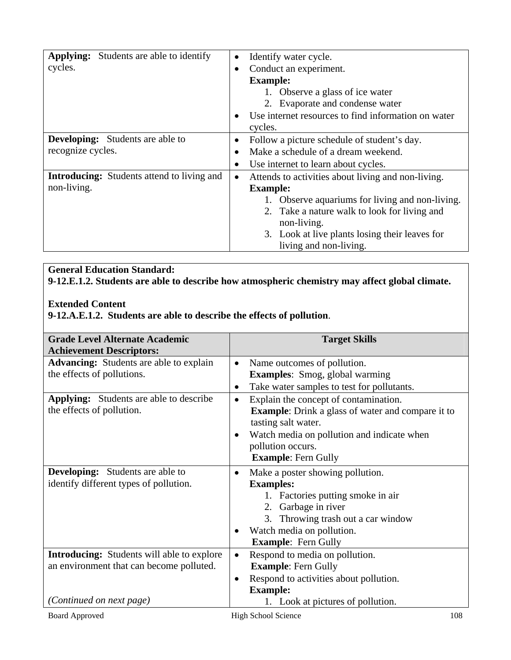| <b>Applying:</b> Students are able to identify    | Identify water cycle.<br>$\bullet$                               |
|---------------------------------------------------|------------------------------------------------------------------|
| cycles.                                           | Conduct an experiment.<br>$\bullet$                              |
|                                                   | <b>Example:</b>                                                  |
|                                                   | 1. Observe a glass of ice water                                  |
|                                                   | 2. Evaporate and condense water                                  |
|                                                   | Use internet resources to find information on water<br>$\bullet$ |
|                                                   | cycles.                                                          |
| <b>Developing:</b> Students are able to           | Follow a picture schedule of student's day.<br>$\bullet$         |
| recognize cycles.                                 | Make a schedule of a dream weekend.                              |
|                                                   | Use internet to learn about cycles.<br>$\bullet$                 |
| <b>Introducing:</b> Students attend to living and | Attends to activities about living and non-living.<br>$\bullet$  |
| non-living.                                       | <b>Example:</b>                                                  |
|                                                   | 1. Observe aquariums for living and non-living.                  |
|                                                   | 2. Take a nature walk to look for living and                     |
|                                                   | non-living.                                                      |
|                                                   | 3. Look at live plants losing their leaves for                   |
|                                                   | living and non-living.                                           |

# **General Education Standard:**

**9-12.E.1.2. Students are able to describe how atmospheric chemistry may affect global climate.** 

# **Extended Content**

**9-12.A.E.1.2. Students are able to describe the effects of pollution**.

| <b>Grade Level Alternate Academic</b><br><b>Achievement Descriptors:</b> | <b>Target Skills</b>                                     |
|--------------------------------------------------------------------------|----------------------------------------------------------|
| <b>Advancing:</b> Students are able to explain                           | Name outcomes of pollution.<br>$\bullet$                 |
| the effects of pollutions.                                               | Examples: Smog, global warming                           |
|                                                                          | Take water samples to test for pollutants.<br>$\bullet$  |
| <b>Applying:</b> Students are able to describe                           | Explain the concept of contamination.<br>$\bullet$       |
| the effects of pollution.                                                | <b>Example:</b> Drink a glass of water and compare it to |
|                                                                          | tasting salt water.                                      |
|                                                                          | Watch media on pollution and indicate when<br>$\bullet$  |
|                                                                          | pollution occurs.                                        |
|                                                                          | <b>Example: Fern Gully</b>                               |
| <b>Developing:</b> Students are able to                                  | Make a poster showing pollution.<br>$\bullet$            |
| identify different types of pollution.                                   | <b>Examples:</b>                                         |
|                                                                          | 1. Factories putting smoke in air                        |
|                                                                          | 2. Garbage in river                                      |
|                                                                          | 3. Throwing trash out a car window                       |
|                                                                          | Watch media on pollution.<br>$\bullet$                   |
|                                                                          | <b>Example:</b> Fern Gully                               |
| <b>Introducing:</b> Students will able to explore                        | Respond to media on pollution.<br>$\bullet$              |
| an environment that can become polluted.                                 | <b>Example: Fern Gully</b>                               |
|                                                                          | Respond to activities about pollution.<br>$\bullet$      |
|                                                                          | <b>Example:</b>                                          |
| (Continued on next page)                                                 | 1. Look at pictures of pollution.                        |
| <b>Board Approved</b>                                                    | <b>High School Science</b><br>108                        |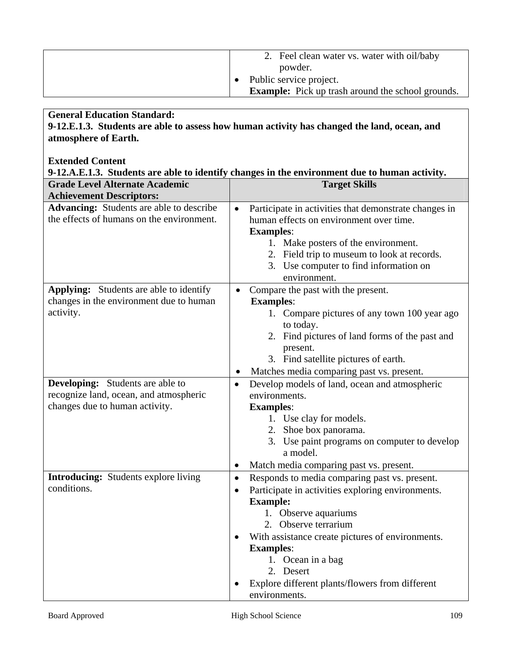| 2. Feel clean water vs. water with oil/baby              |
|----------------------------------------------------------|
| powder.                                                  |
| Public service project.                                  |
| <b>Example:</b> Pick up trash around the school grounds. |

# **General Education Standard:**

**9-12.E.1.3. Students are able to assess how human activity has changed the land, ocean, and atmosphere of Earth.** 

# **Extended Content**

| 9-12.A.E.1.3. Students are able to identify changes in the environment due to human activity. |           |                                                       |
|-----------------------------------------------------------------------------------------------|-----------|-------------------------------------------------------|
| <b>Grade Level Alternate Academic</b>                                                         |           | <b>Target Skills</b>                                  |
| <b>Achievement Descriptors:</b>                                                               |           |                                                       |
| <b>Advancing:</b> Students are able to describe                                               | $\bullet$ | Participate in activities that demonstrate changes in |
| the effects of humans on the environment.                                                     |           | human effects on environment over time.               |
|                                                                                               |           | <b>Examples:</b>                                      |
|                                                                                               |           | 1. Make posters of the environment.                   |
|                                                                                               |           | 2. Field trip to museum to look at records.           |
|                                                                                               |           | 3. Use computer to find information on                |
|                                                                                               |           | environment.                                          |
| <b>Applying:</b> Students are able to identify                                                |           | Compare the past with the present.                    |
| changes in the environment due to human                                                       |           | <b>Examples:</b>                                      |
| activity.                                                                                     |           | 1. Compare pictures of any town 100 year ago          |
|                                                                                               |           | to today.                                             |
|                                                                                               |           | 2. Find pictures of land forms of the past and        |
|                                                                                               |           | present.                                              |
|                                                                                               |           | 3. Find satellite pictures of earth.                  |
|                                                                                               |           | Matches media comparing past vs. present.             |
| <b>Developing:</b> Students are able to                                                       | $\bullet$ | Develop models of land, ocean and atmospheric         |
| recognize land, ocean, and atmospheric                                                        |           | environments.                                         |
| changes due to human activity.                                                                |           | <b>Examples:</b>                                      |
|                                                                                               |           | 1. Use clay for models.                               |
|                                                                                               |           | 2. Shoe box panorama.                                 |
|                                                                                               |           | 3. Use paint programs on computer to develop          |
|                                                                                               |           | a model.                                              |
|                                                                                               | $\bullet$ | Match media comparing past vs. present.               |
| <b>Introducing:</b> Students explore living                                                   | $\bullet$ | Responds to media comparing past vs. present.         |
| conditions.                                                                                   | $\bullet$ | Participate in activities exploring environments.     |
|                                                                                               |           | <b>Example:</b>                                       |
|                                                                                               |           | 1. Observe aquariums                                  |
|                                                                                               |           | 2. Observe terrarium                                  |
|                                                                                               |           | With assistance create pictures of environments.      |
|                                                                                               |           | <b>Examples:</b>                                      |
|                                                                                               |           | 1. Ocean in a bag                                     |
|                                                                                               |           | 2. Desert                                             |
|                                                                                               |           | Explore different plants/flowers from different       |
|                                                                                               |           | environments.                                         |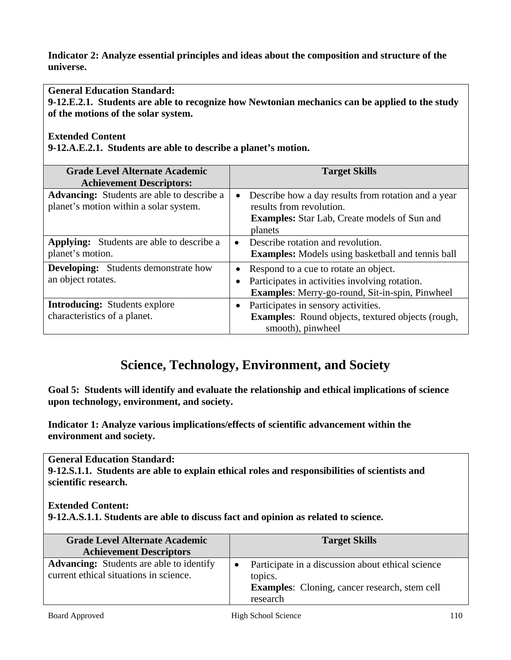**Indicator 2: Analyze essential principles and ideas about the composition and structure of the universe.** 

**General Education Standard:** 

**9-12.E.2.1. Students are able to recognize how Newtonian mechanics can be applied to the study of the motions of the solar system.** 

**Extended Content** 

**9-12.A.E.2.1. Students are able to describe a planet's motion.** 

| <b>Grade Level Alternate Academic</b><br><b>Achievement Descriptors:</b>                    |           | <b>Target Skills</b>                                                                                                                              |
|---------------------------------------------------------------------------------------------|-----------|---------------------------------------------------------------------------------------------------------------------------------------------------|
| <b>Advancing:</b> Students are able to describe a<br>planet's motion within a solar system. | ٠         | Describe how a day results from rotation and a year<br>results from revolution.<br><b>Examples:</b> Star Lab, Create models of Sun and<br>planets |
| <b>Applying:</b> Students are able to describe a<br>planet's motion.                        | $\bullet$ | Describe rotation and revolution.<br><b>Examples:</b> Models using basketball and tennis ball                                                     |
| <b>Developing:</b> Students demonstrate how<br>an object rotates.                           |           | Respond to a cue to rotate an object.<br>Participates in activities involving rotation.<br>Examples: Merry-go-round, Sit-in-spin, Pinwheel        |
| <b>Introducing:</b> Students explore<br>characteristics of a planet.                        |           | Participates in sensory activities.<br><b>Examples:</b> Round objects, textured objects (rough,<br>smooth), pinwheel                              |

# **Science, Technology, Environment, and Society**

**Goal 5: Students will identify and evaluate the relationship and ethical implications of science upon technology, environment, and society.** 

**Indicator 1: Analyze various implications/effects of scientific advancement within the environment and society.** 

**General Education Standard:** 

**9-12.S.1.1. Students are able to explain ethical roles and responsibilities of scientists and scientific research.** 

**Extended Content:** 

**9-12.A.S.1.1. Students are able to discuss fact and opinion as related to science.** 

| <b>Grade Level Alternate Academic</b><br><b>Achievement Descriptors</b>                   | <b>Target Skills</b>                                                                                                                          |
|-------------------------------------------------------------------------------------------|-----------------------------------------------------------------------------------------------------------------------------------------------|
| <b>Advancing:</b> Students are able to identify<br>current ethical situations in science. | Participate in a discussion about ethical science<br>$\bullet$<br>topics.<br><b>Examples:</b> Cloning, cancer research, stem cell<br>research |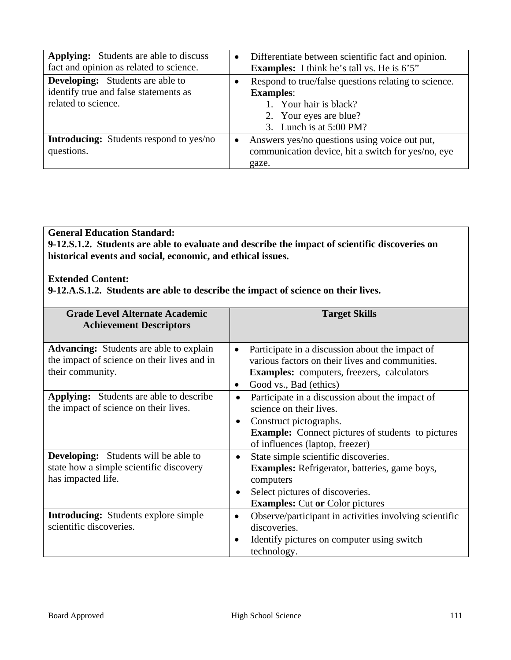| <b>Applying:</b> Students are able to discuss<br>fact and opinion as related to science.                | $\bullet$ | Differentiate between scientific fact and opinion.<br><b>Examples:</b> I think he's tall vs. He is 6'5"                                                   |
|---------------------------------------------------------------------------------------------------------|-----------|-----------------------------------------------------------------------------------------------------------------------------------------------------------|
| <b>Developing:</b> Students are able to<br>identify true and false statements as<br>related to science. |           | Respond to true/false questions relating to science.<br><b>Examples:</b><br>1. Your hair is black?<br>2. Your eyes are blue?<br>3. Lunch is at $5:00$ PM? |
| <b>Introducing:</b> Students respond to yes/no<br>questions.                                            |           | Answers yes/no questions using voice out put,<br>communication device, hit a switch for yes/no, eye<br>gaze.                                              |

# **General Education Standard:**

**9-12.S.1.2. Students are able to evaluate and describe the impact of scientific discoveries on historical events and social, economic, and ethical issues.** 

#### **Extended Content:**

**9-12.A.S.1.2. Students are able to describe the impact of science on their lives.** 

| <b>Grade Level Alternate Academic</b><br><b>Achievement Descriptors</b>                                           | <b>Target Skills</b>                                                                                                                                                                                        |
|-------------------------------------------------------------------------------------------------------------------|-------------------------------------------------------------------------------------------------------------------------------------------------------------------------------------------------------------|
| <b>Advancing:</b> Students are able to explain<br>the impact of science on their lives and in<br>their community. | Participate in a discussion about the impact of<br>$\bullet$<br>various factors on their lives and communities.<br><b>Examples:</b> computers, freezers, calculators<br>Good vs., Bad (ethics)<br>$\bullet$ |
| <b>Applying:</b> Students are able to describe<br>the impact of science on their lives.                           | Participate in a discussion about the impact of<br>science on their lives.<br>Construct pictographs.<br>٠<br><b>Example:</b> Connect pictures of students to pictures<br>of influences (laptop, freezer)    |
| <b>Developing:</b> Students will be able to<br>state how a simple scientific discovery<br>has impacted life.      | State simple scientific discoveries.<br>$\bullet$<br><b>Examples:</b> Refrigerator, batteries, game boys,<br>computers<br>Select pictures of discoveries.<br>٠<br><b>Examples:</b> Cut or Color pictures    |
| <b>Introducing:</b> Students explore simple<br>scientific discoveries.                                            | Observe/participant in activities involving scientific<br>$\bullet$<br>discoveries.<br>Identify pictures on computer using switch<br>$\bullet$<br>technology.                                               |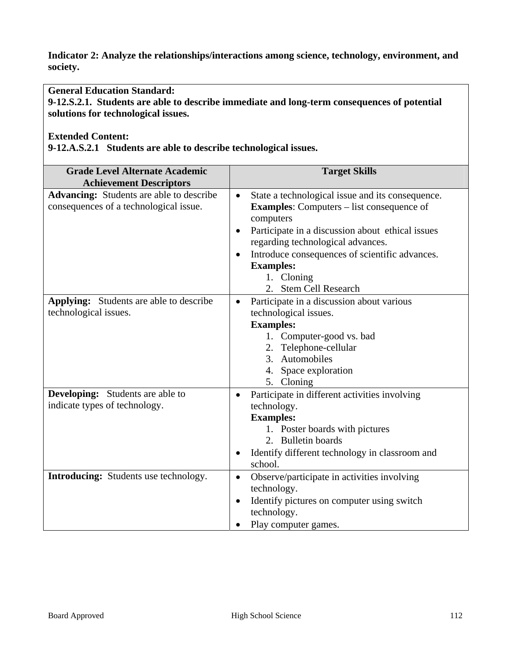**Indicator 2: Analyze the relationships/interactions among science, technology, environment, and society.** 

**General Education Standard:** 

**9-12.S.2.1. Students are able to describe immediate and long-term consequences of potential solutions for technological issues.** 

#### **Extended Content:**

**9-12.A.S.2.1 Students are able to describe technological issues.** 

| <b>Grade Level Alternate Academic</b><br><b>Achievement Descriptors</b>                   | <b>Target Skills</b>                                                                                                                                                                                                                                                                                                                                   |
|-------------------------------------------------------------------------------------------|--------------------------------------------------------------------------------------------------------------------------------------------------------------------------------------------------------------------------------------------------------------------------------------------------------------------------------------------------------|
| <b>Advancing:</b> Students are able to describe<br>consequences of a technological issue. | State a technological issue and its consequence.<br>$\bullet$<br><b>Examples:</b> Computers – list consequence of<br>computers<br>Participate in a discussion about ethical issues<br>٠<br>regarding technological advances.<br>Introduce consequences of scientific advances.<br>$\bullet$<br><b>Examples:</b><br>1. Cloning<br>2. Stem Cell Research |
| <b>Applying:</b> Students are able to describe<br>technological issues.                   | Participate in a discussion about various<br>technological issues.<br><b>Examples:</b><br>1. Computer-good vs. bad<br>2. Telephone-cellular<br>3. Automobiles<br>4. Space exploration<br>5. Cloning                                                                                                                                                    |
| <b>Developing:</b> Students are able to<br>indicate types of technology.                  | Participate in different activities involving<br>technology.<br><b>Examples:</b><br>1. Poster boards with pictures<br>2. Bulletin boards<br>Identify different technology in classroom and<br>school.                                                                                                                                                  |
| <b>Introducing:</b> Students use technology.                                              | Observe/participate in activities involving<br>$\bullet$<br>technology.<br>Identify pictures on computer using switch<br>$\bullet$<br>technology.<br>Play computer games.                                                                                                                                                                              |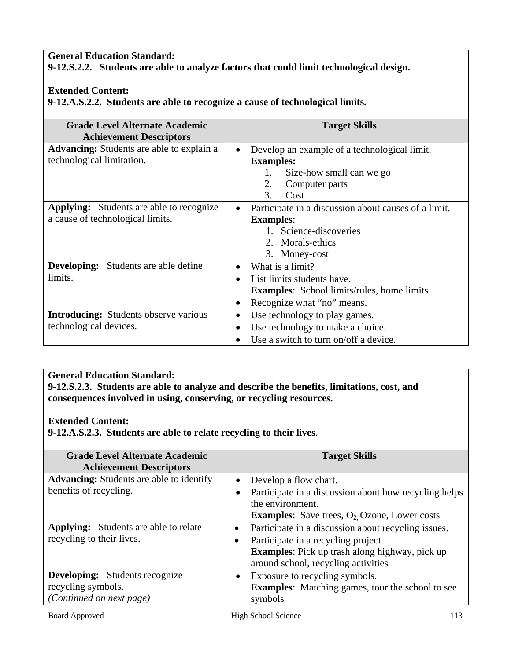#### **General Education Standard: 9-12.S.2.2. Students are able to analyze factors that could limit technological design.**

# **Extended Content:**

**9-12.A.S.2.2. Students are able to recognize a cause of technological limits.** 

| <b>Grade Level Alternate Academic</b>            | <b>Target Skills</b>                                 |
|--------------------------------------------------|------------------------------------------------------|
| <b>Achievement Descriptors</b>                   |                                                      |
| <b>Advancing:</b> Students are able to explain a | Develop an example of a technological limit.         |
| technological limitation.                        | <b>Examples:</b>                                     |
|                                                  | 1.<br>Size-how small can we go                       |
|                                                  | 2.<br>Computer parts                                 |
|                                                  | 3.<br>Cost                                           |
| <b>Applying:</b> Students are able to recognize  | Participate in a discussion about causes of a limit. |
| a cause of technological limits.                 | <b>Examples:</b>                                     |
|                                                  | 1. Science-discoveries                               |
|                                                  | 2. Morals-ethics                                     |
|                                                  | 3. Money-cost                                        |
| <b>Developing:</b> Students are able define      | What is a limit?                                     |
| limits.                                          | List limits students have.                           |
|                                                  | <b>Examples:</b> School limits/rules, home limits    |
|                                                  | Recognize what "no" means.<br>٠                      |
| <b>Introducing:</b> Students observe various     | Use technology to play games.<br>$\bullet$           |
| technological devices.                           | Use technology to make a choice.<br>$\bullet$        |
|                                                  | Use a switch to turn on/off a device.                |

# **General Education Standard:**

**9-12.S.2.3. Students are able to analyze and describe the benefits, limitations, cost, and consequences involved in using, conserving, or recycling resources.** 

#### **Extended Content:**

**9-12.A.S.2.3. Students are able to relate recycling to their lives**.

| Grade Level Alternate Academic<br><b>Achievement Descriptors</b>                        | <b>Target Skills</b>                                                                                                                                                                                                 |
|-----------------------------------------------------------------------------------------|----------------------------------------------------------------------------------------------------------------------------------------------------------------------------------------------------------------------|
| <b>Advancing:</b> Students are able to identify<br>benefits of recycling.               | Develop a flow chart.<br>$\bullet$<br>Participate in a discussion about how recycling helps<br>the environment.<br><b>Examples:</b> Save trees, $O_2$ , Ozone, Lower costs                                           |
| <b>Applying:</b> Students are able to relate<br>recycling to their lives.               | Participate in a discussion about recycling issues.<br>$\bullet$<br>Participate in a recycling project.<br>$\bullet$<br><b>Examples:</b> Pick up trash along highway, pick up<br>around school, recycling activities |
| <b>Developing:</b> Students recognize<br>recycling symbols.<br>(Continued on next page) | Exposure to recycling symbols.<br><b>Examples:</b> Matching games, tour the school to see<br>symbols                                                                                                                 |